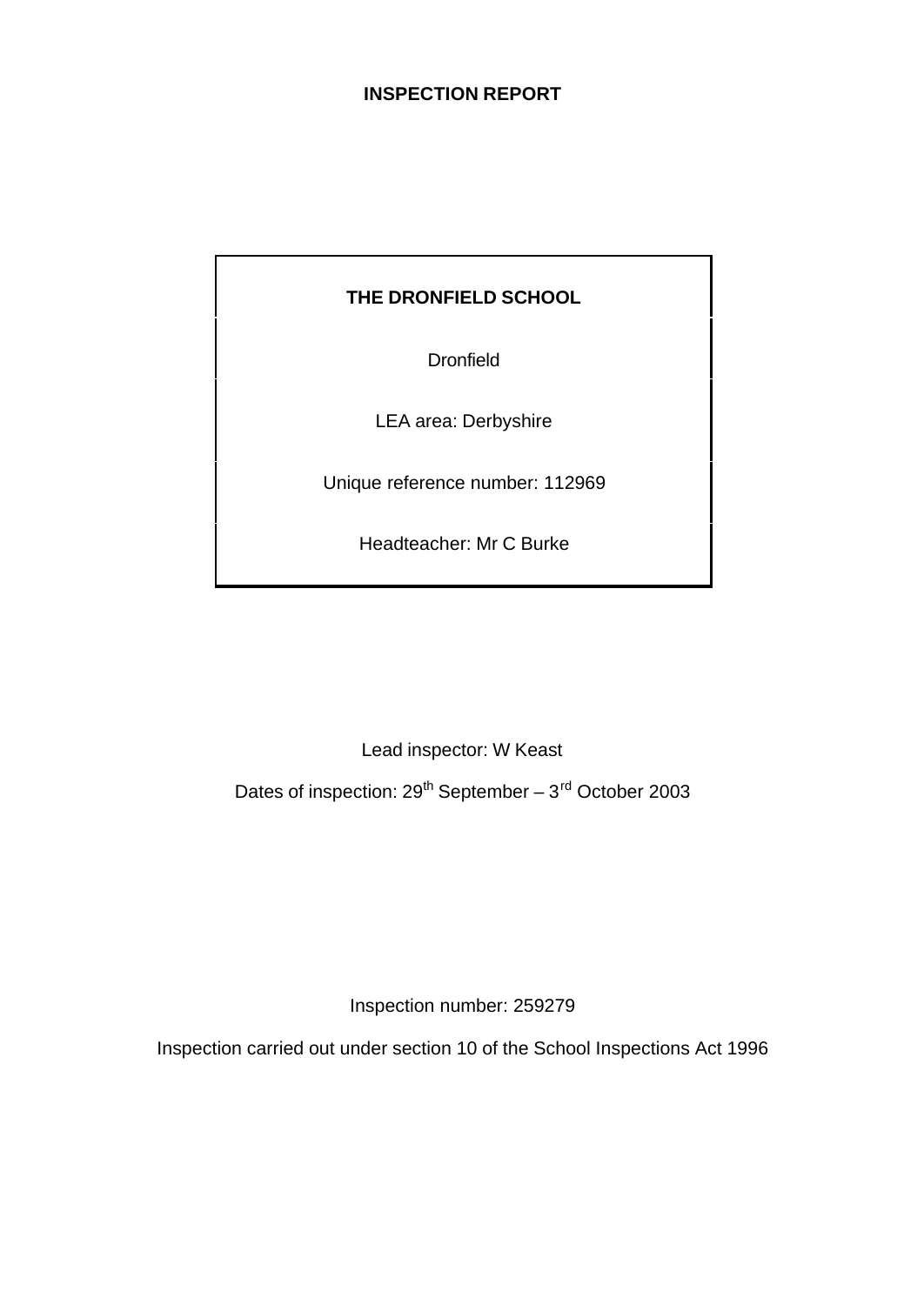# **INSPECTION REPORT**

# **THE DRONFIELD SCHOOL**

**Dronfield** 

LEA area: Derbyshire

Unique reference number: 112969

Headteacher: Mr C Burke

Lead inspector: W Keast

Dates of inspection:  $29^{th}$  September –  $3^{rd}$  October 2003

Inspection number: 259279

Inspection carried out under section 10 of the School Inspections Act 1996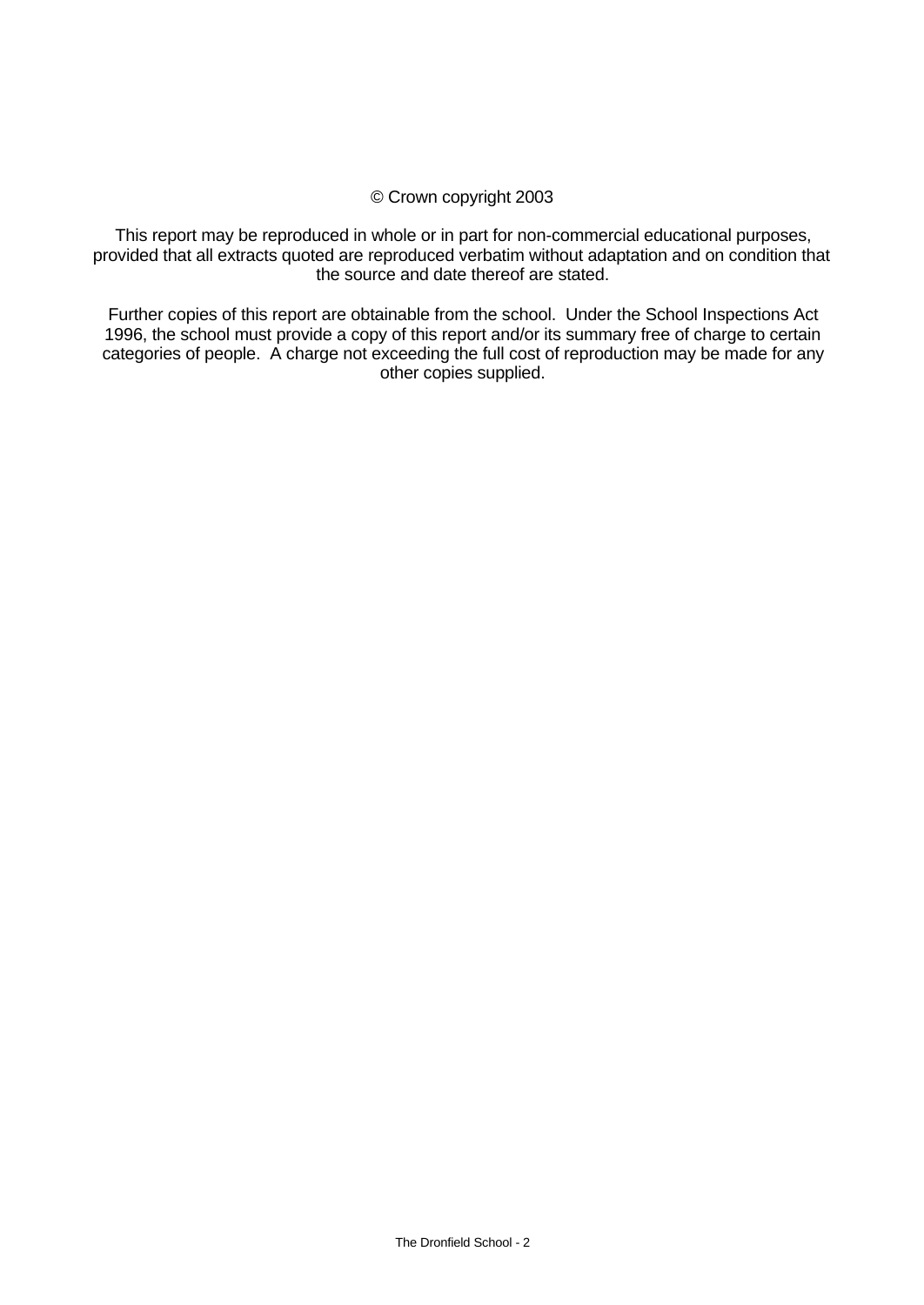## © Crown copyright 2003

This report may be reproduced in whole or in part for non-commercial educational purposes, provided that all extracts quoted are reproduced verbatim without adaptation and on condition that the source and date thereof are stated.

Further copies of this report are obtainable from the school. Under the School Inspections Act 1996, the school must provide a copy of this report and/or its summary free of charge to certain categories of people. A charge not exceeding the full cost of reproduction may be made for any other copies supplied.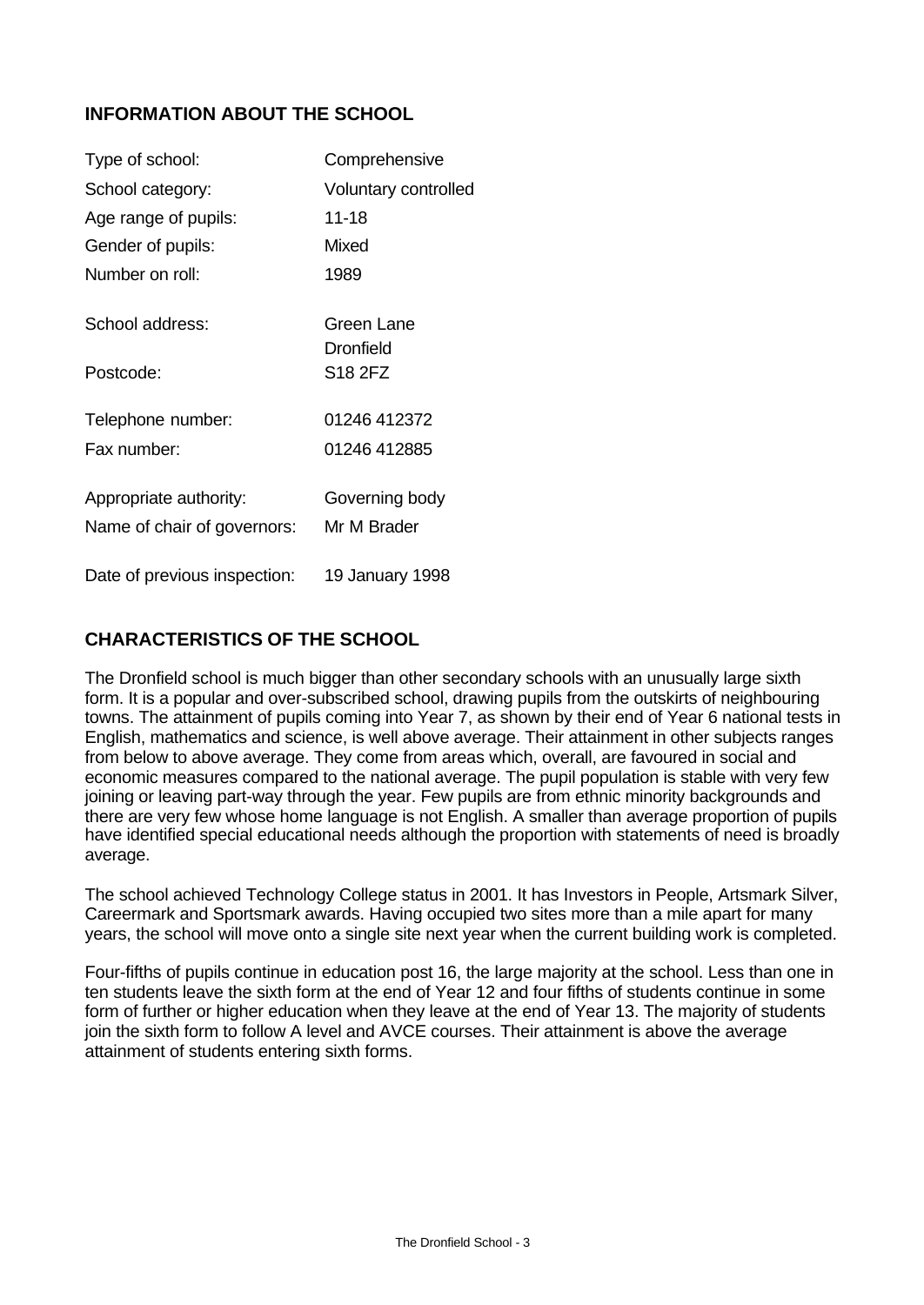# **INFORMATION ABOUT THE SCHOOL**

| Type of school:              | Comprehensive               |
|------------------------------|-----------------------------|
| School category:             | <b>Voluntary controlled</b> |
| Age range of pupils:         | 11-18                       |
| Gender of pupils:            | Mixed                       |
| Number on roll:              | 1989                        |
| School address:              | Green Lane                  |
|                              | <b>Dronfield</b>            |
| Postcode:                    | S18 2FZ                     |
| Telephone number:            | 01246 412372                |
| Fax number:                  | 01246 412885                |
| Appropriate authority:       | Governing body              |
| Name of chair of governors:  | Mr M Brader                 |
| Date of previous inspection: | 19 January 1998             |

# **CHARACTERISTICS OF THE SCHOOL**

The Dronfield school is much bigger than other secondary schools with an unusually large sixth form. It is a popular and over-subscribed school, drawing pupils from the outskirts of neighbouring towns. The attainment of pupils coming into Year 7, as shown by their end of Year 6 national tests in English, mathematics and science, is well above average. Their attainment in other subjects ranges from below to above average. They come from areas which, overall, are favoured in social and economic measures compared to the national average. The pupil population is stable with very few joining or leaving part-way through the year. Few pupils are from ethnic minority backgrounds and there are very few whose home language is not English. A smaller than average proportion of pupils have identified special educational needs although the proportion with statements of need is broadly average.

The school achieved Technology College status in 2001. It has Investors in People, Artsmark Silver, Careermark and Sportsmark awards. Having occupied two sites more than a mile apart for many years, the school will move onto a single site next year when the current building work is completed.

Four-fifths of pupils continue in education post 16, the large majority at the school. Less than one in ten students leave the sixth form at the end of Year 12 and four fifths of students continue in some form of further or higher education when they leave at the end of Year 13. The majority of students join the sixth form to follow A level and AVCE courses. Their attainment is above the average attainment of students entering sixth forms.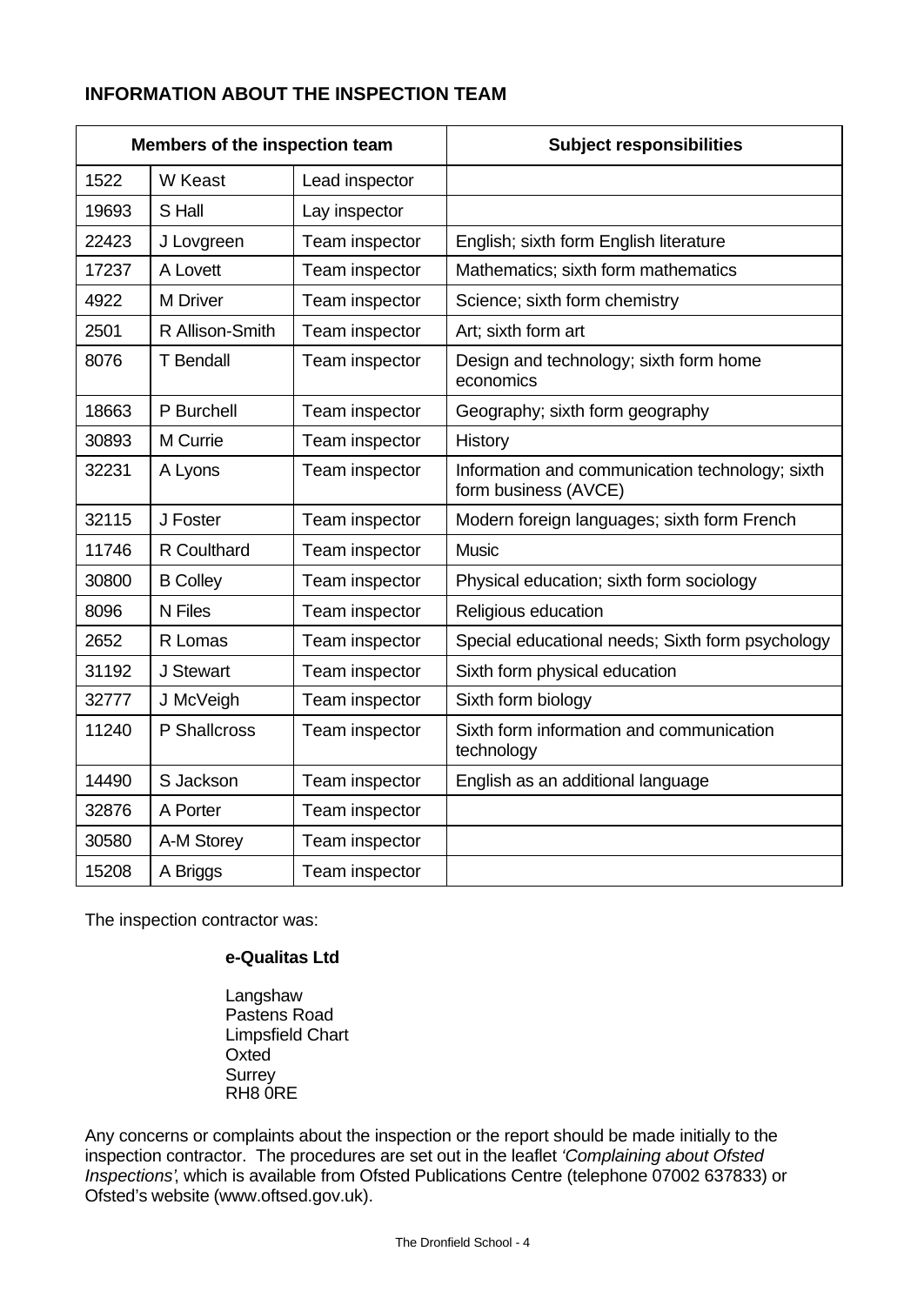# **INFORMATION ABOUT THE INSPECTION TEAM**

| Members of the inspection team |                  |                | <b>Subject responsibilities</b>                                         |
|--------------------------------|------------------|----------------|-------------------------------------------------------------------------|
| 1522                           | W Keast          | Lead inspector |                                                                         |
| 19693                          | S Hall           | Lay inspector  |                                                                         |
| 22423                          | J Lovgreen       | Team inspector | English; sixth form English literature                                  |
| 17237                          | A Lovett         | Team inspector | Mathematics; sixth form mathematics                                     |
| 4922                           | <b>M</b> Driver  | Team inspector | Science; sixth form chemistry                                           |
| 2501                           | R Allison-Smith  | Team inspector | Art; sixth form art                                                     |
| 8076                           | <b>T</b> Bendall | Team inspector | Design and technology; sixth form home<br>economics                     |
| 18663                          | P Burchell       | Team inspector | Geography; sixth form geography                                         |
| 30893                          | M Currie         | Team inspector | History                                                                 |
| 32231                          | A Lyons          | Team inspector | Information and communication technology; sixth<br>form business (AVCE) |
| 32115                          | J Foster         | Team inspector | Modern foreign languages; sixth form French                             |
| 11746                          | R Coulthard      | Team inspector | <b>Music</b>                                                            |
| 30800                          | <b>B Colley</b>  | Team inspector | Physical education; sixth form sociology                                |
| 8096                           | N Files          | Team inspector | Religious education                                                     |
| 2652                           | R Lomas          | Team inspector | Special educational needs; Sixth form psychology                        |
| 31192                          | J Stewart        | Team inspector | Sixth form physical education                                           |
| 32777                          | J McVeigh        | Team inspector | Sixth form biology                                                      |
| 11240                          | P Shallcross     | Team inspector | Sixth form information and communication<br>technology                  |
| 14490                          | S Jackson        | Team inspector | English as an additional language                                       |
| 32876                          | A Porter         | Team inspector |                                                                         |
| 30580                          | A-M Storey       | Team inspector |                                                                         |
| 15208                          | A Briggs         | Team inspector |                                                                         |

The inspection contractor was:

## **e-Qualitas Ltd**

**Langshaw** Pastens Road Limpsfield Chart **Oxted** Surrey RH8 0RE

Any concerns or complaints about the inspection or the report should be made initially to the inspection contractor. The procedures are set out in the leaflet *'Complaining about Ofsted Inspections'*, which is available from Ofsted Publications Centre (telephone 07002 637833) or Ofsted's website (www.oftsed.gov.uk).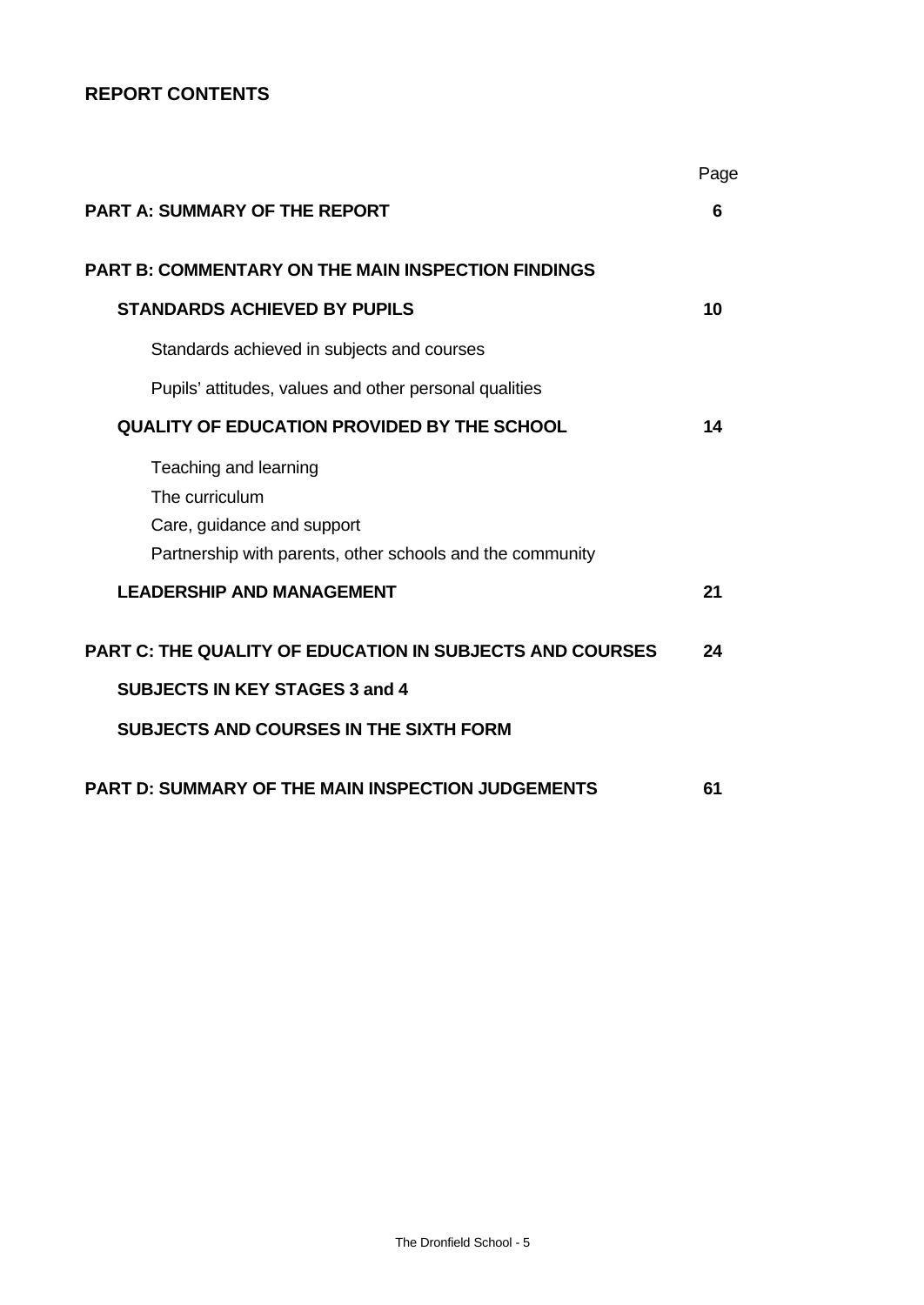# **REPORT CONTENTS**

|                                                                                                                                    | Page |
|------------------------------------------------------------------------------------------------------------------------------------|------|
| <b>PART A: SUMMARY OF THE REPORT</b>                                                                                               | 6    |
| <b>PART B: COMMENTARY ON THE MAIN INSPECTION FINDINGS</b>                                                                          |      |
| <b>STANDARDS ACHIEVED BY PUPILS</b>                                                                                                | 10   |
| Standards achieved in subjects and courses                                                                                         |      |
| Pupils' attitudes, values and other personal qualities                                                                             |      |
| QUALITY OF EDUCATION PROVIDED BY THE SCHOOL                                                                                        | 14   |
| Teaching and learning<br>The curriculum<br>Care, guidance and support<br>Partnership with parents, other schools and the community |      |
| <b>LEADERSHIP AND MANAGEMENT</b>                                                                                                   | 21   |
| <b>PART C: THE QUALITY OF EDUCATION IN SUBJECTS AND COURSES</b><br><b>SUBJECTS IN KEY STAGES 3 and 4</b>                           | 24   |
| <b>SUBJECTS AND COURSES IN THE SIXTH FORM</b>                                                                                      |      |
| <b>PART D: SUMMARY OF THE MAIN INSPECTION JUDGEMENTS</b>                                                                           | 61   |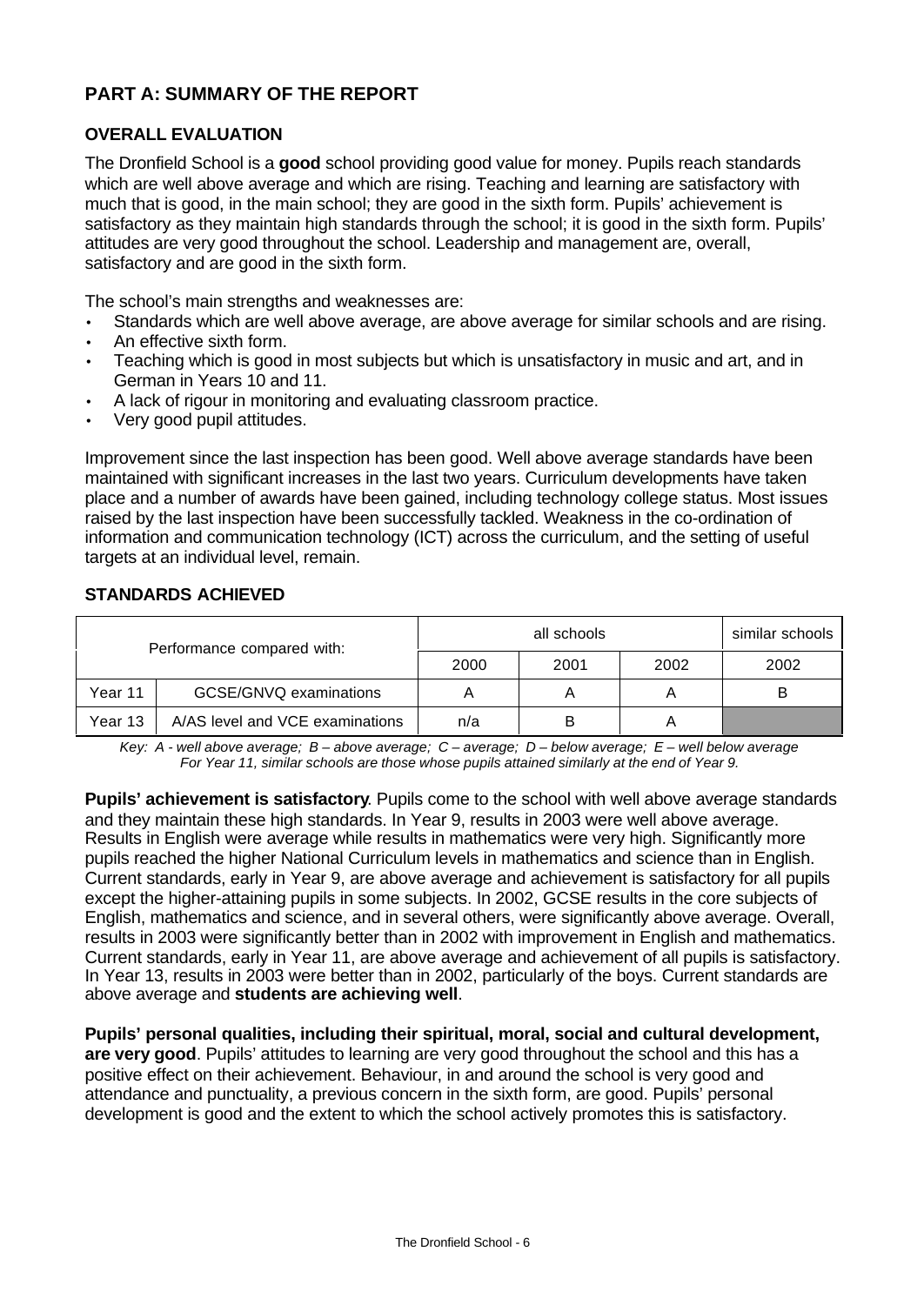# **PART A: SUMMARY OF THE REPORT**

# **OVERALL EVALUATION**

The Dronfield School is a **good** school providing good value for money. Pupils reach standards which are well above average and which are rising. Teaching and learning are satisfactory with much that is good, in the main school; they are good in the sixth form. Pupils' achievement is satisfactory as they maintain high standards through the school; it is good in the sixth form. Pupils' attitudes are very good throughout the school. Leadership and management are, overall, satisfactory and are good in the sixth form.

The school's main strengths and weaknesses are:

- Standards which are well above average, are above average for similar schools and are rising.
- An effective sixth form.
- Teaching which is good in most subjects but which is unsatisfactory in music and art, and in German in Years 10 and 11.
- A lack of rigour in monitoring and evaluating classroom practice.
- Very good pupil attitudes.

Improvement since the last inspection has been good. Well above average standards have been maintained with significant increases in the last two years. Curriculum developments have taken place and a number of awards have been gained, including technology college status. Most issues raised by the last inspection have been successfully tackled. Weakness in the co-ordination of information and communication technology (ICT) across the curriculum, and the setting of useful targets at an individual level, remain.

# **STANDARDS ACHIEVED**

| Performance compared with: |                                 |      | similar schools |      |      |
|----------------------------|---------------------------------|------|-----------------|------|------|
|                            |                                 | 2000 | 2001            | 2002 | 2002 |
| Year 11                    | GCSE/GNVQ examinations          |      |                 |      |      |
| Year 13                    | A/AS level and VCE examinations | n/a  | B               |      |      |

*Key: A - well above average; B – above average; C – average; D – below average; E – well below average For Year 11, similar schools are those whose pupils attained similarly at the end of Year 9.*

**Pupils' achievement is satisfactory**. Pupils come to the school with well above average standards and they maintain these high standards. In Year 9, results in 2003 were well above average. Results in English were average while results in mathematics were very high. Significantly more pupils reached the higher National Curriculum levels in mathematics and science than in English. Current standards, early in Year 9, are above average and achievement is satisfactory for all pupils except the higher-attaining pupils in some subjects. In 2002, GCSE results in the core subjects of English, mathematics and science, and in several others, were significantly above average. Overall, results in 2003 were significantly better than in 2002 with improvement in English and mathematics. Current standards, early in Year 11, are above average and achievement of all pupils is satisfactory. In Year 13, results in 2003 were better than in 2002, particularly of the boys. Current standards are above average and **students are achieving well**.

**Pupils' personal qualities, including their spiritual, moral, social and cultural development, are very good**. Pupils' attitudes to learning are very good throughout the school and this has a positive effect on their achievement. Behaviour, in and around the school is very good and attendance and punctuality, a previous concern in the sixth form, are good. Pupils' personal development is good and the extent to which the school actively promotes this is satisfactory.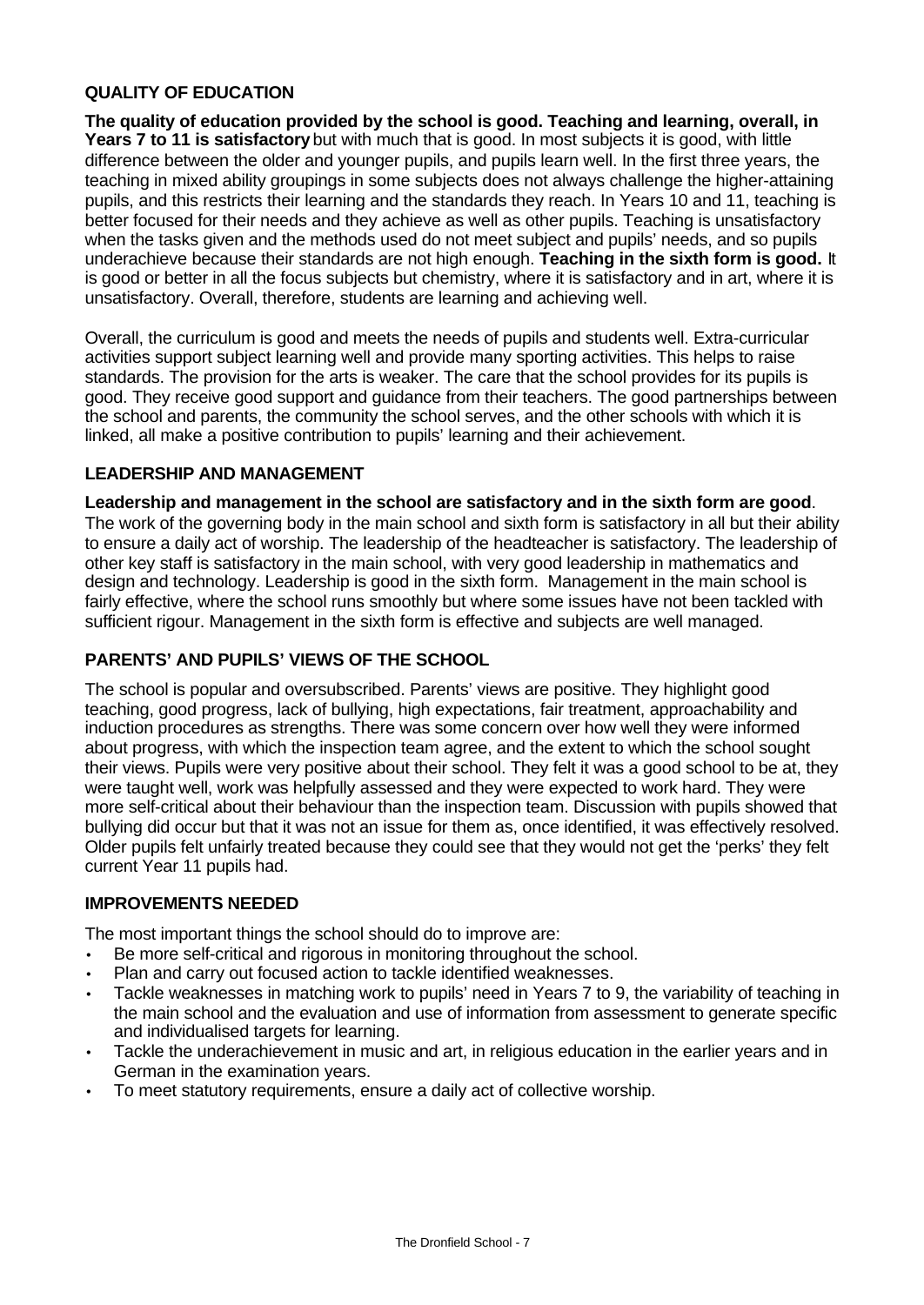# **QUALITY OF EDUCATION**

**The quality of education provided by the school is good. Teaching and learning, overall, in** Years 7 to 11 is satisfactory but with much that is good. In most subjects it is good, with little difference between the older and younger pupils, and pupils learn well. In the first three years, the teaching in mixed ability groupings in some subjects does not always challenge the higher-attaining pupils, and this restricts their learning and the standards they reach. In Years 10 and 11, teaching is better focused for their needs and they achieve as well as other pupils. Teaching is unsatisfactory when the tasks given and the methods used do not meet subject and pupils' needs, and so pupils underachieve because their standards are not high enough. **Teaching in the sixth form is good.** It is good or better in all the focus subjects but chemistry, where it is satisfactory and in art, where it is unsatisfactory. Overall, therefore, students are learning and achieving well.

Overall, the curriculum is good and meets the needs of pupils and students well. Extra-curricular activities support subject learning well and provide many sporting activities. This helps to raise standards. The provision for the arts is weaker. The care that the school provides for its pupils is good. They receive good support and guidance from their teachers. The good partnerships between the school and parents, the community the school serves, and the other schools with which it is linked, all make a positive contribution to pupils' learning and their achievement.

## **LEADERSHIP AND MANAGEMENT**

**Leadership and management in the school are satisfactory and in the sixth form are good**. The work of the governing body in the main school and sixth form is satisfactory in all but their ability to ensure a daily act of worship. The leadership of the headteacher is satisfactory. The leadership of other key staff is satisfactory in the main school, with very good leadership in mathematics and design and technology. Leadership is good in the sixth form. Management in the main school is fairly effective, where the school runs smoothly but where some issues have not been tackled with sufficient rigour. Management in the sixth form is effective and subjects are well managed.

# **PARENTS' AND PUPILS' VIEWS OF THE SCHOOL**

The school is popular and oversubscribed. Parents' views are positive. They highlight good teaching, good progress, lack of bullying, high expectations, fair treatment, approachability and induction procedures as strengths. There was some concern over how well they were informed about progress, with which the inspection team agree, and the extent to which the school sought their views. Pupils were very positive about their school. They felt it was a good school to be at, they were taught well, work was helpfully assessed and they were expected to work hard. They were more self-critical about their behaviour than the inspection team. Discussion with pupils showed that bullying did occur but that it was not an issue for them as, once identified, it was effectively resolved. Older pupils felt unfairly treated because they could see that they would not get the 'perks' they felt current Year 11 pupils had.

## **IMPROVEMENTS NEEDED**

The most important things the school should do to improve are:

- Be more self-critical and rigorous in monitoring throughout the school.
- Plan and carry out focused action to tackle identified weaknesses.
- Tackle weaknesses in matching work to pupils' need in Years 7 to 9, the variability of teaching in the main school and the evaluation and use of information from assessment to generate specific and individualised targets for learning.
- Tackle the underachievement in music and art, in religious education in the earlier years and in German in the examination years.
- To meet statutory requirements, ensure a daily act of collective worship.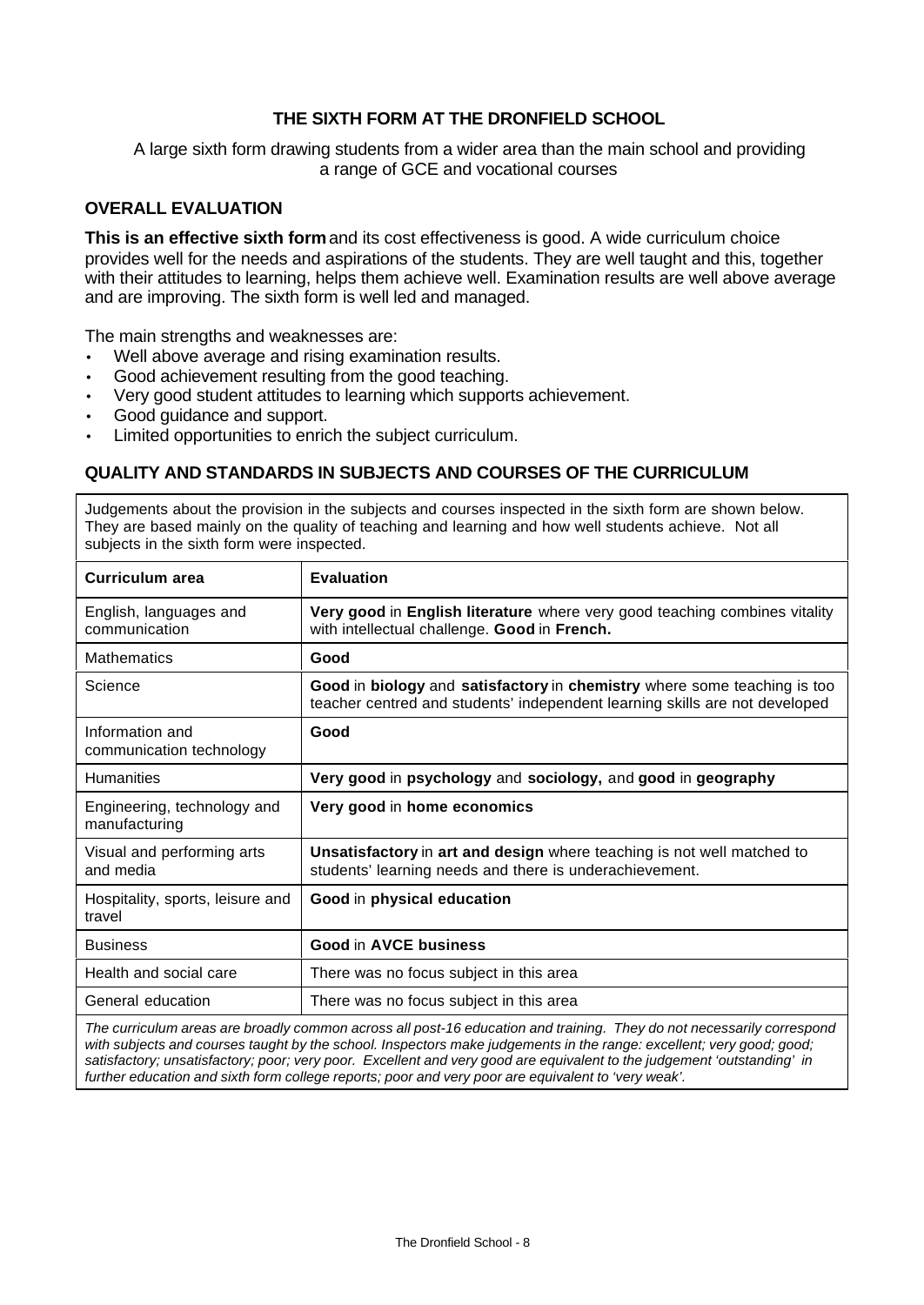# **THE SIXTH FORM AT THE DRONFIELD SCHOOL**

A large sixth form drawing students from a wider area than the main school and providing a range of GCE and vocational courses

#### **OVERALL EVALUATION**

**This is an effective sixth form** and its cost effectiveness is good. A wide curriculum choice provides well for the needs and aspirations of the students. They are well taught and this, together with their attitudes to learning, helps them achieve well. Examination results are well above average and are improving. The sixth form is well led and managed.

The main strengths and weaknesses are:

- Well above average and rising examination results.
- Good achievement resulting from the good teaching.
- Very good student attitudes to learning which supports achievement.
- Good guidance and support.
- Limited opportunities to enrich the subject curriculum.

## **QUALITY AND STANDARDS IN SUBJECTS AND COURSES OF THE CURRICULUM**

Judgements about the provision in the subjects and courses inspected in the sixth form are shown below. They are based mainly on the quality of teaching and learning and how well students achieve. Not all subjects in the sixth form were inspected.

| <b>Curriculum area</b>                       | <b>Evaluation</b>                                                                                                                                       |
|----------------------------------------------|---------------------------------------------------------------------------------------------------------------------------------------------------------|
| English, languages and<br>communication      | Very good in English literature where very good teaching combines vitality<br>with intellectual challenge. Good in French.                              |
| <b>Mathematics</b>                           | Good                                                                                                                                                    |
| Science                                      | Good in biology and satisfactory in chemistry where some teaching is too<br>teacher centred and students' independent learning skills are not developed |
| Information and<br>communication technology  | Good                                                                                                                                                    |
| <b>Humanities</b>                            | Very good in psychology and sociology, and good in geography                                                                                            |
| Engineering, technology and<br>manufacturing | Very good in home economics                                                                                                                             |
| Visual and performing arts<br>and media      | Unsatisfactory in art and design where teaching is not well matched to<br>students' learning needs and there is underachievement.                       |
| Hospitality, sports, leisure and<br>travel   | Good in physical education                                                                                                                              |
| <b>Business</b>                              | Good in AVCE business                                                                                                                                   |
| Health and social care                       | There was no focus subject in this area                                                                                                                 |
| General education                            | There was no focus subject in this area                                                                                                                 |
|                                              | $\mathbf{u}$ , and $\mathbf{u}$ , and $\mathbf{u}$ , and $\mathbf{u}$ , and $\mathbf{u}$ , and $\mathbf{u}$ , and $\mathbf{u}$                          |

*The curriculum areas are broadly common across all post-16 education and training. They do not necessarily correspond with subjects and courses taught by the school. Inspectors make judgements in the range: excellent; very good; good; satisfactory; unsatisfactory; poor; very poor. Excellent and very good are equivalent to the judgement 'outstanding' in further education and sixth form college reports; poor and very poor are equivalent to 'very weak'.*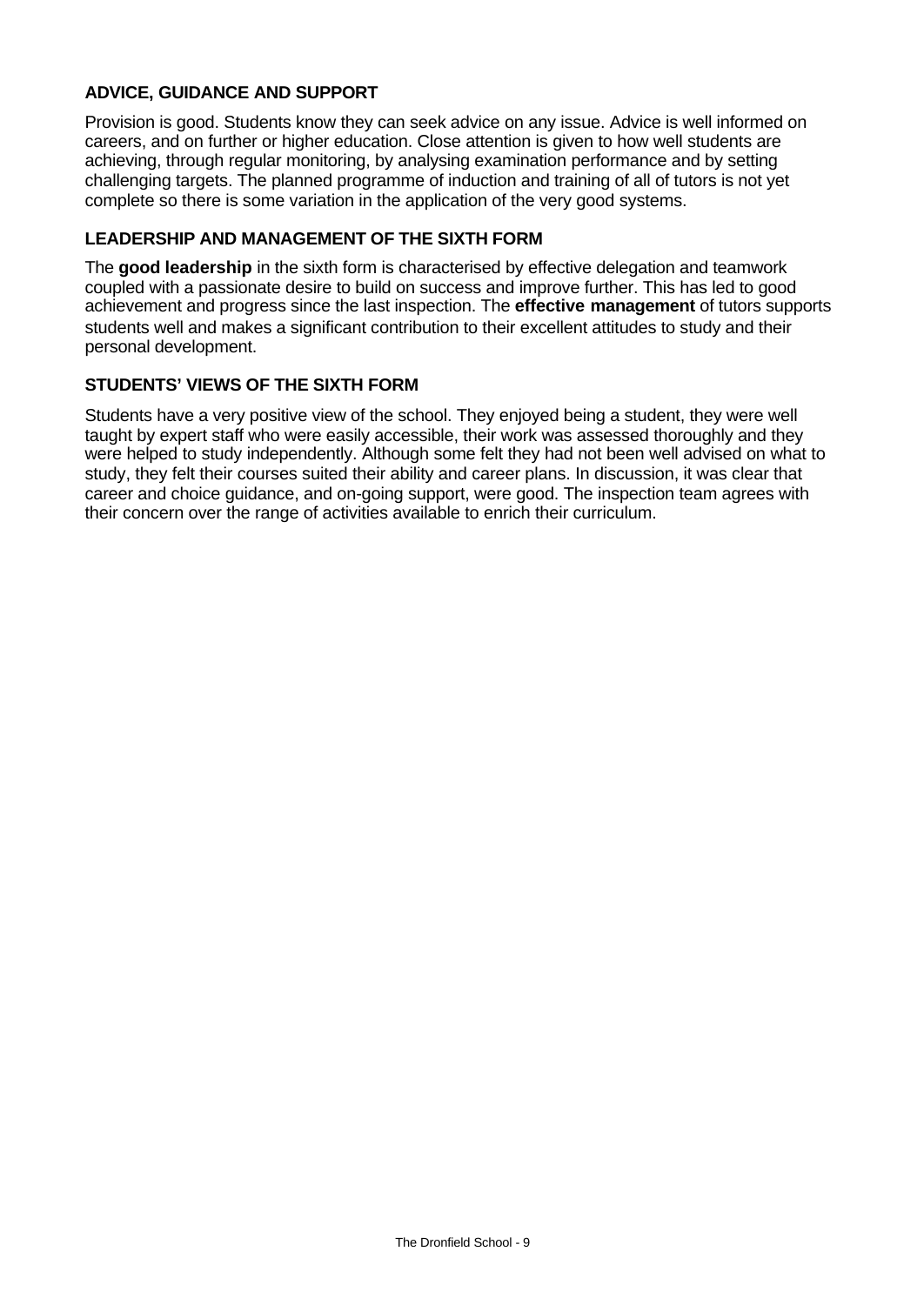# **ADVICE, GUIDANCE AND SUPPORT**

Provision is good. Students know they can seek advice on any issue. Advice is well informed on careers, and on further or higher education. Close attention is given to how well students are achieving, through regular monitoring, by analysing examination performance and by setting challenging targets. The planned programme of induction and training of all of tutors is not yet complete so there is some variation in the application of the very good systems.

## **LEADERSHIP AND MANAGEMENT OF THE SIXTH FORM**

The **good leadership** in the sixth form is characterised by effective delegation and teamwork coupled with a passionate desire to build on success and improve further. This has led to good achievement and progress since the last inspection. The **effective management** of tutors supports students well and makes a significant contribution to their excellent attitudes to study and their personal development.

## **STUDENTS' VIEWS OF THE SIXTH FORM**

Students have a very positive view of the school. They enjoyed being a student, they were well taught by expert staff who were easily accessible, their work was assessed thoroughly and they were helped to study independently. Although some felt they had not been well advised on what to study, they felt their courses suited their ability and career plans. In discussion, it was clear that career and choice guidance, and on-going support, were good. The inspection team agrees with their concern over the range of activities available to enrich their curriculum.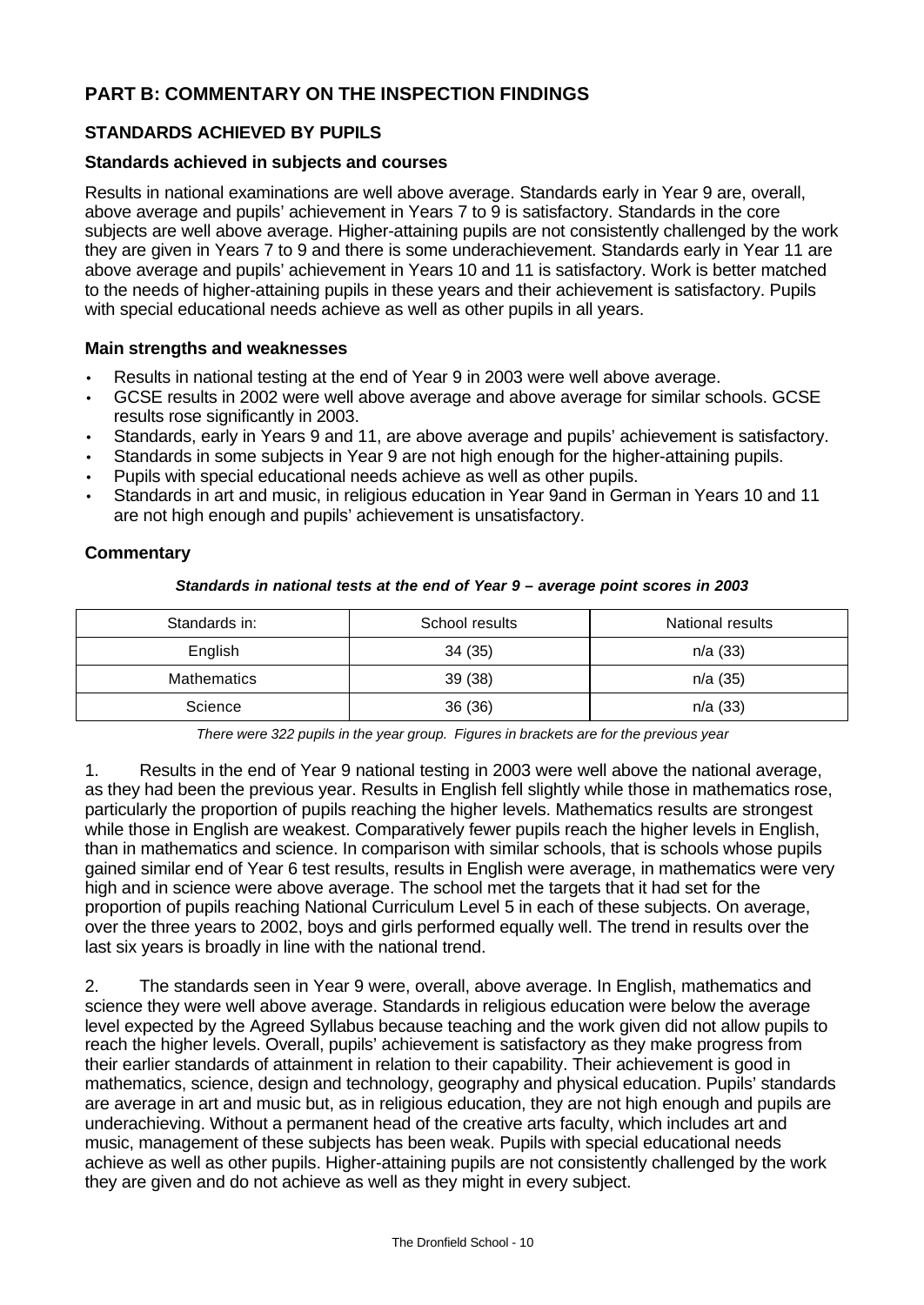# **PART B: COMMENTARY ON THE INSPECTION FINDINGS**

# **STANDARDS ACHIEVED BY PUPILS**

## **Standards achieved in subjects and courses**

Results in national examinations are well above average. Standards early in Year 9 are, overall, above average and pupils' achievement in Years 7 to 9 is satisfactory. Standards in the core subjects are well above average. Higher-attaining pupils are not consistently challenged by the work they are given in Years 7 to 9 and there is some underachievement. Standards early in Year 11 are above average and pupils' achievement in Years 10 and 11 is satisfactory. Work is better matched to the needs of higher-attaining pupils in these years and their achievement is satisfactory. Pupils with special educational needs achieve as well as other pupils in all years.

## **Main strengths and weaknesses**

- Results in national testing at the end of Year 9 in 2003 were well above average.
- GCSE results in 2002 were well above average and above average for similar schools. GCSE results rose significantly in 2003.
- Standards, early in Years 9 and 11, are above average and pupils' achievement is satisfactory.
- Standards in some subjects in Year 9 are not high enough for the higher-attaining pupils.
- Pupils with special educational needs achieve as well as other pupils.
- Standards in art and music, in religious education in Year 9and in German in Years 10 and 11 are not high enough and pupils' achievement is unsatisfactory.

# **Commentary**

#### *Standards in national tests at the end of Year 9 – average point scores in 2003*

| Standards in: | School results | National results |
|---------------|----------------|------------------|
| English       | 34(35)         | n/a(33)          |
| Mathematics   | 39(38)         | n/a(35)          |
| Science       | 36(36)         | n/a (33)         |

*There were 322 pupils in the year group. Figures in brackets are for the previous year*

1. Results in the end of Year 9 national testing in 2003 were well above the national average, as they had been the previous year. Results in English fell slightly while those in mathematics rose, particularly the proportion of pupils reaching the higher levels. Mathematics results are strongest while those in English are weakest. Comparatively fewer pupils reach the higher levels in English, than in mathematics and science. In comparison with similar schools, that is schools whose pupils gained similar end of Year 6 test results, results in English were average, in mathematics were very high and in science were above average. The school met the targets that it had set for the proportion of pupils reaching National Curriculum Level 5 in each of these subjects. On average, over the three years to 2002, boys and girls performed equally well. The trend in results over the last six years is broadly in line with the national trend.

2. The standards seen in Year 9 were, overall, above average. In English, mathematics and science they were well above average. Standards in religious education were below the average level expected by the Agreed Syllabus because teaching and the work given did not allow pupils to reach the higher levels. Overall, pupils' achievement is satisfactory as they make progress from their earlier standards of attainment in relation to their capability. Their achievement is good in mathematics, science, design and technology, geography and physical education. Pupils' standards are average in art and music but, as in religious education, they are not high enough and pupils are underachieving. Without a permanent head of the creative arts faculty, which includes art and music, management of these subjects has been weak. Pupils with special educational needs achieve as well as other pupils. Higher-attaining pupils are not consistently challenged by the work they are given and do not achieve as well as they might in every subject.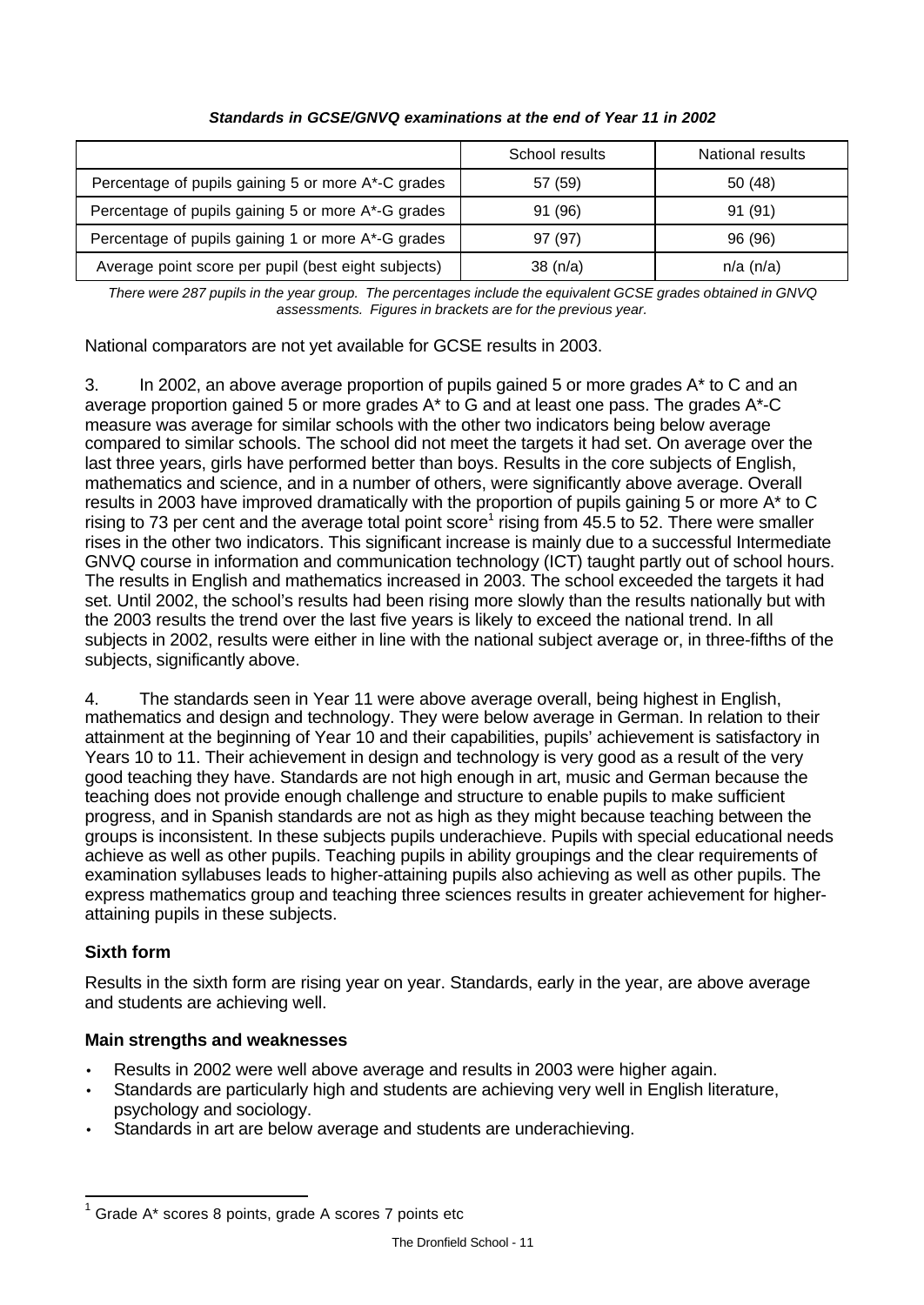|                                                     | School results | National results |
|-----------------------------------------------------|----------------|------------------|
| Percentage of pupils gaining 5 or more A*-C grades  | 57 (59)        | 50 (48)          |
| Percentage of pupils gaining 5 or more A*-G grades  | 91 (96)        | 91 (91)          |
| Percentage of pupils gaining 1 or more A*-G grades  | 97 (97)        | 96 (96)          |
| Average point score per pupil (best eight subjects) | 38(n/a)        | $n/a$ (n/a)      |

# *Standards in GCSE/GNVQ examinations at the end of Year 11 in 2002*

*There were 287 pupils in the year group. The percentages include the equivalent GCSE grades obtained in GNVQ assessments. Figures in brackets are for the previous year.*

National comparators are not yet available for GCSE results in 2003.

3. In 2002, an above average proportion of pupils gained 5 or more grades  $A^*$  to C and an average proportion gained 5 or more grades A\* to G and at least one pass. The grades A\*-C measure was average for similar schools with the other two indicators being below average compared to similar schools. The school did not meet the targets it had set. On average over the last three years, girls have performed better than boys. Results in the core subjects of English, mathematics and science, and in a number of others, were significantly above average. Overall results in 2003 have improved dramatically with the proportion of pupils gaining 5 or more A\* to C rising to 73 per cent and the average total point score<sup>1</sup> rising from 45.5 to 52. There were smaller rises in the other two indicators. This significant increase is mainly due to a successful Intermediate GNVQ course in information and communication technology (ICT) taught partly out of school hours. The results in English and mathematics increased in 2003. The school exceeded the targets it had set. Until 2002, the school's results had been rising more slowly than the results nationally but with the 2003 results the trend over the last five years is likely to exceed the national trend. In all subjects in 2002, results were either in line with the national subject average or, in three-fifths of the subjects, significantly above.

4. The standards seen in Year 11 were above average overall, being highest in English, mathematics and design and technology. They were below average in German. In relation to their attainment at the beginning of Year 10 and their capabilities, pupils' achievement is satisfactory in Years 10 to 11. Their achievement in design and technology is very good as a result of the very good teaching they have. Standards are not high enough in art, music and German because the teaching does not provide enough challenge and structure to enable pupils to make sufficient progress, and in Spanish standards are not as high as they might because teaching between the groups is inconsistent. In these subjects pupils underachieve. Pupils with special educational needs achieve as well as other pupils. Teaching pupils in ability groupings and the clear requirements of examination syllabuses leads to higher-attaining pupils also achieving as well as other pupils. The express mathematics group and teaching three sciences results in greater achievement for higherattaining pupils in these subjects.

# **Sixth form**

 $\overline{a}$ 

Results in the sixth form are rising year on year. Standards, early in the year, are above average and students are achieving well.

# **Main strengths and weaknesses**

- Results in 2002 were well above average and results in 2003 were higher again.
- Standards are particularly high and students are achieving very well in English literature, psychology and sociology.
- Standards in art are below average and students are underachieving.

 $1$  Grade A\* scores 8 points, grade A scores 7 points etc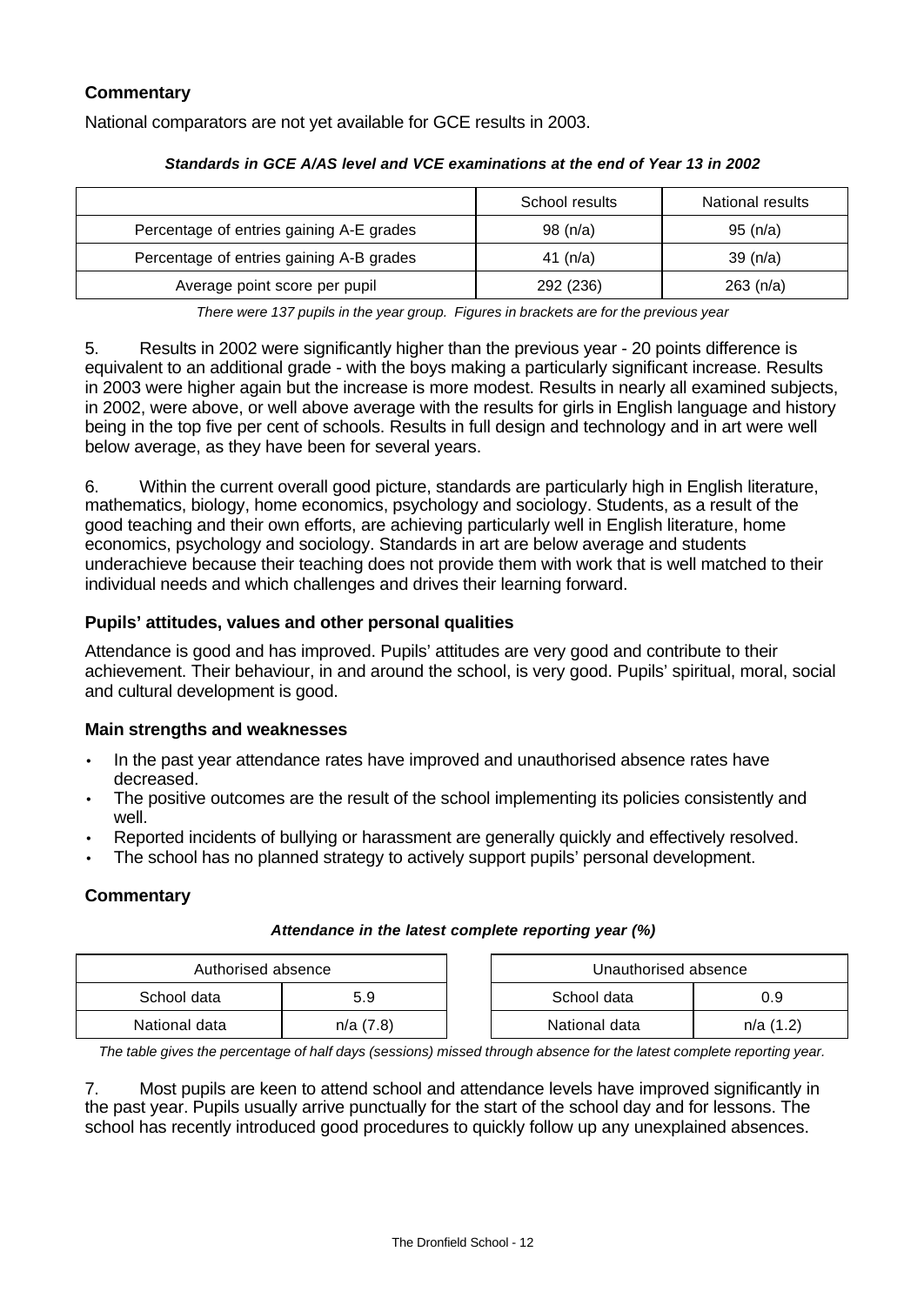# **Commentary**

National comparators are not yet available for GCE results in 2003.

|                                          | School results | National results |
|------------------------------------------|----------------|------------------|
| Percentage of entries gaining A-E grades | 98(n/a)        | 95(n/a)          |
| Percentage of entries gaining A-B grades | 41 $(n/a)$     | 39 $(n/a)$       |
| Average point score per pupil            | 292 (236)      | 263 (n/a)        |

## *Standards in GCE A/AS level and VCE examinations at the end of Year 13 in 2002*

*There were 137 pupils in the year group. Figures in brackets are for the previous year*

5. Results in 2002 were significantly higher than the previous year - 20 points difference is equivalent to an additional grade - with the boys making a particularly significant increase. Results in 2003 were higher again but the increase is more modest. Results in nearly all examined subjects, in 2002, were above, or well above average with the results for girls in English language and history being in the top five per cent of schools. Results in full design and technology and in art were well below average, as they have been for several years.

6. Within the current overall good picture, standards are particularly high in English literature, mathematics, biology, home economics, psychology and sociology. Students, as a result of the good teaching and their own efforts, are achieving particularly well in English literature, home economics, psychology and sociology. Standards in art are below average and students underachieve because their teaching does not provide them with work that is well matched to their individual needs and which challenges and drives their learning forward.

# **Pupils' attitudes, values and other personal qualities**

Attendance is good and has improved. Pupils' attitudes are very good and contribute to their achievement. Their behaviour, in and around the school, is very good. Pupils' spiritual, moral, social and cultural development is good.

## **Main strengths and weaknesses**

- In the past year attendance rates have improved and unauthorised absence rates have decreased.
- The positive outcomes are the result of the school implementing its policies consistently and well.
- Reported incidents of bullying or harassment are generally quickly and effectively resolved.
- The school has no planned strategy to actively support pupils' personal development.

# **Commentary**

#### *Attendance in the latest complete reporting year (%)*

| Authorised absence |          | Unauthorised absence |          |
|--------------------|----------|----------------------|----------|
| School data        | 5.9      | School data<br>0.9   |          |
| National data      | n/a(7.8) | National data        | n/a(1.2) |

*The table gives the percentage of half days (sessions) missed through absence for the latest complete reporting year.*

7. Most pupils are keen to attend school and attendance levels have improved significantly in the past year. Pupils usually arrive punctually for the start of the school day and for lessons. The school has recently introduced good procedures to quickly follow up any unexplained absences.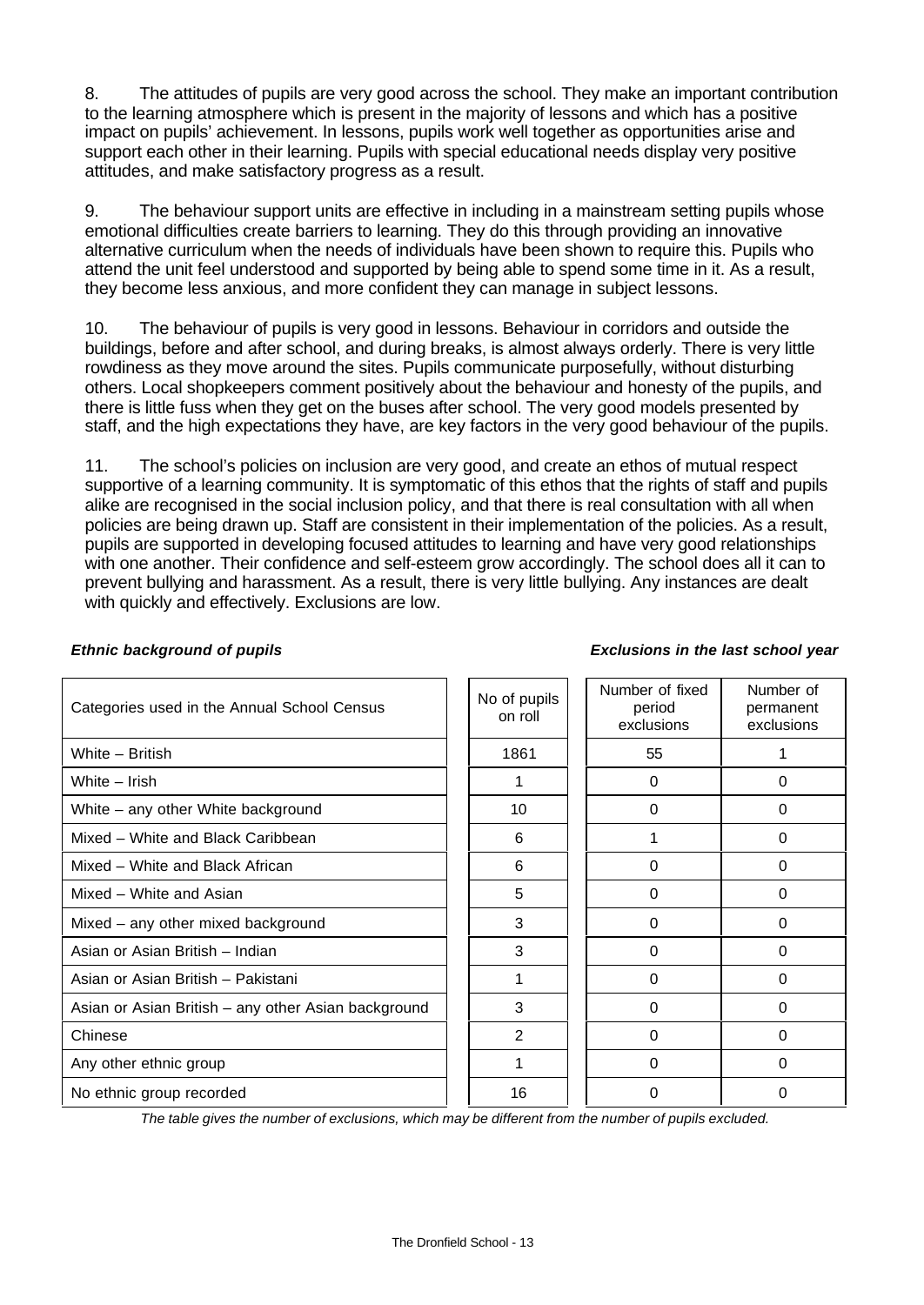8. The attitudes of pupils are very good across the school. They make an important contribution to the learning atmosphere which is present in the majority of lessons and which has a positive impact on pupils' achievement. In lessons, pupils work well together as opportunities arise and support each other in their learning. Pupils with special educational needs display very positive attitudes, and make satisfactory progress as a result.

9. The behaviour support units are effective in including in a mainstream setting pupils whose emotional difficulties create barriers to learning. They do this through providing an innovative alternative curriculum when the needs of individuals have been shown to require this. Pupils who attend the unit feel understood and supported by being able to spend some time in it. As a result, they become less anxious, and more confident they can manage in subject lessons.

10. The behaviour of pupils is very good in lessons. Behaviour in corridors and outside the buildings, before and after school, and during breaks, is almost always orderly. There is very little rowdiness as they move around the sites. Pupils communicate purposefully, without disturbing others. Local shopkeepers comment positively about the behaviour and honesty of the pupils, and there is little fuss when they get on the buses after school. The very good models presented by staff, and the high expectations they have, are key factors in the very good behaviour of the pupils.

11. The school's policies on inclusion are very good, and create an ethos of mutual respect supportive of a learning community. It is symptomatic of this ethos that the rights of staff and pupils alike are recognised in the social inclusion policy, and that there is real consultation with all when policies are being drawn up. Staff are consistent in their implementation of the policies. As a result, pupils are supported in developing focused attitudes to learning and have very good relationships with one another. Their confidence and self-esteem grow accordingly. The school does all it can to prevent bullying and harassment. As a result, there is very little bullying. Any instances are dealt with quickly and effectively. Exclusions are low.

| Categories used in the Annual School Census         | No of pupils<br>on roll | Number of fixed<br>period<br>exclusions | Number of<br>permanent<br>exclusions |
|-----------------------------------------------------|-------------------------|-----------------------------------------|--------------------------------------|
| White - British                                     | 1861                    | 55                                      |                                      |
| White - Irish                                       |                         | 0                                       | 0                                    |
| White - any other White background                  | 10                      | $\Omega$                                | 0                                    |
| Mixed - White and Black Caribbean                   | 6                       |                                         | 0                                    |
| Mixed - White and Black African                     | 6                       | $\Omega$                                | $\Omega$                             |
| Mixed – White and Asian                             | 5                       | $\Omega$                                | 0                                    |
| Mixed - any other mixed background                  | 3                       | $\Omega$                                | $\Omega$                             |
| Asian or Asian British - Indian                     | 3                       | $\Omega$                                | 0                                    |
| Asian or Asian British - Pakistani                  |                         | $\Omega$                                | 0                                    |
| Asian or Asian British - any other Asian background | 3                       | $\Omega$                                | 0                                    |
| Chinese                                             | 2                       | $\Omega$                                | $\Omega$                             |
| Any other ethnic group                              |                         | $\Omega$                                | $\Omega$                             |
| No ethnic group recorded                            | 16                      | 0                                       | 0                                    |

# *Ethnic background of pupils Exclusions in the last school year*

*The table gives the number of exclusions, which may be different from the number of pupils excluded.*

# The Dronfield School - 13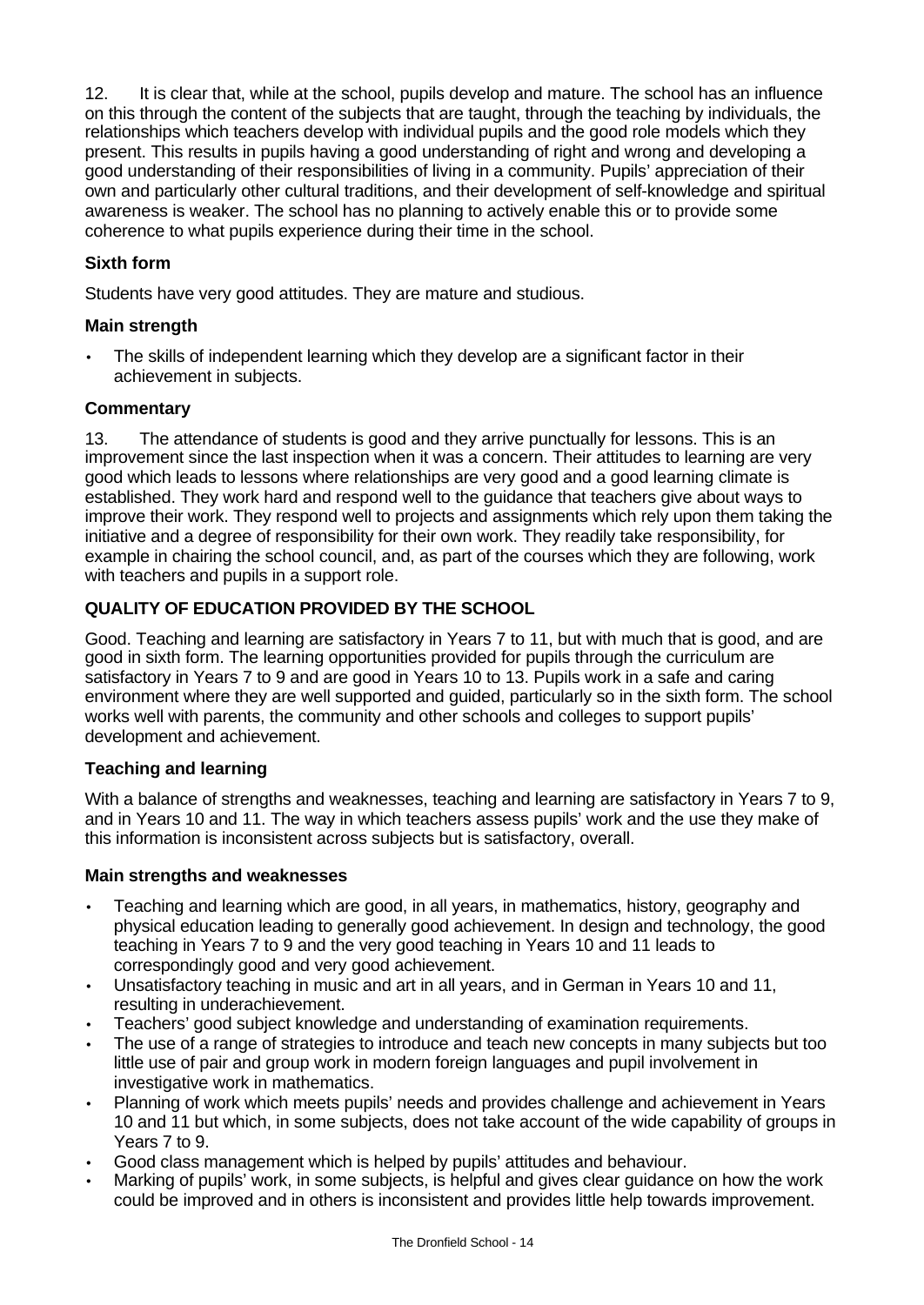12. It is clear that, while at the school, pupils develop and mature. The school has an influence on this through the content of the subjects that are taught, through the teaching by individuals, the relationships which teachers develop with individual pupils and the good role models which they present. This results in pupils having a good understanding of right and wrong and developing a good understanding of their responsibilities of living in a community. Pupils' appreciation of their own and particularly other cultural traditions, and their development of self-knowledge and spiritual awareness is weaker. The school has no planning to actively enable this or to provide some coherence to what pupils experience during their time in the school.

# **Sixth form**

Students have very good attitudes. They are mature and studious.

# **Main strength**

The skills of independent learning which they develop are a significant factor in their achievement in subjects.

# **Commentary**

13. The attendance of students is good and they arrive punctually for lessons. This is an improvement since the last inspection when it was a concern. Their attitudes to learning are very good which leads to lessons where relationships are very good and a good learning climate is established. They work hard and respond well to the guidance that teachers give about ways to improve their work. They respond well to projects and assignments which rely upon them taking the initiative and a degree of responsibility for their own work. They readily take responsibility, for example in chairing the school council, and, as part of the courses which they are following, work with teachers and pupils in a support role.

# **QUALITY OF EDUCATION PROVIDED BY THE SCHOOL**

Good. Teaching and learning are satisfactory in Years 7 to 11, but with much that is good, and are good in sixth form. The learning opportunities provided for pupils through the curriculum are satisfactory in Years 7 to 9 and are good in Years 10 to 13. Pupils work in a safe and caring environment where they are well supported and guided, particularly so in the sixth form. The school works well with parents, the community and other schools and colleges to support pupils' development and achievement.

# **Teaching and learning**

With a balance of strengths and weaknesses, teaching and learning are satisfactory in Years 7 to 9, and in Years 10 and 11. The way in which teachers assess pupils' work and the use they make of this information is inconsistent across subjects but is satisfactory, overall.

## **Main strengths and weaknesses**

- Teaching and learning which are good, in all years, in mathematics, history, geography and physical education leading to generally good achievement. In design and technology, the good teaching in Years 7 to 9 and the very good teaching in Years 10 and 11 leads to correspondingly good and very good achievement.
- Unsatisfactory teaching in music and art in all years, and in German in Years 10 and 11, resulting in underachievement.
- Teachers' good subject knowledge and understanding of examination requirements.
- The use of a range of strategies to introduce and teach new concepts in many subjects but too little use of pair and group work in modern foreign languages and pupil involvement in investigative work in mathematics.
- Planning of work which meets pupils' needs and provides challenge and achievement in Years 10 and 11 but which, in some subjects, does not take account of the wide capability of groups in Years 7 to 9.
- Good class management which is helped by pupils' attitudes and behaviour.
- Marking of pupils' work, in some subjects, is helpful and gives clear guidance on how the work could be improved and in others is inconsistent and provides little help towards improvement.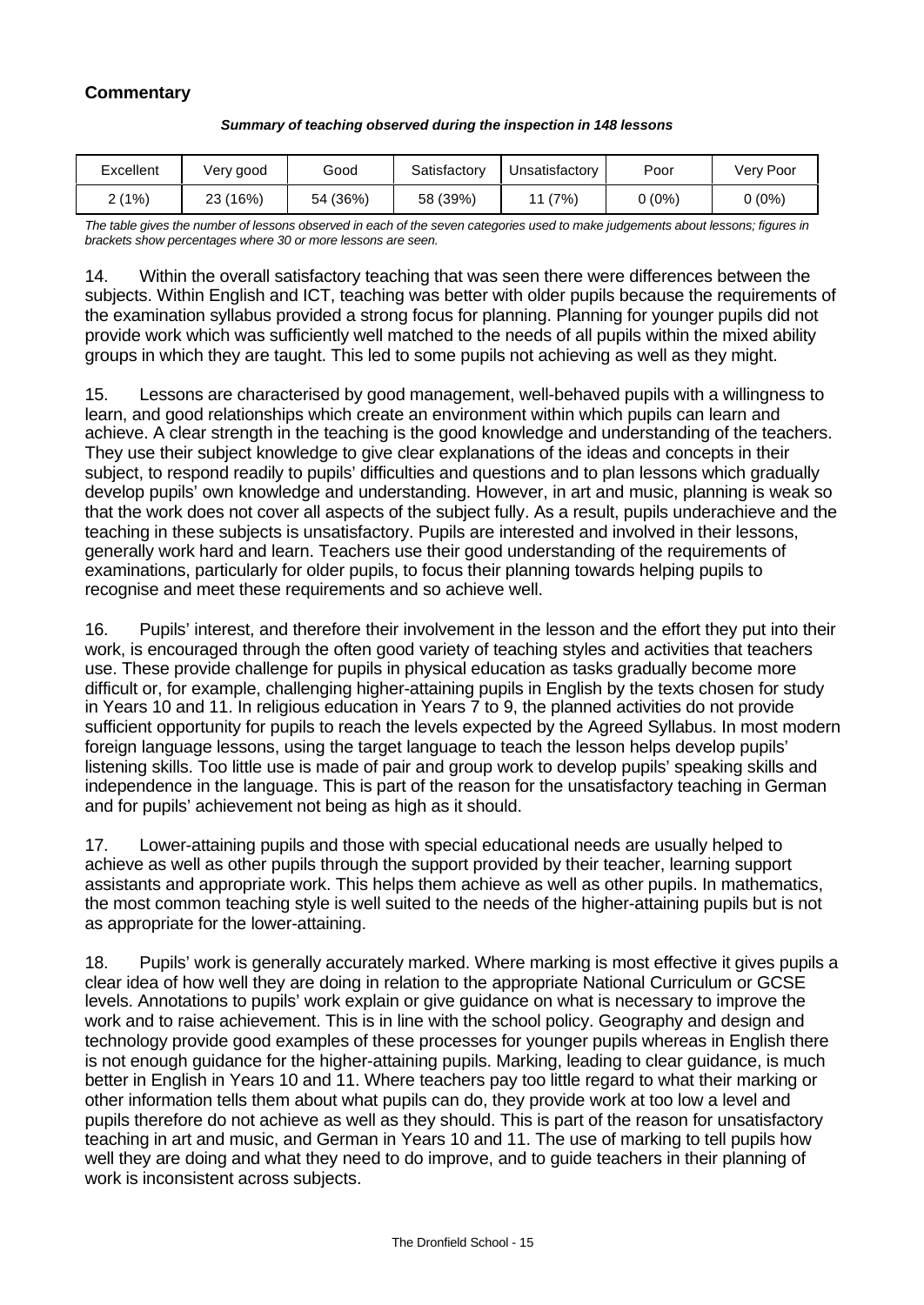# **Commentary**

| Excellent | Very good    | Good     | Satisfactory | Unsatisfactory | Poor   | Very Poor |
|-----------|--------------|----------|--------------|----------------|--------|-----------|
| 2 (1%)    | (16%)<br>23. | 54 (36%) | 58 (39%)     | (7%)<br>11     | 0 (0%) | 0 (0%)    |

#### *Summary of teaching observed during the inspection in 148 lessons*

*The table gives the number of lessons observed in each of the seven categories used to make judgements about lessons; figures in brackets show percentages where 30 or more lessons are seen.*

14. Within the overall satisfactory teaching that was seen there were differences between the subjects. Within English and ICT, teaching was better with older pupils because the requirements of the examination syllabus provided a strong focus for planning. Planning for younger pupils did not provide work which was sufficiently well matched to the needs of all pupils within the mixed ability groups in which they are taught. This led to some pupils not achieving as well as they might.

15. Lessons are characterised by good management, well-behaved pupils with a willingness to learn, and good relationships which create an environment within which pupils can learn and achieve. A clear strength in the teaching is the good knowledge and understanding of the teachers. They use their subject knowledge to give clear explanations of the ideas and concepts in their subject, to respond readily to pupils' difficulties and questions and to plan lessons which gradually develop pupils' own knowledge and understanding. However, in art and music, planning is weak so that the work does not cover all aspects of the subject fully. As a result, pupils underachieve and the teaching in these subjects is unsatisfactory. Pupils are interested and involved in their lessons, generally work hard and learn. Teachers use their good understanding of the requirements of examinations, particularly for older pupils, to focus their planning towards helping pupils to recognise and meet these requirements and so achieve well.

16. Pupils' interest, and therefore their involvement in the lesson and the effort they put into their work, is encouraged through the often good variety of teaching styles and activities that teachers use. These provide challenge for pupils in physical education as tasks gradually become more difficult or, for example, challenging higher-attaining pupils in English by the texts chosen for study in Years 10 and 11. In religious education in Years 7 to 9, the planned activities do not provide sufficient opportunity for pupils to reach the levels expected by the Agreed Syllabus. In most modern foreign language lessons, using the target language to teach the lesson helps develop pupils' listening skills. Too little use is made of pair and group work to develop pupils' speaking skills and independence in the language. This is part of the reason for the unsatisfactory teaching in German and for pupils' achievement not being as high as it should.

17. Lower-attaining pupils and those with special educational needs are usually helped to achieve as well as other pupils through the support provided by their teacher, learning support assistants and appropriate work. This helps them achieve as well as other pupils. In mathematics, the most common teaching style is well suited to the needs of the higher-attaining pupils but is not as appropriate for the lower-attaining.

18. Pupils' work is generally accurately marked. Where marking is most effective it gives pupils a clear idea of how well they are doing in relation to the appropriate National Curriculum or GCSE levels. Annotations to pupils' work explain or give guidance on what is necessary to improve the work and to raise achievement. This is in line with the school policy. Geography and design and technology provide good examples of these processes for younger pupils whereas in English there is not enough guidance for the higher-attaining pupils. Marking, leading to clear guidance, is much better in English in Years 10 and 11. Where teachers pay too little regard to what their marking or other information tells them about what pupils can do, they provide work at too low a level and pupils therefore do not achieve as well as they should. This is part of the reason for unsatisfactory teaching in art and music, and German in Years 10 and 11. The use of marking to tell pupils how well they are doing and what they need to do improve, and to guide teachers in their planning of work is inconsistent across subjects.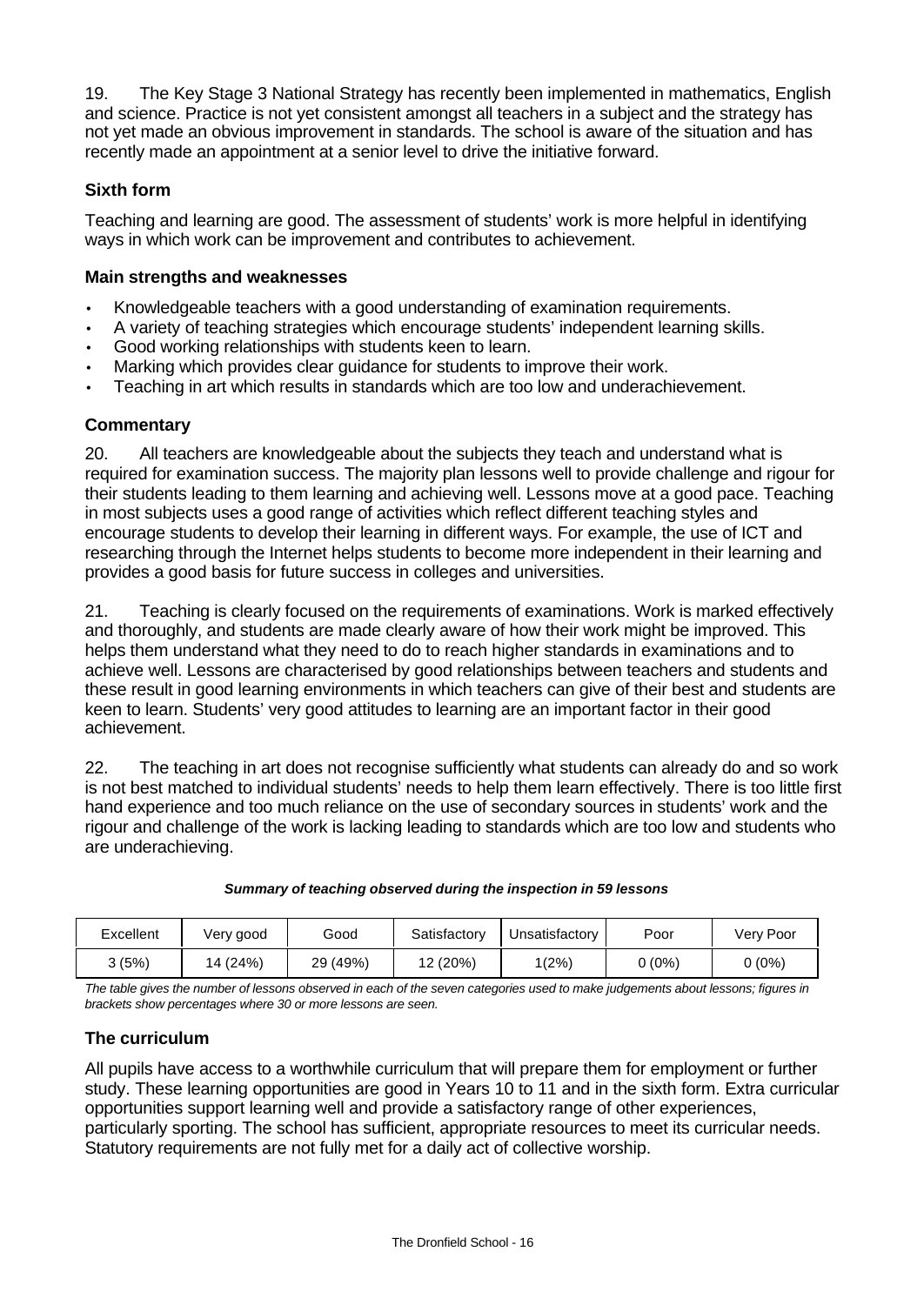19. The Key Stage 3 National Strategy has recently been implemented in mathematics, English and science. Practice is not yet consistent amongst all teachers in a subject and the strategy has not yet made an obvious improvement in standards. The school is aware of the situation and has recently made an appointment at a senior level to drive the initiative forward.

# **Sixth form**

Teaching and learning are good. The assessment of students' work is more helpful in identifying ways in which work can be improvement and contributes to achievement.

## **Main strengths and weaknesses**

- Knowledgeable teachers with a good understanding of examination requirements.
- A variety of teaching strategies which encourage students' independent learning skills.
- Good working relationships with students keen to learn.
- Marking which provides clear guidance for students to improve their work.
- Teaching in art which results in standards which are too low and underachievement.

# **Commentary**

20. All teachers are knowledgeable about the subjects they teach and understand what is required for examination success. The majority plan lessons well to provide challenge and rigour for their students leading to them learning and achieving well. Lessons move at a good pace. Teaching in most subjects uses a good range of activities which reflect different teaching styles and encourage students to develop their learning in different ways. For example, the use of ICT and researching through the Internet helps students to become more independent in their learning and provides a good basis for future success in colleges and universities.

21. Teaching is clearly focused on the requirements of examinations. Work is marked effectively and thoroughly, and students are made clearly aware of how their work might be improved. This helps them understand what they need to do to reach higher standards in examinations and to achieve well. Lessons are characterised by good relationships between teachers and students and these result in good learning environments in which teachers can give of their best and students are keen to learn. Students' very good attitudes to learning are an important factor in their good achievement.

22. The teaching in art does not recognise sufficiently what students can already do and so work is not best matched to individual students' needs to help them learn effectively. There is too little first hand experience and too much reliance on the use of secondary sources in students' work and the rigour and challenge of the work is lacking leading to standards which are too low and students who are underachieving.

| Excellent | Very good | Good     | Satisfactory | Jnsatisfactory | Poor   | Very Poor |
|-----------|-----------|----------|--------------|----------------|--------|-----------|
| 3(5%)     | 14 (24%)  | 29 (49%) | 12 (20%)     | 1(2%)          | 0 (0%) | J (0%)    |

*The table gives the number of lessons observed in each of the seven categories used to make judgements about lessons; figures in brackets show percentages where 30 or more lessons are seen.*

# **The curriculum**

All pupils have access to a worthwhile curriculum that will prepare them for employment or further study. These learning opportunities are good in Years 10 to 11 and in the sixth form. Extra curricular opportunities support learning well and provide a satisfactory range of other experiences, particularly sporting. The school has sufficient, appropriate resources to meet its curricular needs. Statutory requirements are not fully met for a daily act of collective worship.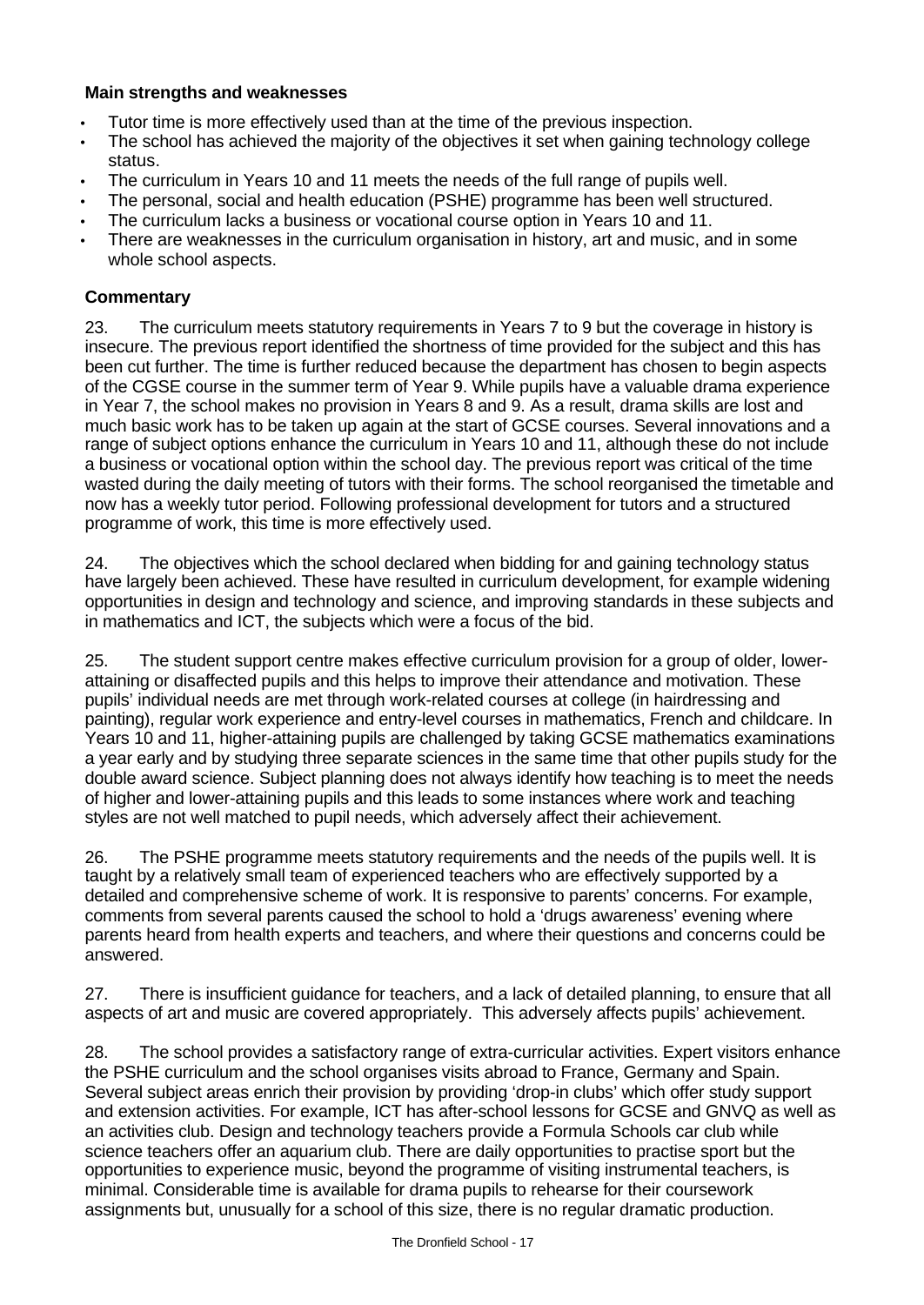# **Main strengths and weaknesses**

- Tutor time is more effectively used than at the time of the previous inspection.
- The school has achieved the majority of the objectives it set when gaining technology college status.
- The curriculum in Years 10 and 11 meets the needs of the full range of pupils well.
- The personal, social and health education (PSHE) programme has been well structured.
- The curriculum lacks a business or vocational course option in Years 10 and 11.
- There are weaknesses in the curriculum organisation in history, art and music, and in some whole school aspects.

# **Commentary**

23. The curriculum meets statutory requirements in Years 7 to 9 but the coverage in history is insecure. The previous report identified the shortness of time provided for the subject and this has been cut further. The time is further reduced because the department has chosen to begin aspects of the CGSE course in the summer term of Year 9. While pupils have a valuable drama experience in Year 7, the school makes no provision in Years 8 and 9. As a result, drama skills are lost and much basic work has to be taken up again at the start of GCSE courses. Several innovations and a range of subject options enhance the curriculum in Years 10 and 11, although these do not include a business or vocational option within the school day. The previous report was critical of the time wasted during the daily meeting of tutors with their forms. The school reorganised the timetable and now has a weekly tutor period. Following professional development for tutors and a structured programme of work, this time is more effectively used.

24. The objectives which the school declared when bidding for and gaining technology status have largely been achieved. These have resulted in curriculum development, for example widening opportunities in design and technology and science, and improving standards in these subjects and in mathematics and ICT, the subjects which were a focus of the bid.

25. The student support centre makes effective curriculum provision for a group of older, lowerattaining or disaffected pupils and this helps to improve their attendance and motivation. These pupils' individual needs are met through work-related courses at college (in hairdressing and painting), regular work experience and entry-level courses in mathematics, French and childcare. In Years 10 and 11, higher-attaining pupils are challenged by taking GCSE mathematics examinations a year early and by studying three separate sciences in the same time that other pupils study for the double award science. Subject planning does not always identify how teaching is to meet the needs of higher and lower-attaining pupils and this leads to some instances where work and teaching styles are not well matched to pupil needs, which adversely affect their achievement.

26. The PSHE programme meets statutory requirements and the needs of the pupils well. It is taught by a relatively small team of experienced teachers who are effectively supported by a detailed and comprehensive scheme of work. It is responsive to parents' concerns. For example, comments from several parents caused the school to hold a 'drugs awareness' evening where parents heard from health experts and teachers, and where their questions and concerns could be answered.

27. There is insufficient guidance for teachers, and a lack of detailed planning, to ensure that all aspects of art and music are covered appropriately. This adversely affects pupils' achievement.

28. The school provides a satisfactory range of extra-curricular activities. Expert visitors enhance the PSHE curriculum and the school organises visits abroad to France, Germany and Spain. Several subject areas enrich their provision by providing 'drop-in clubs' which offer study support and extension activities. For example, ICT has after-school lessons for GCSE and GNVQ as well as an activities club. Design and technology teachers provide a Formula Schools car club while science teachers offer an aquarium club. There are daily opportunities to practise sport but the opportunities to experience music, beyond the programme of visiting instrumental teachers, is minimal. Considerable time is available for drama pupils to rehearse for their coursework assignments but, unusually for a school of this size, there is no regular dramatic production.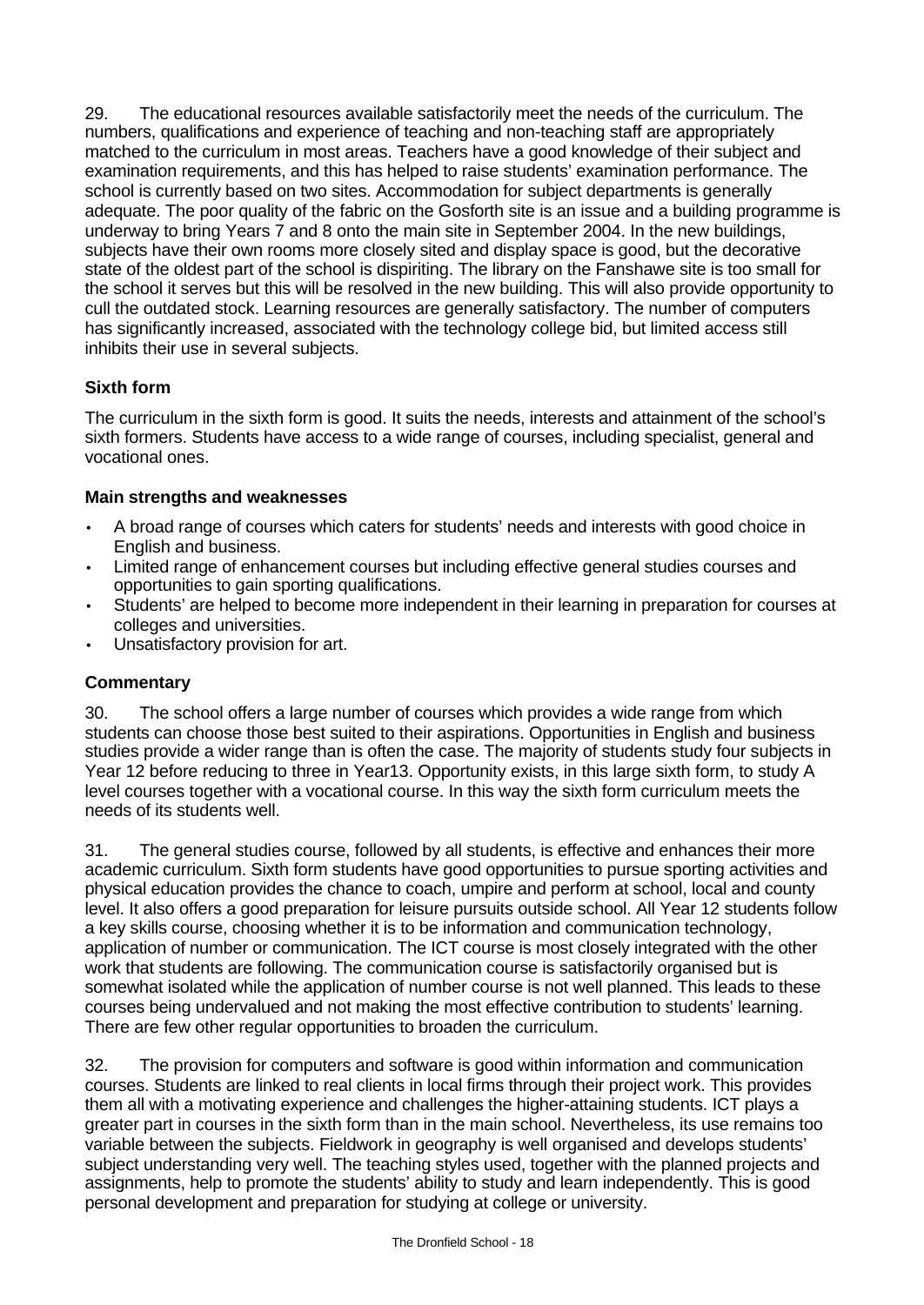29. The educational resources available satisfactorily meet the needs of the curriculum. The numbers, qualifications and experience of teaching and non-teaching staff are appropriately matched to the curriculum in most areas. Teachers have a good knowledge of their subject and examination requirements, and this has helped to raise students' examination performance. The school is currently based on two sites. Accommodation for subject departments is generally adequate. The poor quality of the fabric on the Gosforth site is an issue and a building programme is underway to bring Years 7 and 8 onto the main site in September 2004. In the new buildings, subjects have their own rooms more closely sited and display space is good, but the decorative state of the oldest part of the school is dispiriting. The library on the Fanshawe site is too small for the school it serves but this will be resolved in the new building. This will also provide opportunity to cull the outdated stock. Learning resources are generally satisfactory. The number of computers has significantly increased, associated with the technology college bid, but limited access still inhibits their use in several subjects.

# **Sixth form**

The curriculum in the sixth form is good. It suits the needs, interests and attainment of the school's sixth formers. Students have access to a wide range of courses, including specialist, general and vocational ones.

# **Main strengths and weaknesses**

- A broad range of courses which caters for students' needs and interests with good choice in English and business.
- Limited range of enhancement courses but including effective general studies courses and opportunities to gain sporting qualifications.
- Students' are helped to become more independent in their learning in preparation for courses at colleges and universities.
- Unsatisfactory provision for art.

# **Commentary**

30. The school offers a large number of courses which provides a wide range from which students can choose those best suited to their aspirations. Opportunities in English and business studies provide a wider range than is often the case. The majority of students study four subjects in Year 12 before reducing to three in Year13. Opportunity exists, in this large sixth form, to study A level courses together with a vocational course. In this way the sixth form curriculum meets the needs of its students well.

31. The general studies course, followed by all students, is effective and enhances their more academic curriculum. Sixth form students have good opportunities to pursue sporting activities and physical education provides the chance to coach, umpire and perform at school, local and county level. It also offers a good preparation for leisure pursuits outside school. All Year 12 students follow a key skills course, choosing whether it is to be information and communication technology, application of number or communication. The ICT course is most closely integrated with the other work that students are following. The communication course is satisfactorily organised but is somewhat isolated while the application of number course is not well planned. This leads to these courses being undervalued and not making the most effective contribution to students' learning. There are few other regular opportunities to broaden the curriculum.

32. The provision for computers and software is good within information and communication courses. Students are linked to real clients in local firms through their project work. This provides them all with a motivating experience and challenges the higher-attaining students. ICT plays a greater part in courses in the sixth form than in the main school. Nevertheless, its use remains too variable between the subjects. Fieldwork in geography is well organised and develops students' subject understanding very well. The teaching styles used, together with the planned projects and assignments, help to promote the students' ability to study and learn independently. This is good personal development and preparation for studying at college or university.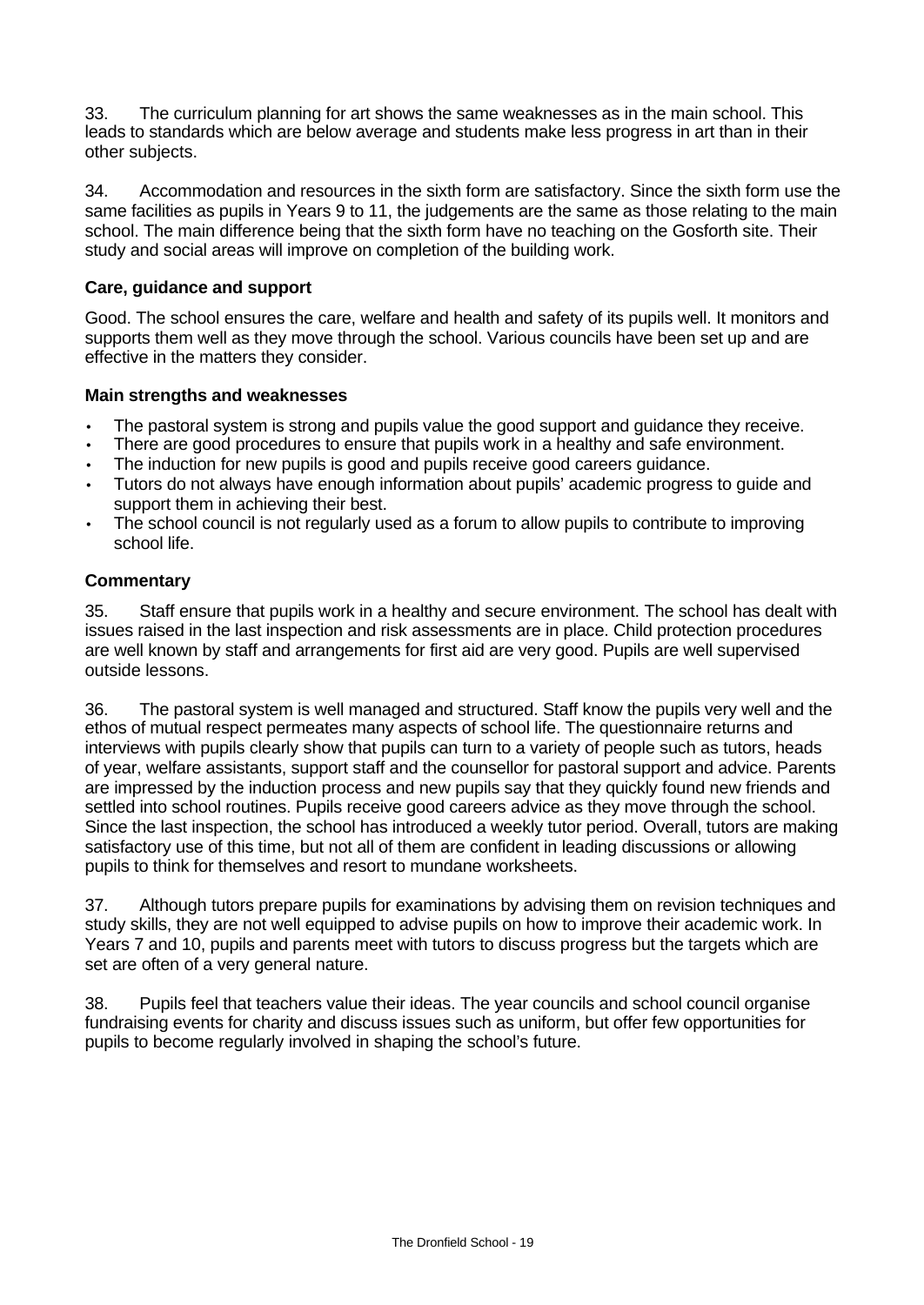33. The curriculum planning for art shows the same weaknesses as in the main school. This leads to standards which are below average and students make less progress in art than in their other subjects.

34. Accommodation and resources in the sixth form are satisfactory. Since the sixth form use the same facilities as pupils in Years 9 to 11, the judgements are the same as those relating to the main school. The main difference being that the sixth form have no teaching on the Gosforth site. Their study and social areas will improve on completion of the building work.

# **Care, guidance and support**

Good. The school ensures the care, welfare and health and safety of its pupils well. It monitors and supports them well as they move through the school. Various councils have been set up and are effective in the matters they consider.

# **Main strengths and weaknesses**

- The pastoral system is strong and pupils value the good support and guidance they receive.
- There are good procedures to ensure that pupils work in a healthy and safe environment.
- The induction for new pupils is good and pupils receive good careers guidance.
- Tutors do not always have enough information about pupils' academic progress to guide and support them in achieving their best.
- The school council is not regularly used as a forum to allow pupils to contribute to improving school life.

# **Commentary**

35. Staff ensure that pupils work in a healthy and secure environment. The school has dealt with issues raised in the last inspection and risk assessments are in place. Child protection procedures are well known by staff and arrangements for first aid are very good. Pupils are well supervised outside lessons.

36. The pastoral system is well managed and structured. Staff know the pupils very well and the ethos of mutual respect permeates many aspects of school life. The questionnaire returns and interviews with pupils clearly show that pupils can turn to a variety of people such as tutors, heads of year, welfare assistants, support staff and the counsellor for pastoral support and advice. Parents are impressed by the induction process and new pupils say that they quickly found new friends and settled into school routines. Pupils receive good careers advice as they move through the school. Since the last inspection, the school has introduced a weekly tutor period. Overall, tutors are making satisfactory use of this time, but not all of them are confident in leading discussions or allowing pupils to think for themselves and resort to mundane worksheets.

37. Although tutors prepare pupils for examinations by advising them on revision techniques and study skills, they are not well equipped to advise pupils on how to improve their academic work. In Years 7 and 10, pupils and parents meet with tutors to discuss progress but the targets which are set are often of a very general nature.

38. Pupils feel that teachers value their ideas. The year councils and school council organise fundraising events for charity and discuss issues such as uniform, but offer few opportunities for pupils to become regularly involved in shaping the school's future.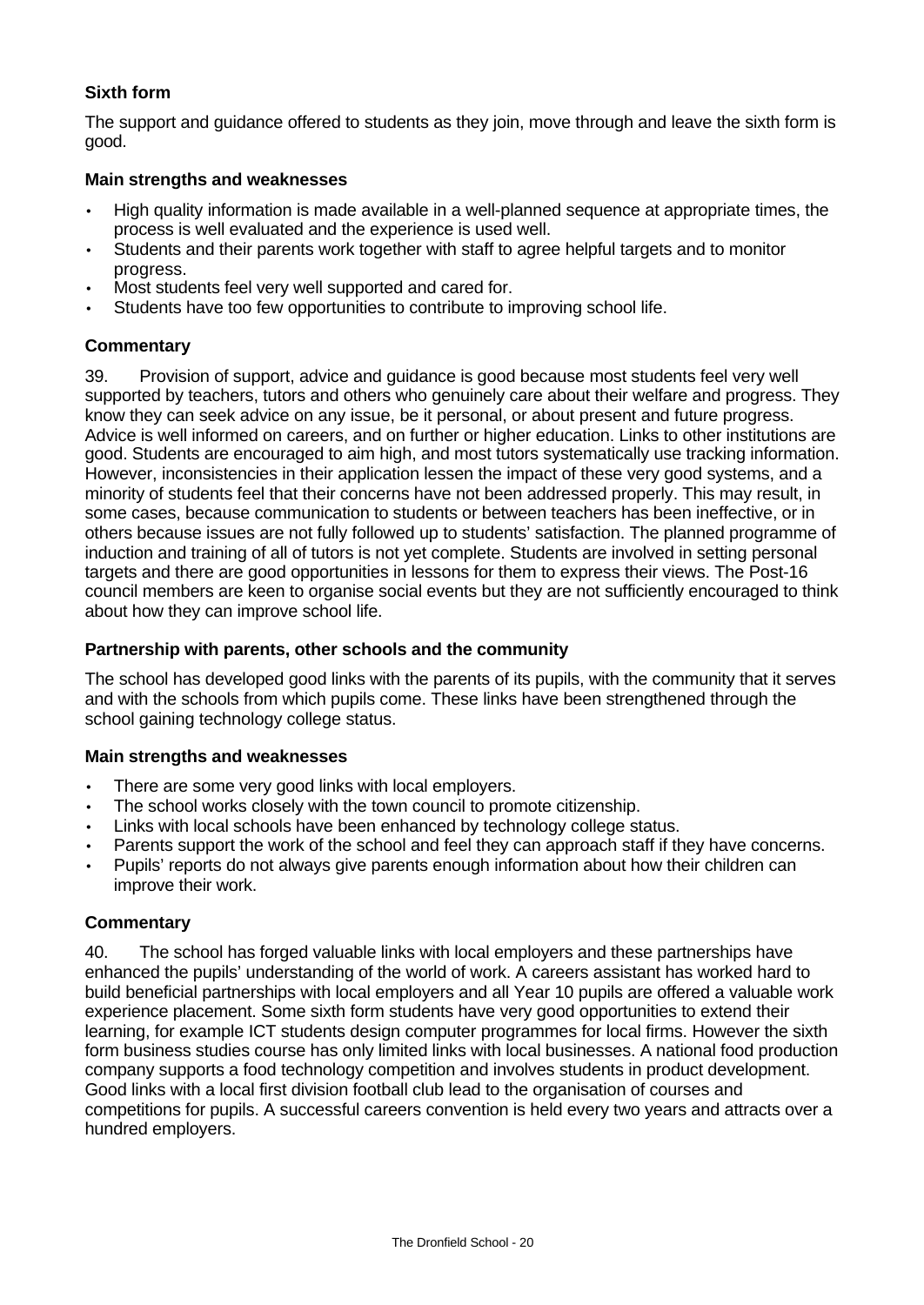# **Sixth form**

The support and guidance offered to students as they join, move through and leave the sixth form is good.

## **Main strengths and weaknesses**

- High quality information is made available in a well-planned sequence at appropriate times, the process is well evaluated and the experience is used well.
- Students and their parents work together with staff to agree helpful targets and to monitor progress.
- Most students feel very well supported and cared for.
- Students have too few opportunities to contribute to improving school life.

## **Commentary**

39. Provision of support, advice and guidance is good because most students feel very well supported by teachers, tutors and others who genuinely care about their welfare and progress. They know they can seek advice on any issue, be it personal, or about present and future progress. Advice is well informed on careers, and on further or higher education. Links to other institutions are good. Students are encouraged to aim high, and most tutors systematically use tracking information. However, inconsistencies in their application lessen the impact of these very good systems, and a minority of students feel that their concerns have not been addressed properly. This may result, in some cases, because communication to students or between teachers has been ineffective, or in others because issues are not fully followed up to students' satisfaction. The planned programme of induction and training of all of tutors is not yet complete. Students are involved in setting personal targets and there are good opportunities in lessons for them to express their views. The Post-16 council members are keen to organise social events but they are not sufficiently encouraged to think about how they can improve school life.

#### **Partnership with parents, other schools and the community**

The school has developed good links with the parents of its pupils, with the community that it serves and with the schools from which pupils come. These links have been strengthened through the school gaining technology college status.

## **Main strengths and weaknesses**

- There are some very good links with local employers.
- The school works closely with the town council to promote citizenship.
- Links with local schools have been enhanced by technology college status.
- Parents support the work of the school and feel they can approach staff if they have concerns.
- Pupils' reports do not always give parents enough information about how their children can improve their work.

## **Commentary**

40. The school has forged valuable links with local employers and these partnerships have enhanced the pupils' understanding of the world of work. A careers assistant has worked hard to build beneficial partnerships with local employers and all Year 10 pupils are offered a valuable work experience placement. Some sixth form students have very good opportunities to extend their learning, for example ICT students design computer programmes for local firms. However the sixth form business studies course has only limited links with local businesses. A national food production company supports a food technology competition and involves students in product development. Good links with a local first division football club lead to the organisation of courses and competitions for pupils. A successful careers convention is held every two years and attracts over a hundred employers.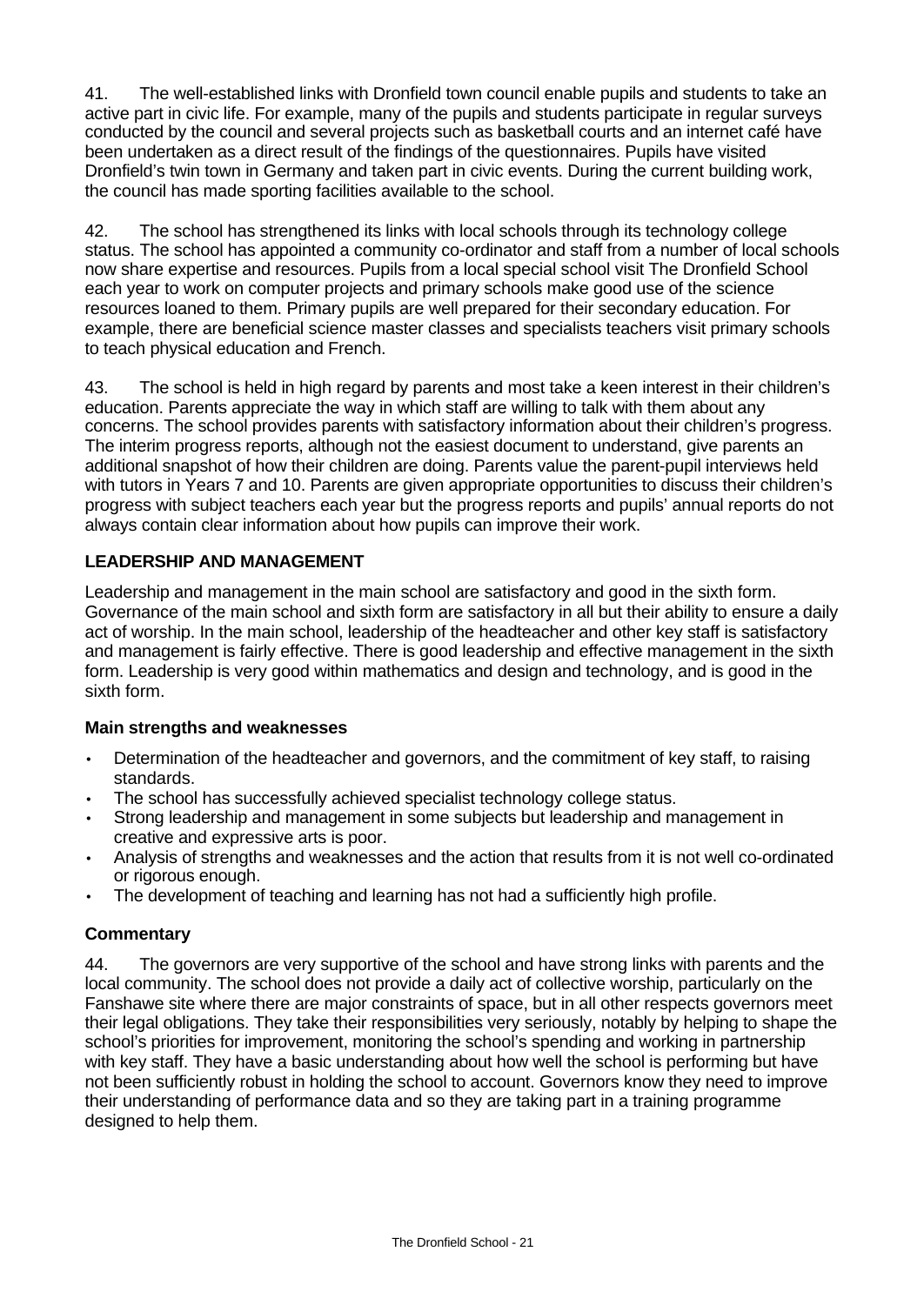41. The well-established links with Dronfield town council enable pupils and students to take an active part in civic life. For example, many of the pupils and students participate in regular surveys conducted by the council and several projects such as basketball courts and an internet café have been undertaken as a direct result of the findings of the questionnaires. Pupils have visited Dronfield's twin town in Germany and taken part in civic events. During the current building work, the council has made sporting facilities available to the school.

42. The school has strengthened its links with local schools through its technology college status. The school has appointed a community co-ordinator and staff from a number of local schools now share expertise and resources. Pupils from a local special school visit The Dronfield School each year to work on computer projects and primary schools make good use of the science resources loaned to them. Primary pupils are well prepared for their secondary education. For example, there are beneficial science master classes and specialists teachers visit primary schools to teach physical education and French.

43. The school is held in high regard by parents and most take a keen interest in their children's education. Parents appreciate the way in which staff are willing to talk with them about any concerns. The school provides parents with satisfactory information about their children's progress. The interim progress reports, although not the easiest document to understand, give parents an additional snapshot of how their children are doing. Parents value the parent-pupil interviews held with tutors in Years 7 and 10. Parents are given appropriate opportunities to discuss their children's progress with subject teachers each year but the progress reports and pupils' annual reports do not always contain clear information about how pupils can improve their work.

# **LEADERSHIP AND MANAGEMENT**

Leadership and management in the main school are satisfactory and good in the sixth form. Governance of the main school and sixth form are satisfactory in all but their ability to ensure a daily act of worship. In the main school, leadership of the headteacher and other key staff is satisfactory and management is fairly effective. There is good leadership and effective management in the sixth form. Leadership is very good within mathematics and design and technology, and is good in the sixth form.

# **Main strengths and weaknesses**

- Determination of the headteacher and governors, and the commitment of key staff, to raising standards.
- The school has successfully achieved specialist technology college status.
- Strong leadership and management in some subjects but leadership and management in creative and expressive arts is poor.
- Analysis of strengths and weaknesses and the action that results from it is not well co-ordinated or rigorous enough.
- The development of teaching and learning has not had a sufficiently high profile.

# **Commentary**

44. The governors are very supportive of the school and have strong links with parents and the local community. The school does not provide a daily act of collective worship, particularly on the Fanshawe site where there are major constraints of space, but in all other respects governors meet their legal obligations. They take their responsibilities very seriously, notably by helping to shape the school's priorities for improvement, monitoring the school's spending and working in partnership with key staff. They have a basic understanding about how well the school is performing but have not been sufficiently robust in holding the school to account. Governors know they need to improve their understanding of performance data and so they are taking part in a training programme designed to help them.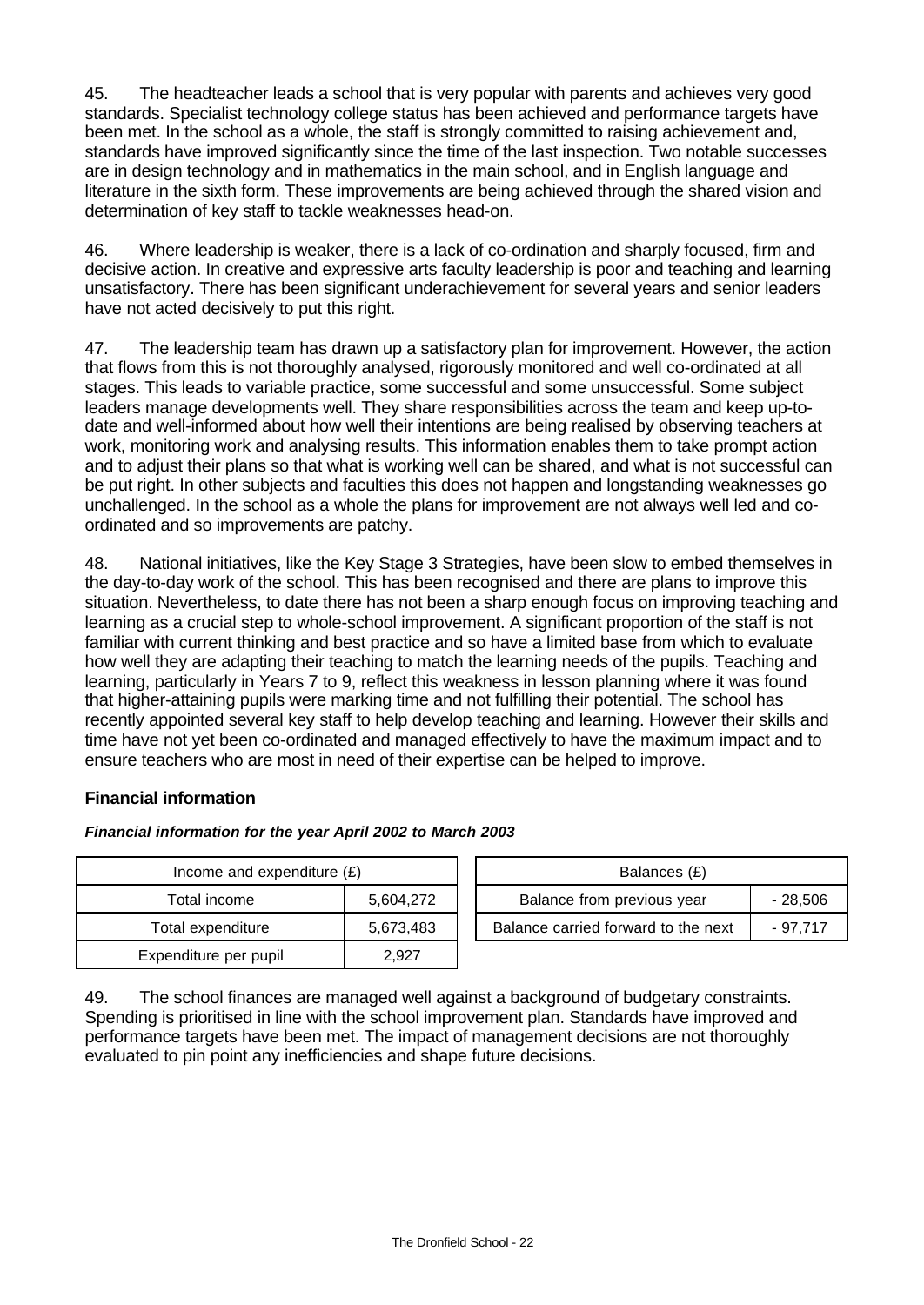45. The headteacher leads a school that is very popular with parents and achieves very good standards. Specialist technology college status has been achieved and performance targets have been met. In the school as a whole, the staff is strongly committed to raising achievement and, standards have improved significantly since the time of the last inspection. Two notable successes are in design technology and in mathematics in the main school, and in English language and literature in the sixth form. These improvements are being achieved through the shared vision and determination of key staff to tackle weaknesses head-on.

46. Where leadership is weaker, there is a lack of co-ordination and sharply focused, firm and decisive action. In creative and expressive arts faculty leadership is poor and teaching and learning unsatisfactory. There has been significant underachievement for several years and senior leaders have not acted decisively to put this right.

47. The leadership team has drawn up a satisfactory plan for improvement. However, the action that flows from this is not thoroughly analysed, rigorously monitored and well co-ordinated at all stages. This leads to variable practice, some successful and some unsuccessful. Some subject leaders manage developments well. They share responsibilities across the team and keep up-todate and well-informed about how well their intentions are being realised by observing teachers at work, monitoring work and analysing results. This information enables them to take prompt action and to adjust their plans so that what is working well can be shared, and what is not successful can be put right. In other subjects and faculties this does not happen and longstanding weaknesses go unchallenged. In the school as a whole the plans for improvement are not always well led and coordinated and so improvements are patchy.

48. National initiatives, like the Key Stage 3 Strategies, have been slow to embed themselves in the day-to-day work of the school. This has been recognised and there are plans to improve this situation. Nevertheless, to date there has not been a sharp enough focus on improving teaching and learning as a crucial step to whole-school improvement. A significant proportion of the staff is not familiar with current thinking and best practice and so have a limited base from which to evaluate how well they are adapting their teaching to match the learning needs of the pupils. Teaching and learning, particularly in Years 7 to 9, reflect this weakness in lesson planning where it was found that higher-attaining pupils were marking time and not fulfilling their potential. The school has recently appointed several key staff to help develop teaching and learning. However their skills and time have not yet been co-ordinated and managed effectively to have the maximum impact and to ensure teachers who are most in need of their expertise can be helped to improve.

# **Financial information**

## *Financial information for the year April 2002 to March 2003*

| Income and expenditure $(E)$ |           | Balances (£)                        |          |  |
|------------------------------|-----------|-------------------------------------|----------|--|
| Total income                 | 5,604,272 | Balance from previous year          | - 28,506 |  |
| Total expenditure            | 5,673,483 | Balance carried forward to the next | - 97.717 |  |
| Expenditure per pupil        | 2.927     |                                     |          |  |

49. The school finances are managed well against a background of budgetary constraints. Spending is prioritised in line with the school improvement plan. Standards have improved and performance targets have been met. The impact of management decisions are not thoroughly evaluated to pin point any inefficiencies and shape future decisions.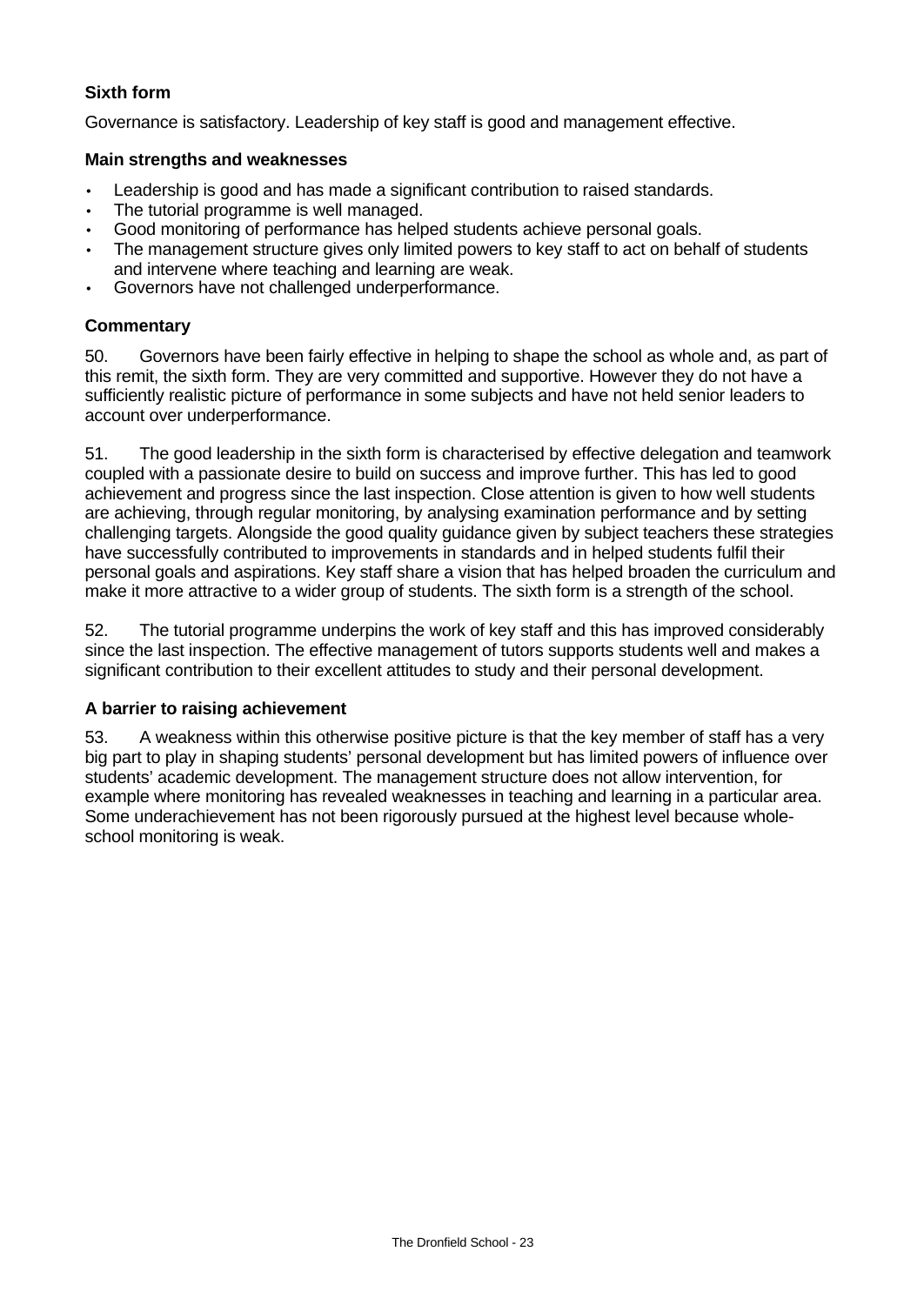# **Sixth form**

Governance is satisfactory. Leadership of key staff is good and management effective.

#### **Main strengths and weaknesses**

- Leadership is good and has made a significant contribution to raised standards.
- The tutorial programme is well managed.
- Good monitoring of performance has helped students achieve personal goals.
- The management structure gives only limited powers to key staff to act on behalf of students and intervene where teaching and learning are weak.
- Governors have not challenged underperformance.

#### **Commentary**

50. Governors have been fairly effective in helping to shape the school as whole and, as part of this remit, the sixth form. They are very committed and supportive. However they do not have a sufficiently realistic picture of performance in some subjects and have not held senior leaders to account over underperformance.

51. The good leadership in the sixth form is characterised by effective delegation and teamwork coupled with a passionate desire to build on success and improve further. This has led to good achievement and progress since the last inspection. Close attention is given to how well students are achieving, through regular monitoring, by analysing examination performance and by setting challenging targets. Alongside the good quality guidance given by subject teachers these strategies have successfully contributed to improvements in standards and in helped students fulfil their personal goals and aspirations. Key staff share a vision that has helped broaden the curriculum and make it more attractive to a wider group of students. The sixth form is a strength of the school.

52. The tutorial programme underpins the work of key staff and this has improved considerably since the last inspection. The effective management of tutors supports students well and makes a significant contribution to their excellent attitudes to study and their personal development.

#### **A barrier to raising achievement**

53. A weakness within this otherwise positive picture is that the key member of staff has a very big part to play in shaping students' personal development but has limited powers of influence over students' academic development. The management structure does not allow intervention, for example where monitoring has revealed weaknesses in teaching and learning in a particular area. Some underachievement has not been rigorously pursued at the highest level because wholeschool monitoring is weak.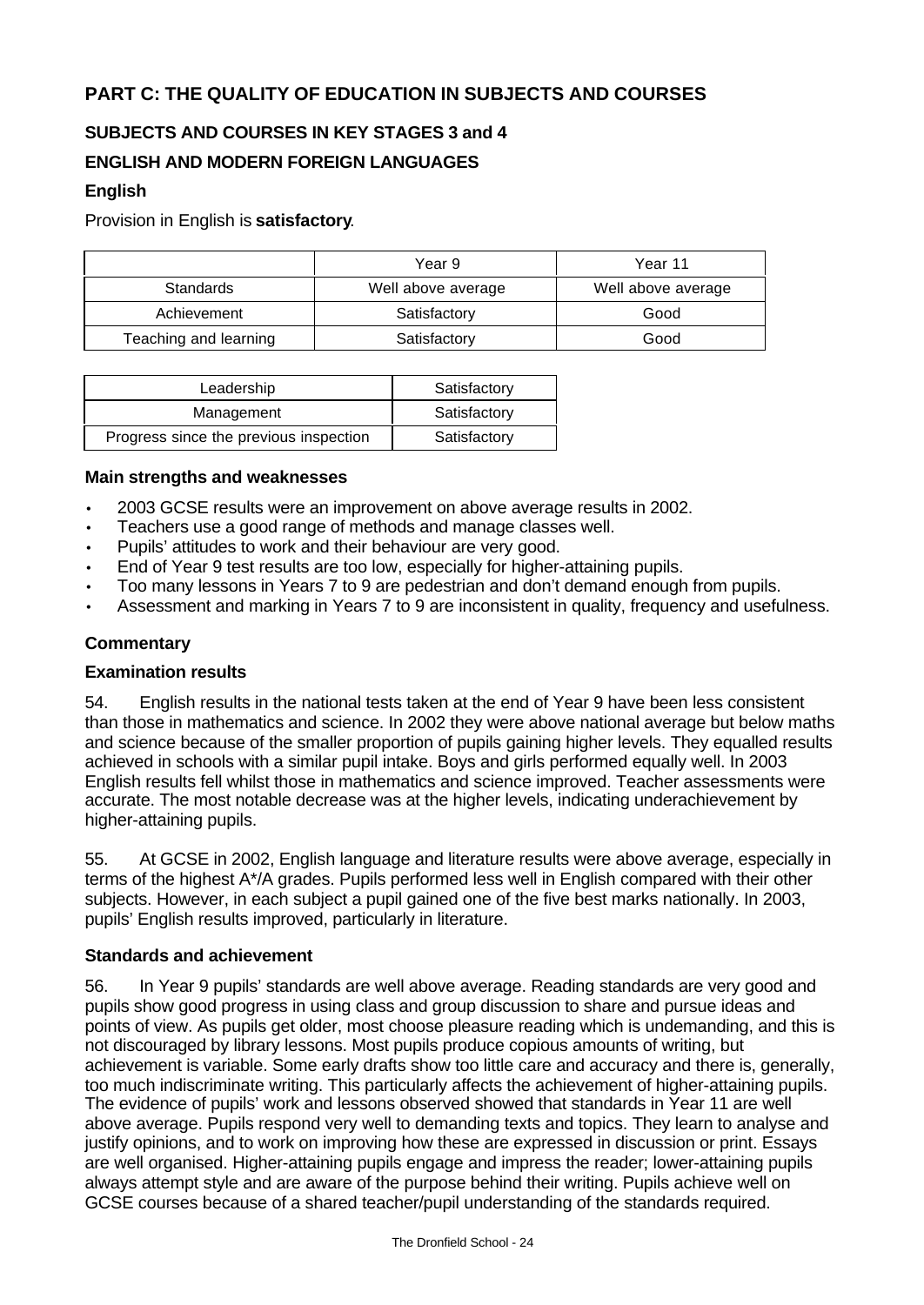# **PART C: THE QUALITY OF EDUCATION IN SUBJECTS AND COURSES**

# **SUBJECTS AND COURSES IN KEY STAGES 3 and 4**

# **ENGLISH AND MODERN FOREIGN LANGUAGES**

## **English**

Provision in English is **satisfactory**.

|                       | Year 9             | Year 11            |
|-----------------------|--------------------|--------------------|
| <b>Standards</b>      | Well above average | Well above average |
| Achievement           | Satisfactory       | Good               |
| Teaching and learning | Satisfactory       | Good               |

| Leadership                             | Satisfactory |
|----------------------------------------|--------------|
| Management                             | Satisfactory |
| Progress since the previous inspection | Satisfactory |

#### **Main strengths and weaknesses**

- 2003 GCSE results were an improvement on above average results in 2002.
- Teachers use a good range of methods and manage classes well.
- Pupils' attitudes to work and their behaviour are very good.
- End of Year 9 test results are too low, especially for higher-attaining pupils.
- Too many lessons in Years 7 to 9 are pedestrian and don't demand enough from pupils.
- Assessment and marking in Years 7 to 9 are inconsistent in quality, frequency and usefulness.

#### **Commentary**

#### **Examination results**

54. English results in the national tests taken at the end of Year 9 have been less consistent than those in mathematics and science. In 2002 they were above national average but below maths and science because of the smaller proportion of pupils gaining higher levels. They equalled results achieved in schools with a similar pupil intake. Boys and girls performed equally well. In 2003 English results fell whilst those in mathematics and science improved. Teacher assessments were accurate. The most notable decrease was at the higher levels, indicating underachievement by higher-attaining pupils.

55. At GCSE in 2002, English language and literature results were above average, especially in terms of the highest A\*/A grades. Pupils performed less well in English compared with their other subjects. However, in each subject a pupil gained one of the five best marks nationally. In 2003, pupils' English results improved, particularly in literature.

## **Standards and achievement**

56. In Year 9 pupils' standards are well above average. Reading standards are very good and pupils show good progress in using class and group discussion to share and pursue ideas and points of view. As pupils get older, most choose pleasure reading which is undemanding, and this is not discouraged by library lessons. Most pupils produce copious amounts of writing, but achievement is variable. Some early drafts show too little care and accuracy and there is, generally, too much indiscriminate writing. This particularly affects the achievement of higher-attaining pupils. The evidence of pupils' work and lessons observed showed that standards in Year 11 are well above average. Pupils respond very well to demanding texts and topics. They learn to analyse and justify opinions, and to work on improving how these are expressed in discussion or print. Essays are well organised. Higher-attaining pupils engage and impress the reader; lower-attaining pupils always attempt style and are aware of the purpose behind their writing. Pupils achieve well on GCSE courses because of a shared teacher/pupil understanding of the standards required.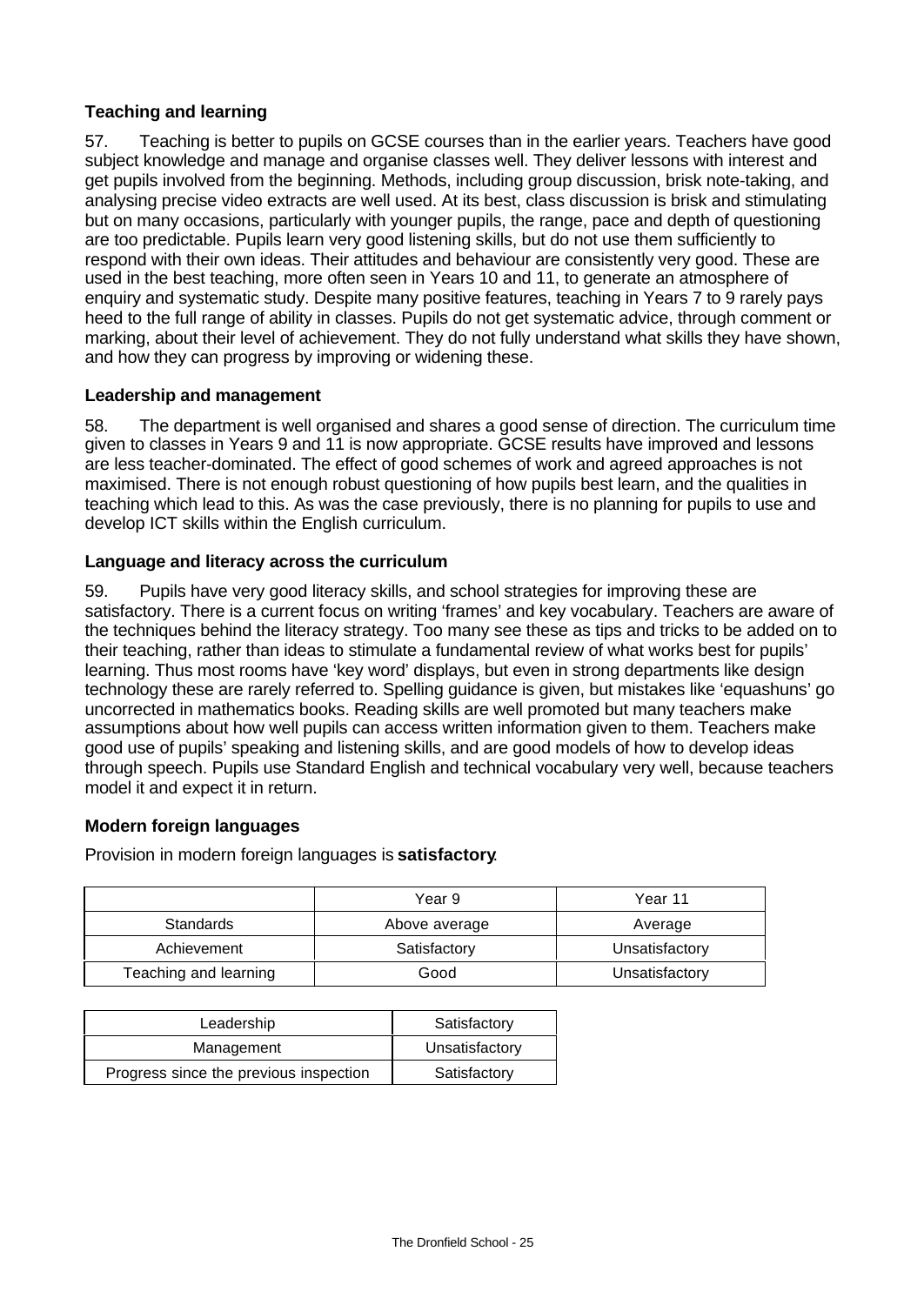# **Teaching and learning**

57. Teaching is better to pupils on GCSE courses than in the earlier years. Teachers have good subject knowledge and manage and organise classes well. They deliver lessons with interest and get pupils involved from the beginning. Methods, including group discussion, brisk note-taking, and analysing precise video extracts are well used. At its best, class discussion is brisk and stimulating but on many occasions, particularly with younger pupils, the range, pace and depth of questioning are too predictable. Pupils learn very good listening skills, but do not use them sufficiently to respond with their own ideas. Their attitudes and behaviour are consistently very good. These are used in the best teaching, more often seen in Years 10 and 11, to generate an atmosphere of enquiry and systematic study. Despite many positive features, teaching in Years 7 to 9 rarely pays heed to the full range of ability in classes. Pupils do not get systematic advice, through comment or marking, about their level of achievement. They do not fully understand what skills they have shown, and how they can progress by improving or widening these.

# **Leadership and management**

58. The department is well organised and shares a good sense of direction. The curriculum time given to classes in Years 9 and 11 is now appropriate. GCSE results have improved and lessons are less teacher-dominated. The effect of good schemes of work and agreed approaches is not maximised. There is not enough robust questioning of how pupils best learn, and the qualities in teaching which lead to this. As was the case previously, there is no planning for pupils to use and develop ICT skills within the English curriculum.

# **Language and literacy across the curriculum**

59. Pupils have very good literacy skills, and school strategies for improving these are satisfactory. There is a current focus on writing 'frames' and key vocabulary. Teachers are aware of the techniques behind the literacy strategy. Too many see these as tips and tricks to be added on to their teaching, rather than ideas to stimulate a fundamental review of what works best for pupils' learning. Thus most rooms have 'key word' displays, but even in strong departments like design technology these are rarely referred to. Spelling guidance is given, but mistakes like 'equashuns' go uncorrected in mathematics books. Reading skills are well promoted but many teachers make assumptions about how well pupils can access written information given to them. Teachers make good use of pupils' speaking and listening skills, and are good models of how to develop ideas through speech. Pupils use Standard English and technical vocabulary very well, because teachers model it and expect it in return.

# **Modern foreign languages**

Provision in modern foreign languages is **satisfactory**.

|                       | Year 9        | Year 11        |
|-----------------------|---------------|----------------|
| Standards             | Above average | Average        |
| Achievement           | Satisfactory  | Unsatisfactory |
| Teaching and learning | Good          | Unsatisfactory |

| Leadership                             | Satisfactory   |
|----------------------------------------|----------------|
| Management                             | Unsatisfactory |
| Progress since the previous inspection | Satisfactory   |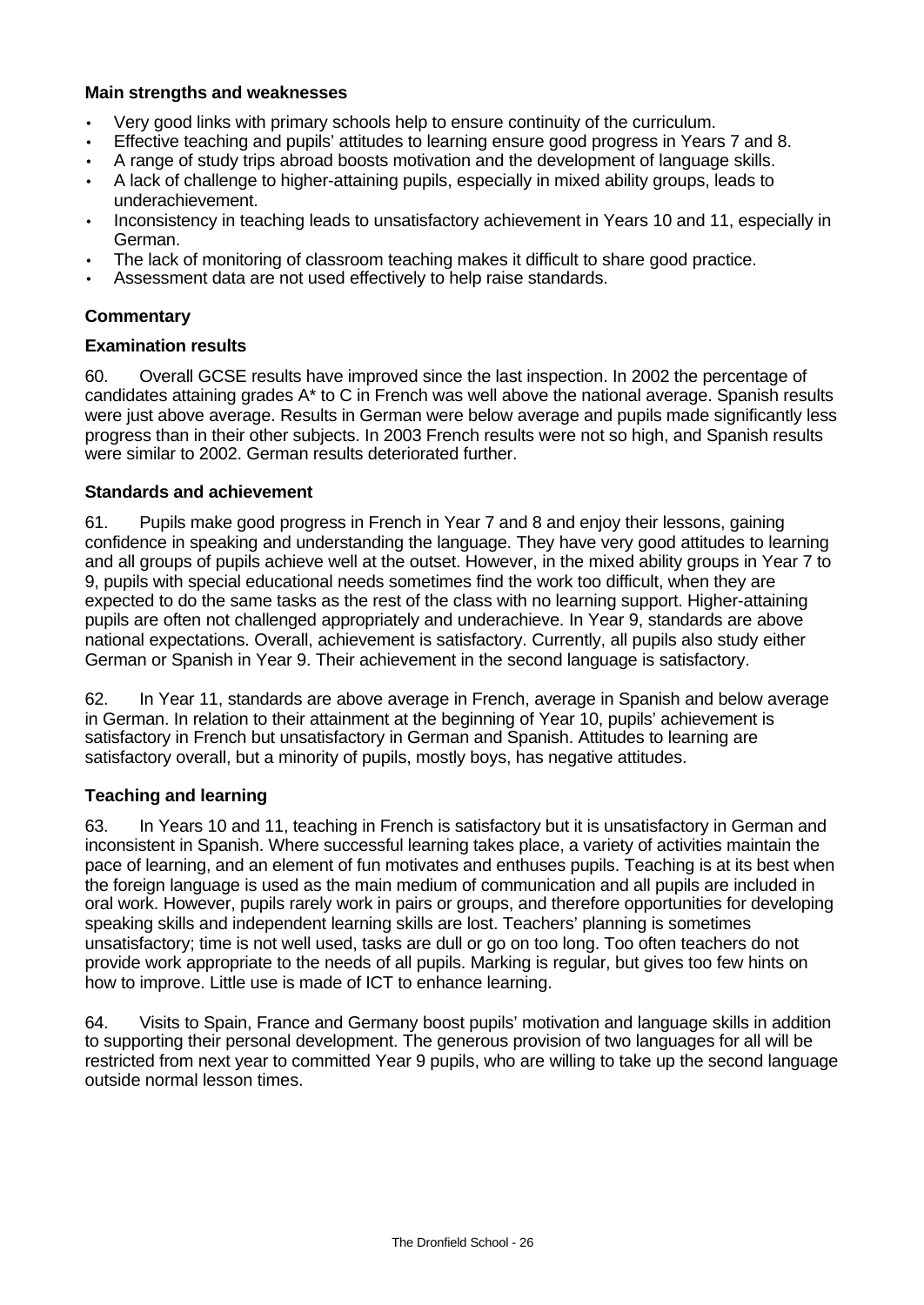## **Main strengths and weaknesses**

- Very good links with primary schools help to ensure continuity of the curriculum.
- Effective teaching and pupils' attitudes to learning ensure good progress in Years 7 and 8.
- A range of study trips abroad boosts motivation and the development of language skills.
- A lack of challenge to higher-attaining pupils, especially in mixed ability groups, leads to underachievement.
- Inconsistency in teaching leads to unsatisfactory achievement in Years 10 and 11, especially in German.
- The lack of monitoring of classroom teaching makes it difficult to share good practice.
- Assessment data are not used effectively to help raise standards.

# **Commentary**

## **Examination results**

60. Overall GCSE results have improved since the last inspection. In 2002 the percentage of candidates attaining grades A\* to C in French was well above the national average. Spanish results were just above average. Results in German were below average and pupils made significantly less progress than in their other subjects. In 2003 French results were not so high, and Spanish results were similar to 2002. German results deteriorated further.

## **Standards and achievement**

61. Pupils make good progress in French in Year 7 and 8 and enjoy their lessons, gaining confidence in speaking and understanding the language. They have very good attitudes to learning and all groups of pupils achieve well at the outset. However, in the mixed ability groups in Year 7 to 9, pupils with special educational needs sometimes find the work too difficult, when they are expected to do the same tasks as the rest of the class with no learning support. Higher-attaining pupils are often not challenged appropriately and underachieve. In Year 9, standards are above national expectations. Overall, achievement is satisfactory. Currently, all pupils also study either German or Spanish in Year 9. Their achievement in the second language is satisfactory.

62. In Year 11, standards are above average in French, average in Spanish and below average in German. In relation to their attainment at the beginning of Year 10, pupils' achievement is satisfactory in French but unsatisfactory in German and Spanish. Attitudes to learning are satisfactory overall, but a minority of pupils, mostly boys, has negative attitudes.

## **Teaching and learning**

63. In Years 10 and 11, teaching in French is satisfactory but it is unsatisfactory in German and inconsistent in Spanish. Where successful learning takes place, a variety of activities maintain the pace of learning, and an element of fun motivates and enthuses pupils. Teaching is at its best when the foreign language is used as the main medium of communication and all pupils are included in oral work. However, pupils rarely work in pairs or groups, and therefore opportunities for developing speaking skills and independent learning skills are lost. Teachers' planning is sometimes unsatisfactory; time is not well used, tasks are dull or go on too long. Too often teachers do not provide work appropriate to the needs of all pupils. Marking is regular, but gives too few hints on how to improve. Little use is made of ICT to enhance learning.

64. Visits to Spain, France and Germany boost pupils' motivation and language skills in addition to supporting their personal development. The generous provision of two languages for all will be restricted from next year to committed Year 9 pupils, who are willing to take up the second language outside normal lesson times.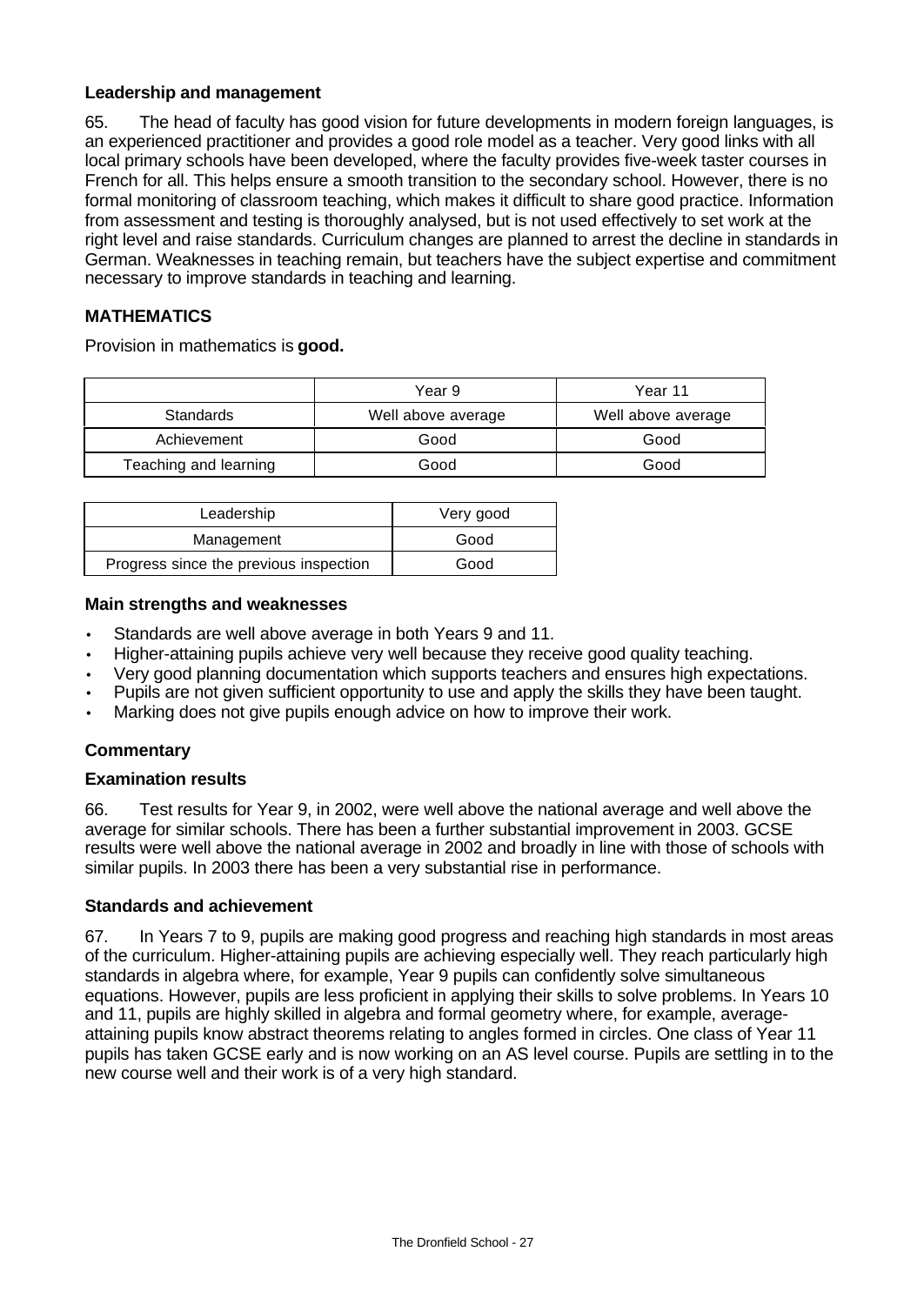## **Leadership and management**

65. The head of faculty has good vision for future developments in modern foreign languages, is an experienced practitioner and provides a good role model as a teacher. Very good links with all local primary schools have been developed, where the faculty provides five-week taster courses in French for all. This helps ensure a smooth transition to the secondary school. However, there is no formal monitoring of classroom teaching, which makes it difficult to share good practice. Information from assessment and testing is thoroughly analysed, but is not used effectively to set work at the right level and raise standards. Curriculum changes are planned to arrest the decline in standards in German. Weaknesses in teaching remain, but teachers have the subject expertise and commitment necessary to improve standards in teaching and learning.

# **MATHEMATICS**

Provision in mathematics is **good.**

|                       | Year 9             | Year 11            |
|-----------------------|--------------------|--------------------|
| <b>Standards</b>      | Well above average | Well above average |
| Achievement           | Good               | Good               |
| Teaching and learning | Good               | Good               |

| Leadership                             | Very good |
|----------------------------------------|-----------|
| Management                             | Good      |
| Progress since the previous inspection | Good      |

#### **Main strengths and weaknesses**

- Standards are well above average in both Years 9 and 11.
- Higher-attaining pupils achieve very well because they receive good quality teaching.
- Very good planning documentation which supports teachers and ensures high expectations.
- Pupils are not given sufficient opportunity to use and apply the skills they have been taught.
- Marking does not give pupils enough advice on how to improve their work.

## **Commentary**

## **Examination results**

66. Test results for Year 9, in 2002, were well above the national average and well above the average for similar schools. There has been a further substantial improvement in 2003. GCSE results were well above the national average in 2002 and broadly in line with those of schools with similar pupils. In 2003 there has been a very substantial rise in performance.

## **Standards and achievement**

67. In Years 7 to 9, pupils are making good progress and reaching high standards in most areas of the curriculum. Higher-attaining pupils are achieving especially well. They reach particularly high standards in algebra where, for example, Year 9 pupils can confidently solve simultaneous equations. However, pupils are less proficient in applying their skills to solve problems. In Years 10 and 11, pupils are highly skilled in algebra and formal geometry where, for example, averageattaining pupils know abstract theorems relating to angles formed in circles. One class of Year 11 pupils has taken GCSE early and is now working on an AS level course. Pupils are settling in to the new course well and their work is of a very high standard.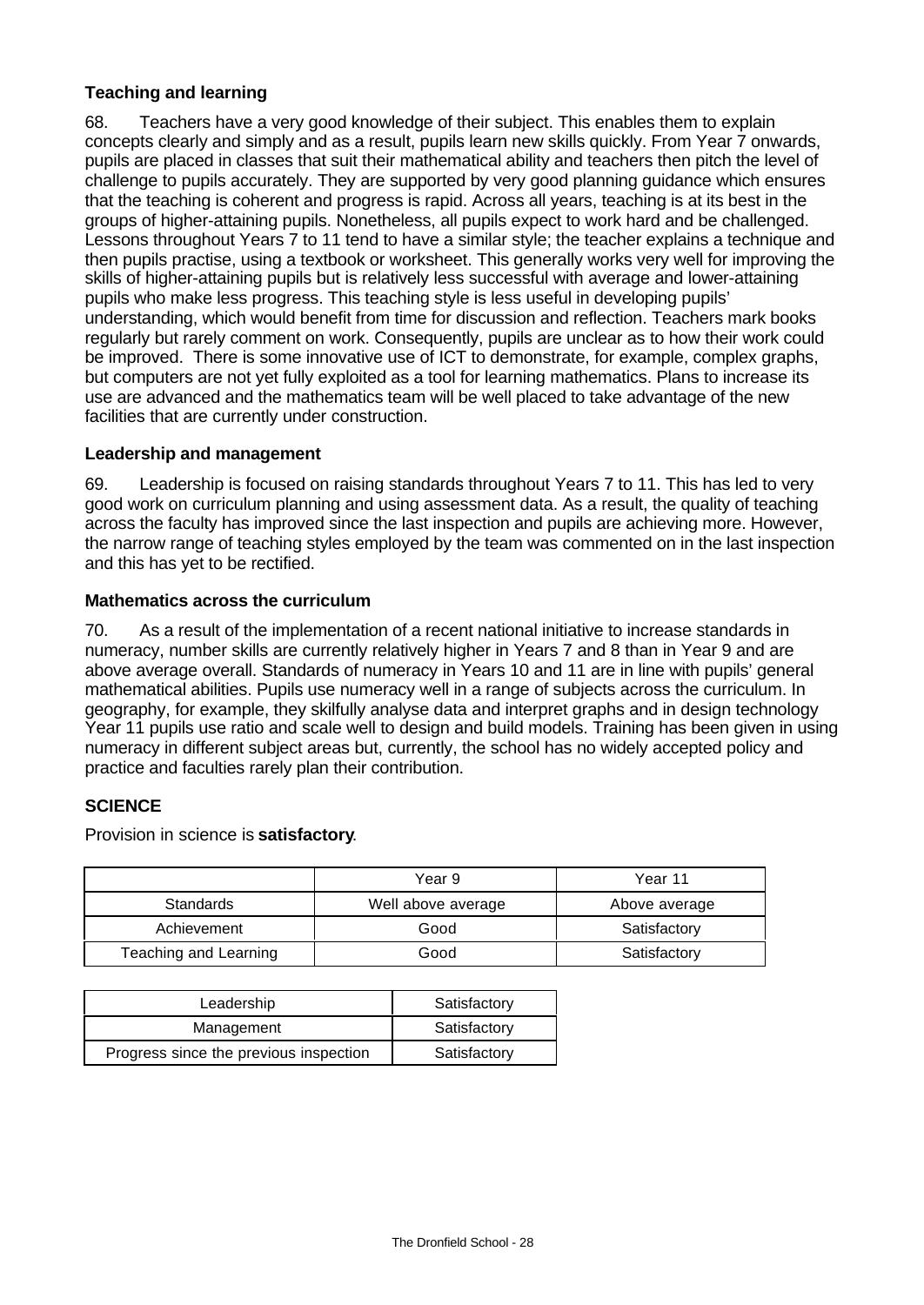# **Teaching and learning**

68. Teachers have a very good knowledge of their subject. This enables them to explain concepts clearly and simply and as a result, pupils learn new skills quickly. From Year 7 onwards, pupils are placed in classes that suit their mathematical ability and teachers then pitch the level of challenge to pupils accurately. They are supported by very good planning guidance which ensures that the teaching is coherent and progress is rapid. Across all years, teaching is at its best in the groups of higher-attaining pupils. Nonetheless, all pupils expect to work hard and be challenged. Lessons throughout Years 7 to 11 tend to have a similar style; the teacher explains a technique and then pupils practise, using a textbook or worksheet. This generally works very well for improving the skills of higher-attaining pupils but is relatively less successful with average and lower-attaining pupils who make less progress. This teaching style is less useful in developing pupils' understanding, which would benefit from time for discussion and reflection. Teachers mark books regularly but rarely comment on work. Consequently, pupils are unclear as to how their work could be improved. There is some innovative use of ICT to demonstrate, for example, complex graphs, but computers are not yet fully exploited as a tool for learning mathematics. Plans to increase its use are advanced and the mathematics team will be well placed to take advantage of the new facilities that are currently under construction.

## **Leadership and management**

69. Leadership is focused on raising standards throughout Years 7 to 11. This has led to very good work on curriculum planning and using assessment data. As a result, the quality of teaching across the faculty has improved since the last inspection and pupils are achieving more. However, the narrow range of teaching styles employed by the team was commented on in the last inspection and this has yet to be rectified.

#### **Mathematics across the curriculum**

70. As a result of the implementation of a recent national initiative to increase standards in numeracy, number skills are currently relatively higher in Years 7 and 8 than in Year 9 and are above average overall. Standards of numeracy in Years 10 and 11 are in line with pupils' general mathematical abilities. Pupils use numeracy well in a range of subjects across the curriculum. In geography, for example, they skilfully analyse data and interpret graphs and in design technology Year 11 pupils use ratio and scale well to design and build models. Training has been given in using numeracy in different subject areas but, currently, the school has no widely accepted policy and practice and faculties rarely plan their contribution.

## **SCIENCE**

Provision in science is **satisfactory**.

|                       | Year 9             | Year 11       |
|-----------------------|--------------------|---------------|
| Standards             | Well above average | Above average |
| Achievement           | Good               | Satisfactory  |
| Teaching and Learning | Good               | Satisfactory  |

| Leadership                             | Satisfactory |
|----------------------------------------|--------------|
| Management                             | Satisfactory |
| Progress since the previous inspection | Satisfactory |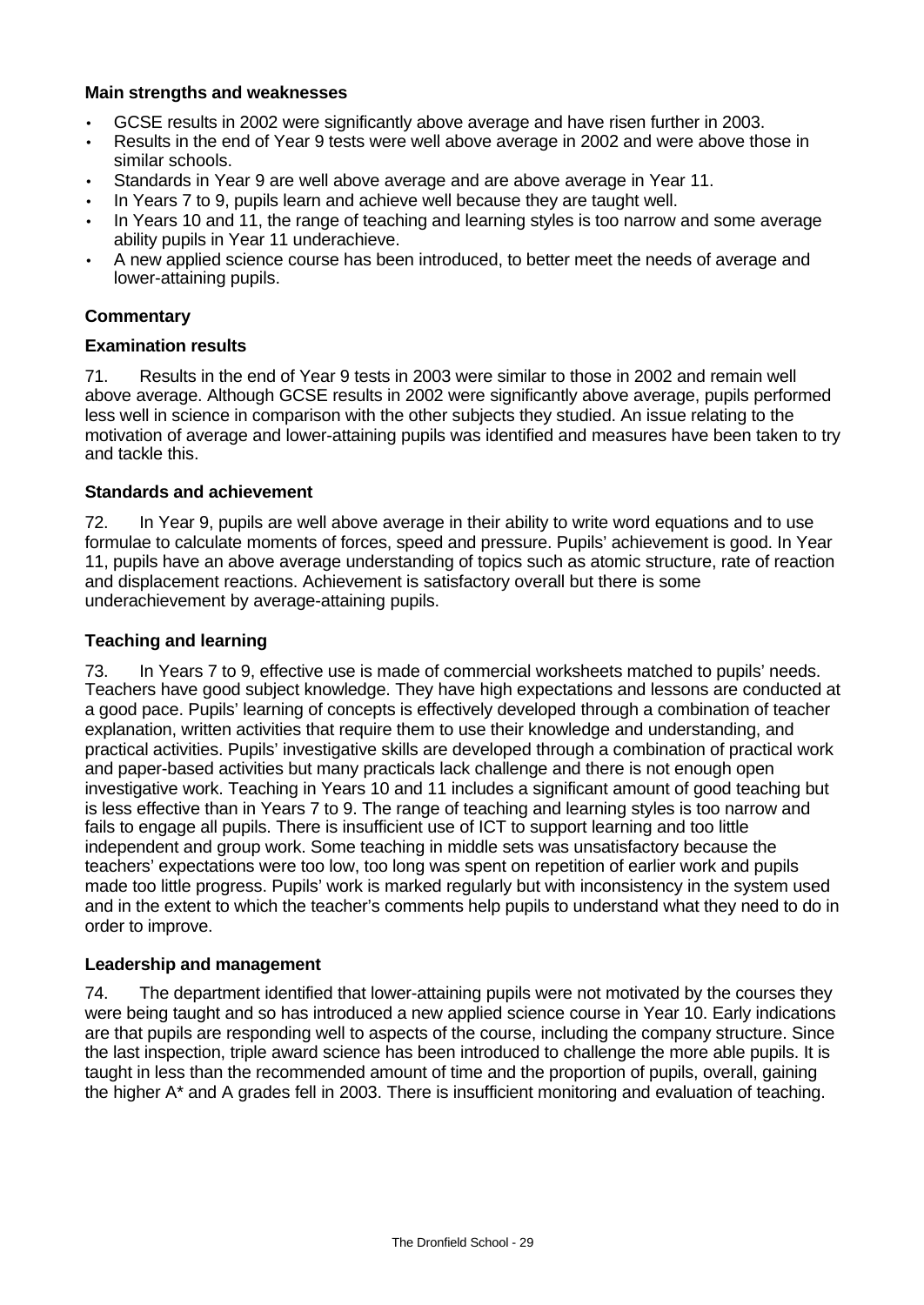## **Main strengths and weaknesses**

- GCSE results in 2002 were significantly above average and have risen further in 2003.
- Results in the end of Year 9 tests were well above average in 2002 and were above those in similar schools.
- Standards in Year 9 are well above average and are above average in Year 11.
- In Years 7 to 9, pupils learn and achieve well because they are taught well.
- In Years 10 and 11, the range of teaching and learning styles is too narrow and some average ability pupils in Year 11 underachieve.
- A new applied science course has been introduced, to better meet the needs of average and lower-attaining pupils.

# **Commentary**

## **Examination results**

71. Results in the end of Year 9 tests in 2003 were similar to those in 2002 and remain well above average. Although GCSE results in 2002 were significantly above average, pupils performed less well in science in comparison with the other subjects they studied. An issue relating to the motivation of average and lower-attaining pupils was identified and measures have been taken to try and tackle this.

## **Standards and achievement**

72. In Year 9, pupils are well above average in their ability to write word equations and to use formulae to calculate moments of forces, speed and pressure. Pupils' achievement is good. In Year 11, pupils have an above average understanding of topics such as atomic structure, rate of reaction and displacement reactions. Achievement is satisfactory overall but there is some underachievement by average-attaining pupils.

## **Teaching and learning**

73. In Years 7 to 9, effective use is made of commercial worksheets matched to pupils' needs. Teachers have good subject knowledge. They have high expectations and lessons are conducted at a good pace. Pupils' learning of concepts is effectively developed through a combination of teacher explanation, written activities that require them to use their knowledge and understanding, and practical activities. Pupils' investigative skills are developed through a combination of practical work and paper-based activities but many practicals lack challenge and there is not enough open investigative work. Teaching in Years 10 and 11 includes a significant amount of good teaching but is less effective than in Years 7 to 9. The range of teaching and learning styles is too narrow and fails to engage all pupils. There is insufficient use of ICT to support learning and too little independent and group work. Some teaching in middle sets was unsatisfactory because the teachers' expectations were too low, too long was spent on repetition of earlier work and pupils made too little progress. Pupils' work is marked regularly but with inconsistency in the system used and in the extent to which the teacher's comments help pupils to understand what they need to do in order to improve.

## **Leadership and management**

74. The department identified that lower-attaining pupils were not motivated by the courses they were being taught and so has introduced a new applied science course in Year 10. Early indications are that pupils are responding well to aspects of the course, including the company structure. Since the last inspection, triple award science has been introduced to challenge the more able pupils. It is taught in less than the recommended amount of time and the proportion of pupils, overall, gaining the higher A\* and A grades fell in 2003. There is insufficient monitoring and evaluation of teaching.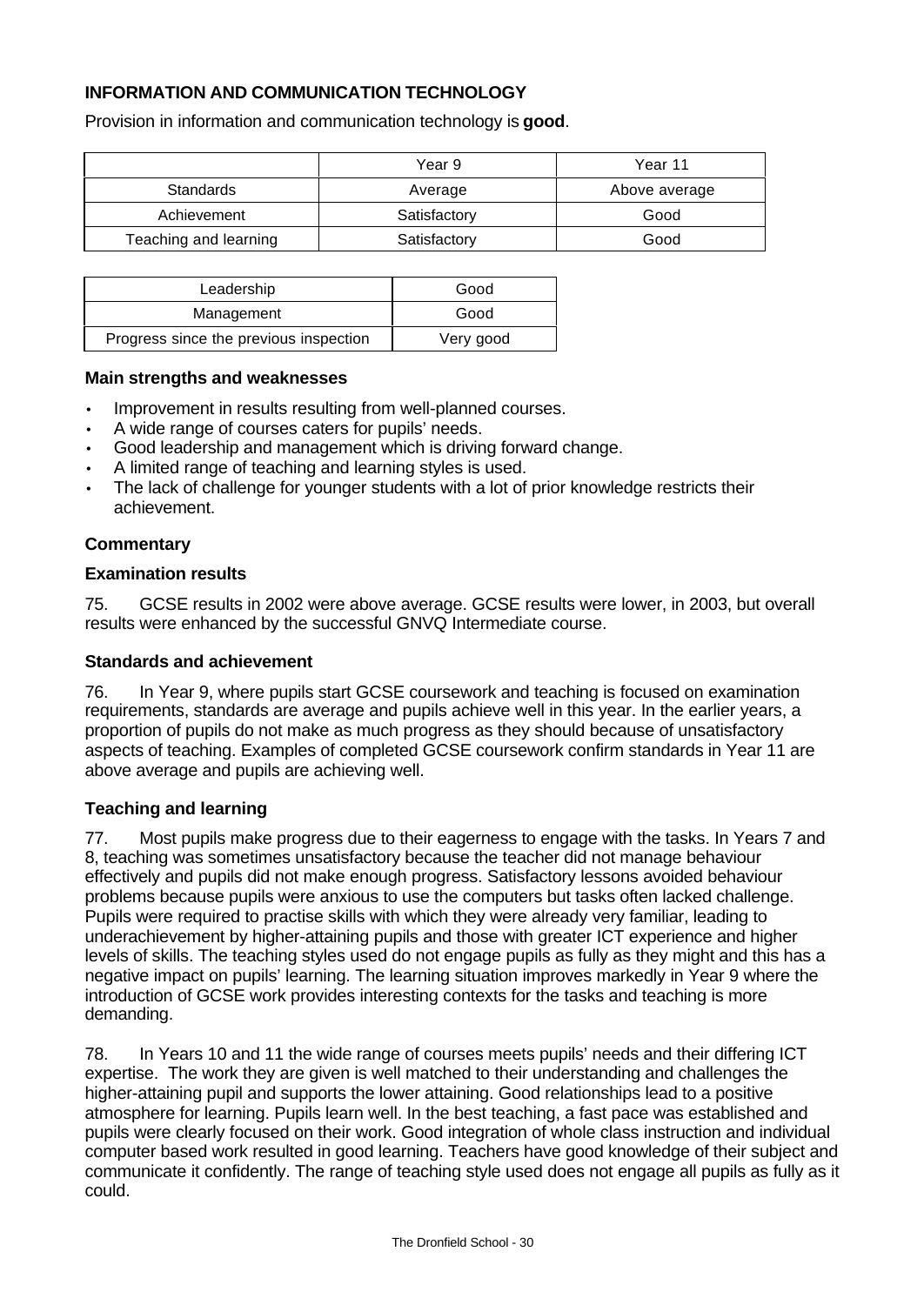# **INFORMATION AND COMMUNICATION TECHNOLOGY**

Provision in information and communication technology is **good**.

|                       | Year 9       | Year 11       |
|-----------------------|--------------|---------------|
| Standards             | Average      | Above average |
| Achievement           | Satisfactory | Good          |
| Teaching and learning | Satisfactory | Good          |

| Leadership                             | Good      |
|----------------------------------------|-----------|
| Management                             | Good      |
| Progress since the previous inspection | Very good |

#### **Main strengths and weaknesses**

- Improvement in results resulting from well-planned courses.
- A wide range of courses caters for pupils' needs.
- Good leadership and management which is driving forward change.
- A limited range of teaching and learning styles is used.
- The lack of challenge for younger students with a lot of prior knowledge restricts their achievement.

#### **Commentary**

#### **Examination results**

75. GCSE results in 2002 were above average. GCSE results were lower, in 2003, but overall results were enhanced by the successful GNVQ Intermediate course.

#### **Standards and achievement**

76. In Year 9, where pupils start GCSE coursework and teaching is focused on examination requirements, standards are average and pupils achieve well in this year. In the earlier years, a proportion of pupils do not make as much progress as they should because of unsatisfactory aspects of teaching. Examples of completed GCSE coursework confirm standards in Year 11 are above average and pupils are achieving well.

#### **Teaching and learning**

77. Most pupils make progress due to their eagerness to engage with the tasks. In Years 7 and 8, teaching was sometimes unsatisfactory because the teacher did not manage behaviour effectively and pupils did not make enough progress. Satisfactory lessons avoided behaviour problems because pupils were anxious to use the computers but tasks often lacked challenge. Pupils were required to practise skills with which they were already very familiar, leading to underachievement by higher-attaining pupils and those with greater ICT experience and higher levels of skills. The teaching styles used do not engage pupils as fully as they might and this has a negative impact on pupils' learning. The learning situation improves markedly in Year 9 where the introduction of GCSE work provides interesting contexts for the tasks and teaching is more demanding.

78. In Years 10 and 11 the wide range of courses meets pupils' needs and their differing ICT expertise. The work they are given is well matched to their understanding and challenges the higher-attaining pupil and supports the lower attaining. Good relationships lead to a positive atmosphere for learning. Pupils learn well. In the best teaching, a fast pace was established and pupils were clearly focused on their work. Good integration of whole class instruction and individual computer based work resulted in good learning. Teachers have good knowledge of their subject and communicate it confidently. The range of teaching style used does not engage all pupils as fully as it could.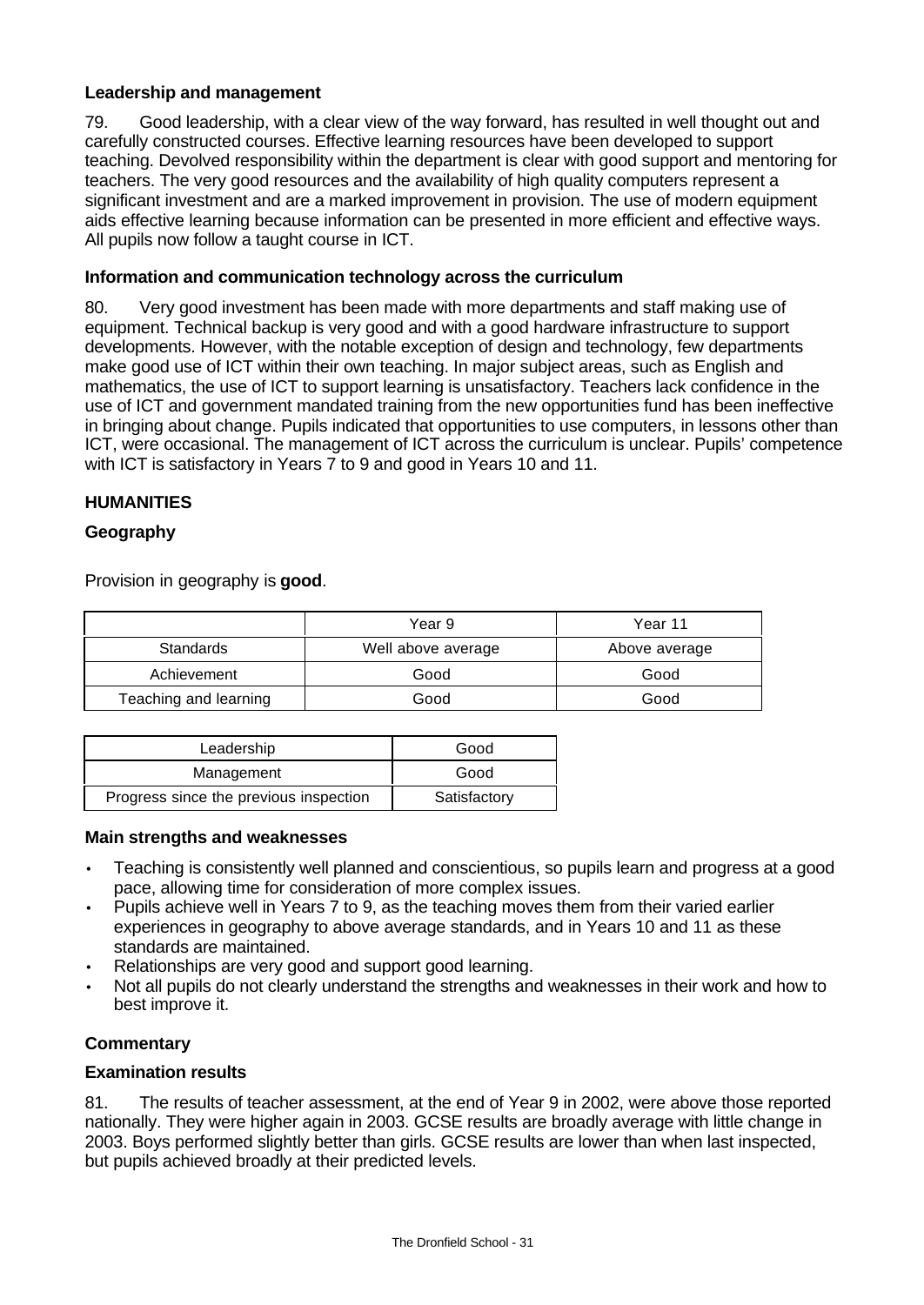## **Leadership and management**

79. Good leadership, with a clear view of the way forward, has resulted in well thought out and carefully constructed courses. Effective learning resources have been developed to support teaching. Devolved responsibility within the department is clear with good support and mentoring for teachers. The very good resources and the availability of high quality computers represent a significant investment and are a marked improvement in provision. The use of modern equipment aids effective learning because information can be presented in more efficient and effective ways. All pupils now follow a taught course in ICT.

# **Information and communication technology across the curriculum**

80. Very good investment has been made with more departments and staff making use of equipment. Technical backup is very good and with a good hardware infrastructure to support developments. However, with the notable exception of design and technology, few departments make good use of ICT within their own teaching. In major subject areas, such as English and mathematics, the use of ICT to support learning is unsatisfactory. Teachers lack confidence in the use of ICT and government mandated training from the new opportunities fund has been ineffective in bringing about change. Pupils indicated that opportunities to use computers, in lessons other than ICT, were occasional. The management of ICT across the curriculum is unclear. Pupils' competence with ICT is satisfactory in Years 7 to 9 and good in Years 10 and 11.

# **HUMANITIES**

# **Geography**

Provision in geography is **good**.

|                       | Year 9             | Year 11       |
|-----------------------|--------------------|---------------|
| <b>Standards</b>      | Well above average | Above average |
| Achievement           | Good               | Good          |
| Teaching and learning | Good               | Good          |

| Leadership                             | Good         |
|----------------------------------------|--------------|
| Management                             | Good         |
| Progress since the previous inspection | Satisfactory |

#### **Main strengths and weaknesses**

- Teaching is consistently well planned and conscientious, so pupils learn and progress at a good pace, allowing time for consideration of more complex issues.
- Pupils achieve well in Years 7 to 9, as the teaching moves them from their varied earlier experiences in geography to above average standards, and in Years 10 and 11 as these standards are maintained.
- Relationships are very good and support good learning.
- Not all pupils do not clearly understand the strengths and weaknesses in their work and how to best improve it.

## **Commentary**

## **Examination results**

81. The results of teacher assessment, at the end of Year 9 in 2002, were above those reported nationally. They were higher again in 2003. GCSE results are broadly average with little change in 2003. Boys performed slightly better than girls. GCSE results are lower than when last inspected, but pupils achieved broadly at their predicted levels.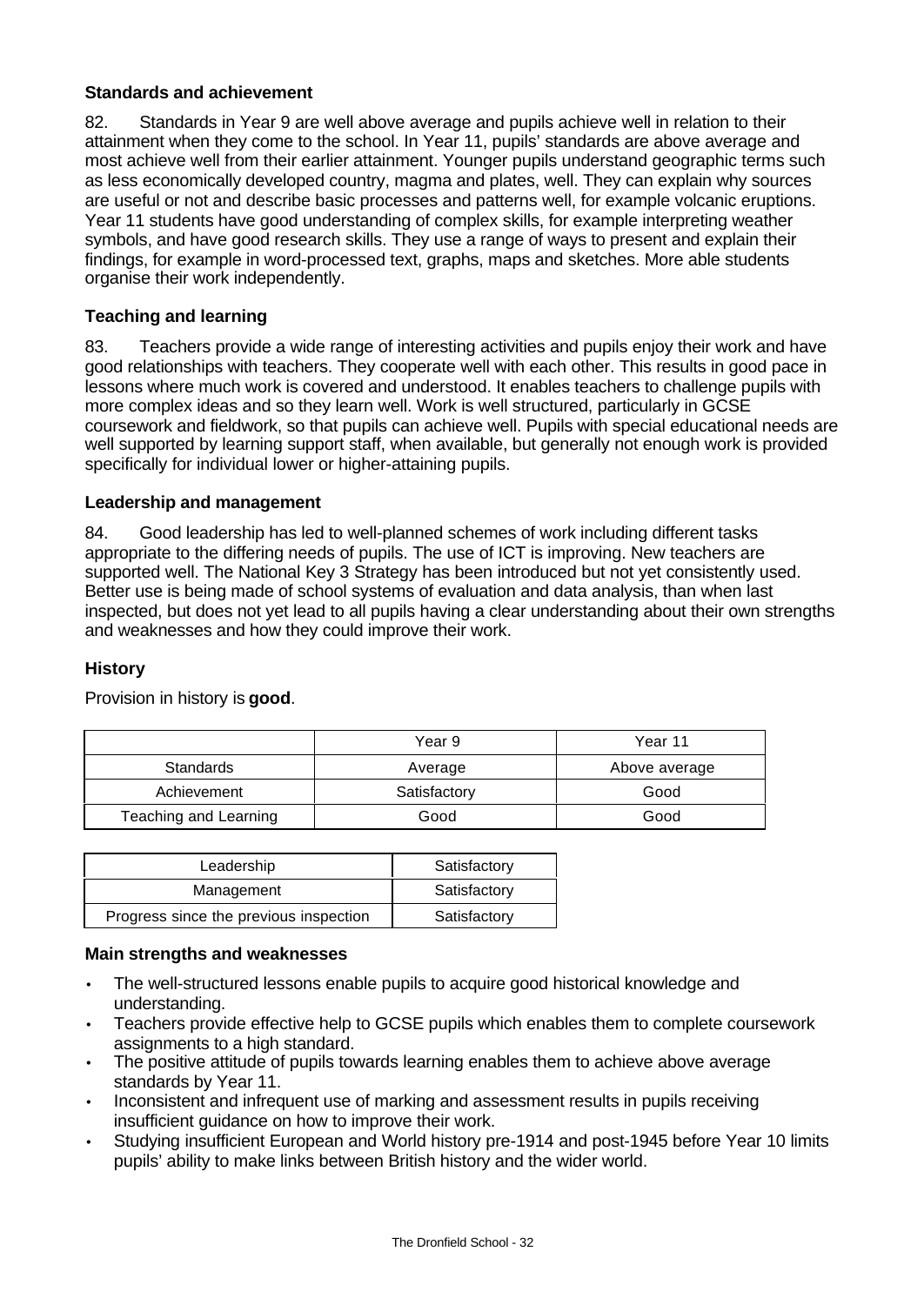# **Standards and achievement**

82. Standards in Year 9 are well above average and pupils achieve well in relation to their attainment when they come to the school. In Year 11, pupils' standards are above average and most achieve well from their earlier attainment. Younger pupils understand geographic terms such as less economically developed country, magma and plates, well. They can explain why sources are useful or not and describe basic processes and patterns well, for example volcanic eruptions. Year 11 students have good understanding of complex skills, for example interpreting weather symbols, and have good research skills. They use a range of ways to present and explain their findings, for example in word-processed text, graphs, maps and sketches. More able students organise their work independently.

# **Teaching and learning**

83. Teachers provide a wide range of interesting activities and pupils enjoy their work and have good relationships with teachers. They cooperate well with each other. This results in good pace in lessons where much work is covered and understood. It enables teachers to challenge pupils with more complex ideas and so they learn well. Work is well structured, particularly in GCSE coursework and fieldwork, so that pupils can achieve well. Pupils with special educational needs are well supported by learning support staff, when available, but generally not enough work is provided specifically for individual lower or higher-attaining pupils.

## **Leadership and management**

84. Good leadership has led to well-planned schemes of work including different tasks appropriate to the differing needs of pupils. The use of ICT is improving. New teachers are supported well. The National Key 3 Strategy has been introduced but not yet consistently used. Better use is being made of school systems of evaluation and data analysis, than when last inspected, but does not yet lead to all pupils having a clear understanding about their own strengths and weaknesses and how they could improve their work.

## **History**

|                       | Year 9       | Year 11       |
|-----------------------|--------------|---------------|
| Standards             | Average      | Above average |
| Achievement           | Satisfactory | Good          |
| Teaching and Learning | Good         | Good          |

Provision in history is **good**.

| Leadership                             | Satisfactory |
|----------------------------------------|--------------|
| Management                             | Satisfactory |
| Progress since the previous inspection | Satisfactory |

## **Main strengths and weaknesses**

- The well-structured lessons enable pupils to acquire good historical knowledge and understanding.
- Teachers provide effective help to GCSE pupils which enables them to complete coursework assignments to a high standard.
- The positive attitude of pupils towards learning enables them to achieve above average standards by Year 11.
- Inconsistent and infrequent use of marking and assessment results in pupils receiving insufficient guidance on how to improve their work.
- Studying insufficient European and World history pre-1914 and post-1945 before Year 10 limits pupils' ability to make links between British history and the wider world.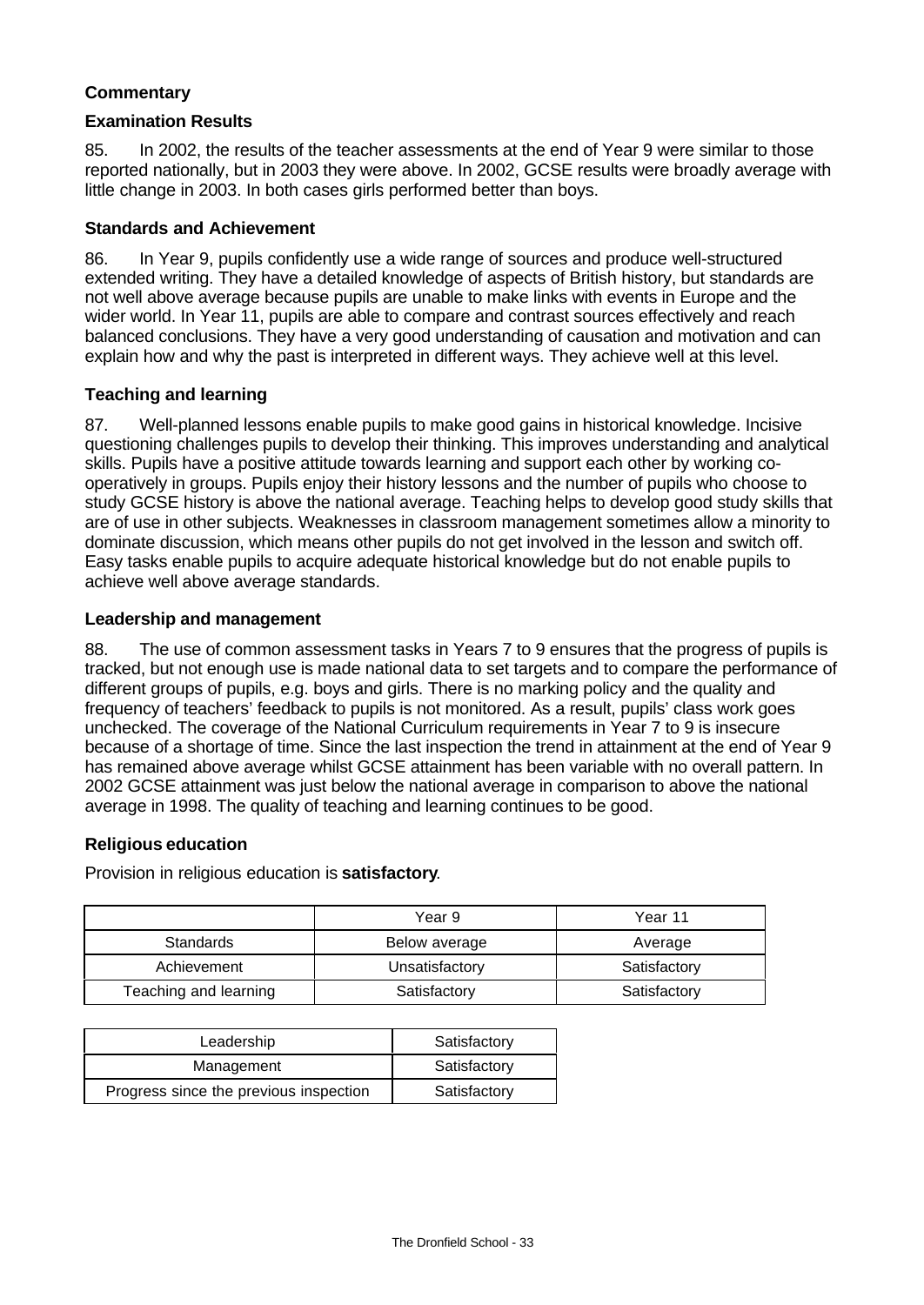# **Commentary**

#### **Examination Results**

85. In 2002, the results of the teacher assessments at the end of Year 9 were similar to those reported nationally, but in 2003 they were above. In 2002, GCSE results were broadly average with little change in 2003. In both cases girls performed better than boys.

#### **Standards and Achievement**

86. In Year 9, pupils confidently use a wide range of sources and produce well-structured extended writing. They have a detailed knowledge of aspects of British history, but standards are not well above average because pupils are unable to make links with events in Europe and the wider world. In Year 11, pupils are able to compare and contrast sources effectively and reach balanced conclusions. They have a very good understanding of causation and motivation and can explain how and why the past is interpreted in different ways. They achieve well at this level.

## **Teaching and learning**

87. Well-planned lessons enable pupils to make good gains in historical knowledge. Incisive questioning challenges pupils to develop their thinking. This improves understanding and analytical skills. Pupils have a positive attitude towards learning and support each other by working cooperatively in groups. Pupils enjoy their history lessons and the number of pupils who choose to study GCSE history is above the national average. Teaching helps to develop good study skills that are of use in other subjects. Weaknesses in classroom management sometimes allow a minority to dominate discussion, which means other pupils do not get involved in the lesson and switch off. Easy tasks enable pupils to acquire adequate historical knowledge but do not enable pupils to achieve well above average standards.

## **Leadership and management**

88. The use of common assessment tasks in Years 7 to 9 ensures that the progress of pupils is tracked, but not enough use is made national data to set targets and to compare the performance of different groups of pupils, e.g. boys and girls. There is no marking policy and the quality and frequency of teachers' feedback to pupils is not monitored. As a result, pupils' class work goes unchecked. The coverage of the National Curriculum requirements in Year 7 to 9 is insecure because of a shortage of time. Since the last inspection the trend in attainment at the end of Year 9 has remained above average whilst GCSE attainment has been variable with no overall pattern. In 2002 GCSE attainment was just below the national average in comparison to above the national average in 1998. The quality of teaching and learning continues to be good.

## **Religious education**

Provision in religious education is **satisfactory**.

|                       | Year 9         | Year 11      |
|-----------------------|----------------|--------------|
| <b>Standards</b>      | Below average  | Average      |
| Achievement           | Unsatisfactory | Satisfactory |
| Teaching and learning | Satisfactory   | Satisfactory |

| Leadership                             | Satisfactory |
|----------------------------------------|--------------|
| Management                             | Satisfactory |
| Progress since the previous inspection | Satisfactory |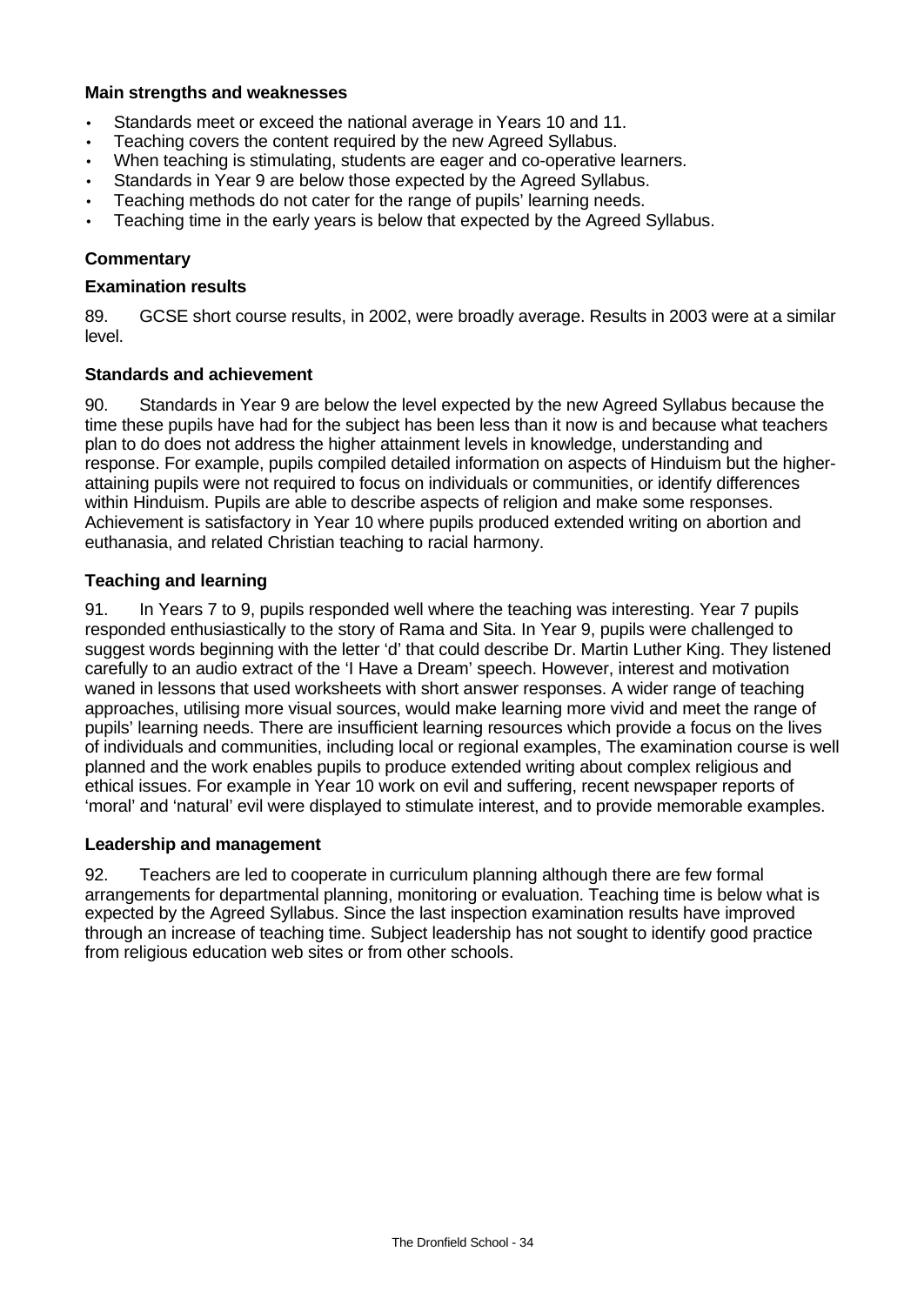### **Main strengths and weaknesses**

- Standards meet or exceed the national average in Years 10 and 11.
- Teaching covers the content required by the new Agreed Syllabus.
- When teaching is stimulating, students are eager and co-operative learners.
- Standards in Year 9 are below those expected by the Agreed Syllabus.
- Teaching methods do not cater for the range of pupils' learning needs.
- Teaching time in the early years is below that expected by the Agreed Syllabus.

## **Commentary**

#### **Examination results**

89. GCSE short course results, in 2002, were broadly average. Results in 2003 were at a similar level.

#### **Standards and achievement**

90. Standards in Year 9 are below the level expected by the new Agreed Syllabus because the time these pupils have had for the subject has been less than it now is and because what teachers plan to do does not address the higher attainment levels in knowledge, understanding and response. For example, pupils compiled detailed information on aspects of Hinduism but the higherattaining pupils were not required to focus on individuals or communities, or identify differences within Hinduism. Pupils are able to describe aspects of religion and make some responses. Achievement is satisfactory in Year 10 where pupils produced extended writing on abortion and euthanasia, and related Christian teaching to racial harmony.

#### **Teaching and learning**

91. In Years 7 to 9, pupils responded well where the teaching was interesting. Year 7 pupils responded enthusiastically to the story of Rama and Sita. In Year 9, pupils were challenged to suggest words beginning with the letter 'd' that could describe Dr. Martin Luther King. They listened carefully to an audio extract of the 'I Have a Dream' speech. However, interest and motivation waned in lessons that used worksheets with short answer responses. A wider range of teaching approaches, utilising more visual sources, would make learning more vivid and meet the range of pupils' learning needs. There are insufficient learning resources which provide a focus on the lives of individuals and communities, including local or regional examples, The examination course is well planned and the work enables pupils to produce extended writing about complex religious and ethical issues. For example in Year 10 work on evil and suffering, recent newspaper reports of 'moral' and 'natural' evil were displayed to stimulate interest, and to provide memorable examples.

#### **Leadership and management**

92. Teachers are led to cooperate in curriculum planning although there are few formal arrangements for departmental planning, monitoring or evaluation. Teaching time is below what is expected by the Agreed Syllabus. Since the last inspection examination results have improved through an increase of teaching time. Subject leadership has not sought to identify good practice from religious education web sites or from other schools.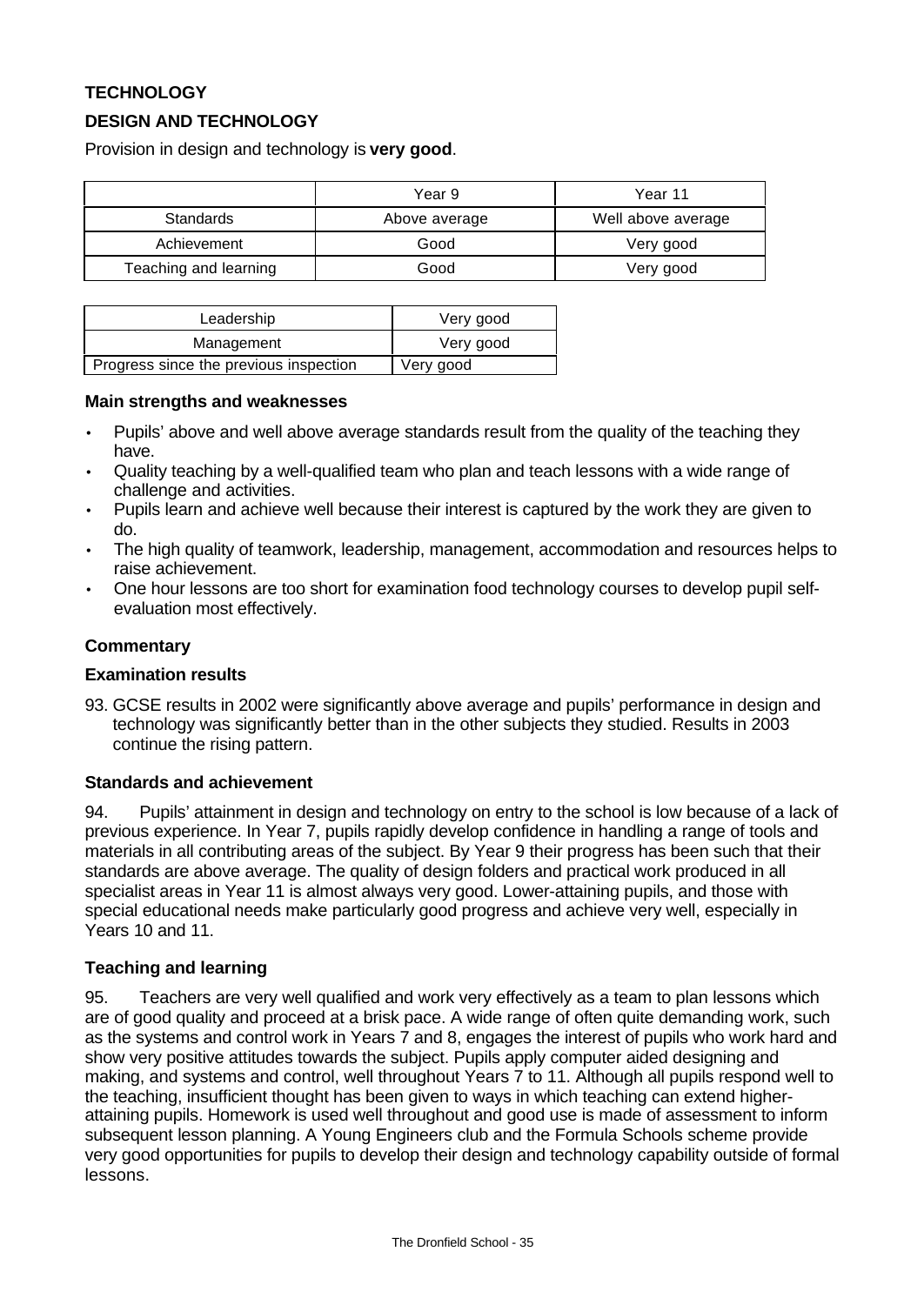# **TECHNOLOGY**

# **DESIGN AND TECHNOLOGY**

Provision in design and technology is **very good**.

|                       | Year 9        | Year 11            |
|-----------------------|---------------|--------------------|
| <b>Standards</b>      | Above average | Well above average |
| Achievement           | Good          | Very good          |
| Teaching and learning | Good          | Very good          |

| Leadership                             | Very good |
|----------------------------------------|-----------|
| Management                             | Very good |
| Progress since the previous inspection | Very good |

#### **Main strengths and weaknesses**

- Pupils' above and well above average standards result from the quality of the teaching they have.
- Quality teaching by a well-qualified team who plan and teach lessons with a wide range of challenge and activities.
- Pupils learn and achieve well because their interest is captured by the work they are given to do.
- The high quality of teamwork, leadership, management, accommodation and resources helps to raise achievement.
- One hour lessons are too short for examination food technology courses to develop pupil selfevaluation most effectively.

## **Commentary**

#### **Examination results**

93. GCSE results in 2002 were significantly above average and pupils' performance in design and technology was significantly better than in the other subjects they studied. Results in 2003 continue the rising pattern.

#### **Standards and achievement**

94. Pupils' attainment in design and technology on entry to the school is low because of a lack of previous experience. In Year 7, pupils rapidly develop confidence in handling a range of tools and materials in all contributing areas of the subject. By Year 9 their progress has been such that their standards are above average. The quality of design folders and practical work produced in all specialist areas in Year 11 is almost always very good. Lower-attaining pupils, and those with special educational needs make particularly good progress and achieve very well, especially in Years 10 and 11.

## **Teaching and learning**

95. Teachers are very well qualified and work very effectively as a team to plan lessons which are of good quality and proceed at a brisk pace. A wide range of often quite demanding work, such as the systems and control work in Years 7 and 8, engages the interest of pupils who work hard and show very positive attitudes towards the subject. Pupils apply computer aided designing and making, and systems and control, well throughout Years 7 to 11. Although all pupils respond well to the teaching, insufficient thought has been given to ways in which teaching can extend higherattaining pupils. Homework is used well throughout and good use is made of assessment to inform subsequent lesson planning. A Young Engineers club and the Formula Schools scheme provide very good opportunities for pupils to develop their design and technology capability outside of formal lessons.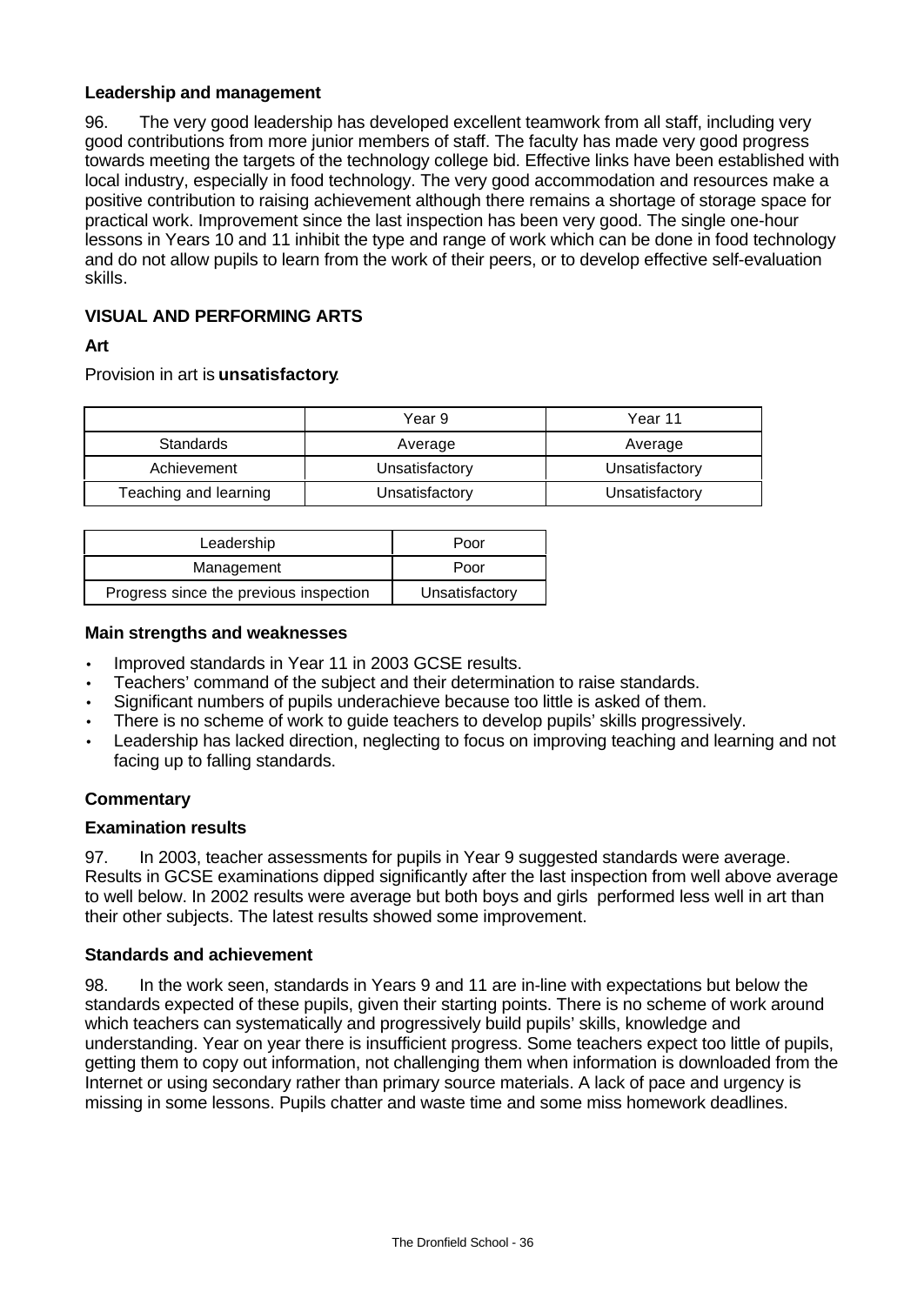## **Leadership and management**

96. The very good leadership has developed excellent teamwork from all staff, including very good contributions from more junior members of staff. The faculty has made very good progress towards meeting the targets of the technology college bid. Effective links have been established with local industry, especially in food technology. The very good accommodation and resources make a positive contribution to raising achievement although there remains a shortage of storage space for practical work. Improvement since the last inspection has been very good. The single one-hour lessons in Years 10 and 11 inhibit the type and range of work which can be done in food technology and do not allow pupils to learn from the work of their peers, or to develop effective self-evaluation skills.

# **VISUAL AND PERFORMING ARTS**

**Art**

Provision in art is **unsatisfactory**.

|                       | Year 9         | Year 11        |
|-----------------------|----------------|----------------|
| <b>Standards</b>      | Average        | Average        |
| Achievement           | Unsatisfactory | Unsatisfactory |
| Teaching and learning | Unsatisfactory | Unsatisfactory |

| Leadership                             | Poor           |
|----------------------------------------|----------------|
| Management                             | Poor           |
| Progress since the previous inspection | Unsatisfactory |

#### **Main strengths and weaknesses**

- Improved standards in Year 11 in 2003 GCSE results.
- Teachers' command of the subject and their determination to raise standards.
- Significant numbers of pupils underachieve because too little is asked of them.
- There is no scheme of work to guide teachers to develop pupils' skills progressively.
- Leadership has lacked direction, neglecting to focus on improving teaching and learning and not facing up to falling standards.

## **Commentary**

## **Examination results**

97. In 2003, teacher assessments for pupils in Year 9 suggested standards were average. Results in GCSE examinations dipped significantly after the last inspection from well above average to well below. In 2002 results were average but both boys and girls performed less well in art than their other subjects. The latest results showed some improvement.

## **Standards and achievement**

98. In the work seen, standards in Years 9 and 11 are in-line with expectations but below the standards expected of these pupils, given their starting points. There is no scheme of work around which teachers can systematically and progressively build pupils' skills, knowledge and understanding. Year on year there is insufficient progress. Some teachers expect too little of pupils, getting them to copy out information, not challenging them when information is downloaded from the Internet or using secondary rather than primary source materials. A lack of pace and urgency is missing in some lessons. Pupils chatter and waste time and some miss homework deadlines.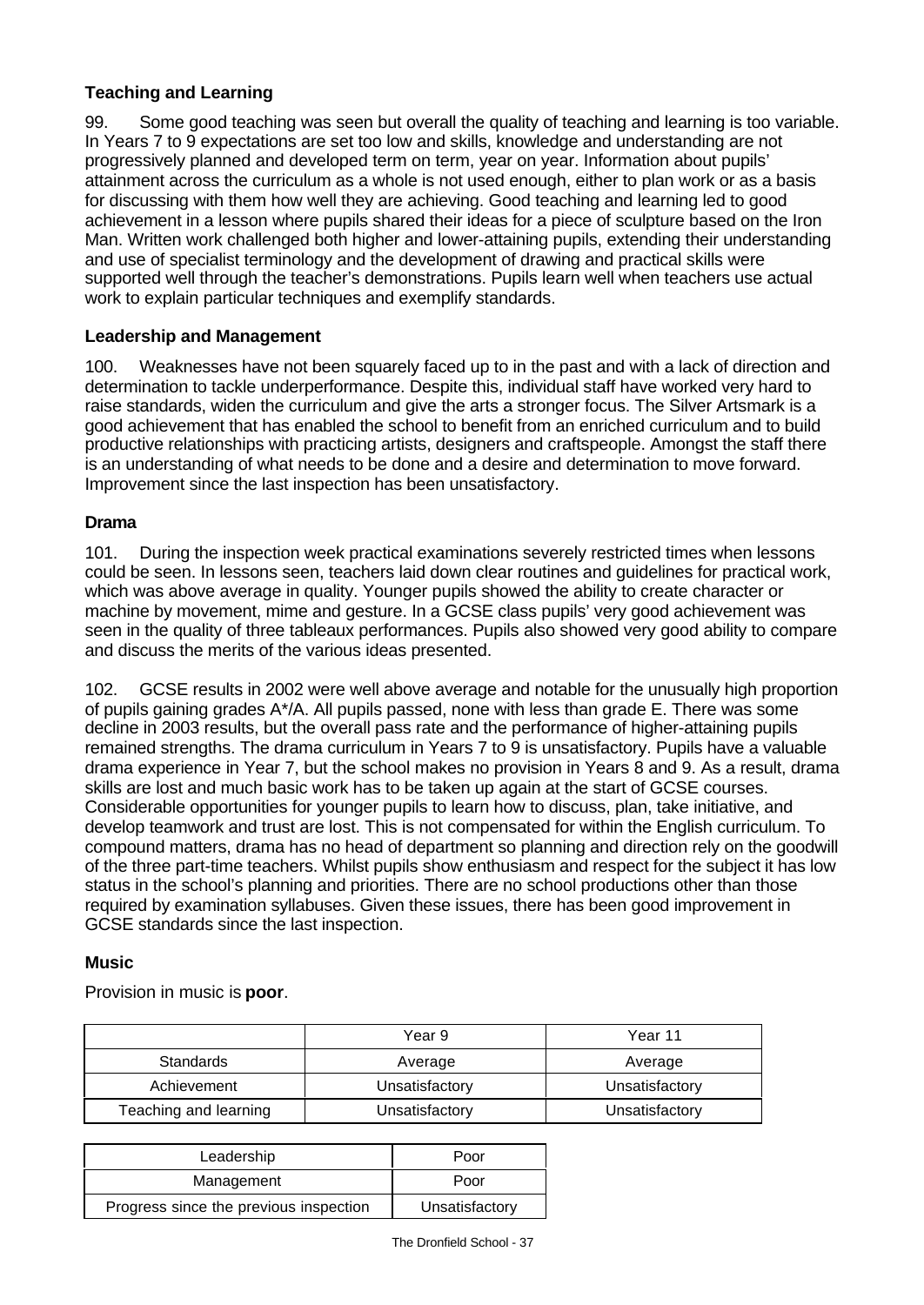# **Teaching and Learning**

99. Some good teaching was seen but overall the quality of teaching and learning is too variable. In Years 7 to 9 expectations are set too low and skills, knowledge and understanding are not progressively planned and developed term on term, year on year. Information about pupils' attainment across the curriculum as a whole is not used enough, either to plan work or as a basis for discussing with them how well they are achieving. Good teaching and learning led to good achievement in a lesson where pupils shared their ideas for a piece of sculpture based on the Iron Man. Written work challenged both higher and lower-attaining pupils, extending their understanding and use of specialist terminology and the development of drawing and practical skills were supported well through the teacher's demonstrations. Pupils learn well when teachers use actual work to explain particular techniques and exemplify standards.

## **Leadership and Management**

100. Weaknesses have not been squarely faced up to in the past and with a lack of direction and determination to tackle underperformance. Despite this, individual staff have worked very hard to raise standards, widen the curriculum and give the arts a stronger focus. The Silver Artsmark is a good achievement that has enabled the school to benefit from an enriched curriculum and to build productive relationships with practicing artists, designers and craftspeople. Amongst the staff there is an understanding of what needs to be done and a desire and determination to move forward. Improvement since the last inspection has been unsatisfactory.

## **Drama**

101. During the inspection week practical examinations severely restricted times when lessons could be seen. In lessons seen, teachers laid down clear routines and guidelines for practical work, which was above average in quality. Younger pupils showed the ability to create character or machine by movement, mime and gesture. In a GCSE class pupils' very good achievement was seen in the quality of three tableaux performances. Pupils also showed very good ability to compare and discuss the merits of the various ideas presented.

102. GCSE results in 2002 were well above average and notable for the unusually high proportion of pupils gaining grades A\*/A. All pupils passed, none with less than grade E. There was some decline in 2003 results, but the overall pass rate and the performance of higher-attaining pupils remained strengths. The drama curriculum in Years 7 to 9 is unsatisfactory. Pupils have a valuable drama experience in Year 7, but the school makes no provision in Years 8 and 9. As a result, drama skills are lost and much basic work has to be taken up again at the start of GCSE courses. Considerable opportunities for younger pupils to learn how to discuss, plan, take initiative, and develop teamwork and trust are lost. This is not compensated for within the English curriculum. To compound matters, drama has no head of department so planning and direction rely on the goodwill of the three part-time teachers. Whilst pupils show enthusiasm and respect for the subject it has low status in the school's planning and priorities. There are no school productions other than those required by examination syllabuses. Given these issues, there has been good improvement in GCSE standards since the last inspection.

## **Music**

Provision in music is **poor**.

|                       | Year 9         | Year 11        |
|-----------------------|----------------|----------------|
| Standards             | Average        | Average        |
| Achievement           | Unsatisfactory | Unsatisfactory |
| Teaching and learning | Unsatisfactory | Unsatisfactory |

| Leadership                             | Poor           |
|----------------------------------------|----------------|
| Management                             | Poor           |
| Progress since the previous inspection | Unsatisfactory |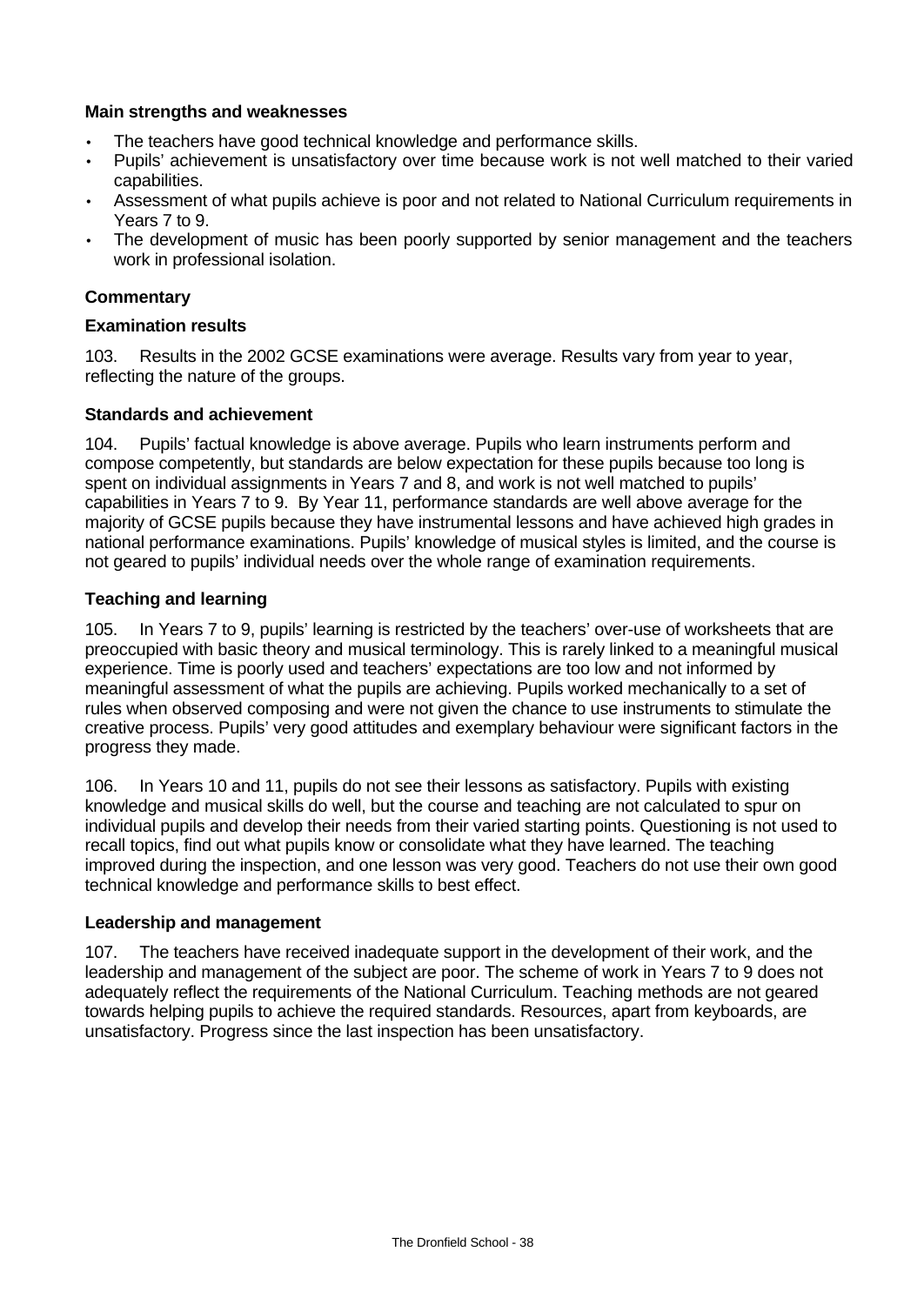# **Main strengths and weaknesses**

- The teachers have good technical knowledge and performance skills.
- Pupils' achievement is unsatisfactory over time because work is not well matched to their varied capabilities.
- Assessment of what pupils achieve is poor and not related to National Curriculum requirements in Years 7 to 9.
- The development of music has been poorly supported by senior management and the teachers work in professional isolation.

# **Commentary**

### **Examination results**

103. Results in the 2002 GCSE examinations were average. Results vary from year to year, reflecting the nature of the groups.

## **Standards and achievement**

104. Pupils' factual knowledge is above average. Pupils who learn instruments perform and compose competently, but standards are below expectation for these pupils because too long is spent on individual assignments in Years 7 and 8, and work is not well matched to pupils' capabilities in Years 7 to 9. By Year 11, performance standards are well above average for the majority of GCSE pupils because they have instrumental lessons and have achieved high grades in national performance examinations. Pupils' knowledge of musical styles is limited, and the course is not geared to pupils' individual needs over the whole range of examination requirements.

## **Teaching and learning**

105. In Years 7 to 9, pupils' learning is restricted by the teachers' over-use of worksheets that are preoccupied with basic theory and musical terminology. This is rarely linked to a meaningful musical experience. Time is poorly used and teachers' expectations are too low and not informed by meaningful assessment of what the pupils are achieving. Pupils worked mechanically to a set of rules when observed composing and were not given the chance to use instruments to stimulate the creative process. Pupils' very good attitudes and exemplary behaviour were significant factors in the progress they made.

106. In Years 10 and 11, pupils do not see their lessons as satisfactory. Pupils with existing knowledge and musical skills do well, but the course and teaching are not calculated to spur on individual pupils and develop their needs from their varied starting points. Questioning is not used to recall topics, find out what pupils know or consolidate what they have learned. The teaching improved during the inspection, and one lesson was very good. Teachers do not use their own good technical knowledge and performance skills to best effect.

## **Leadership and management**

107. The teachers have received inadequate support in the development of their work, and the leadership and management of the subject are poor. The scheme of work in Years 7 to 9 does not adequately reflect the requirements of the National Curriculum. Teaching methods are not geared towards helping pupils to achieve the required standards. Resources, apart from keyboards, are unsatisfactory. Progress since the last inspection has been unsatisfactory.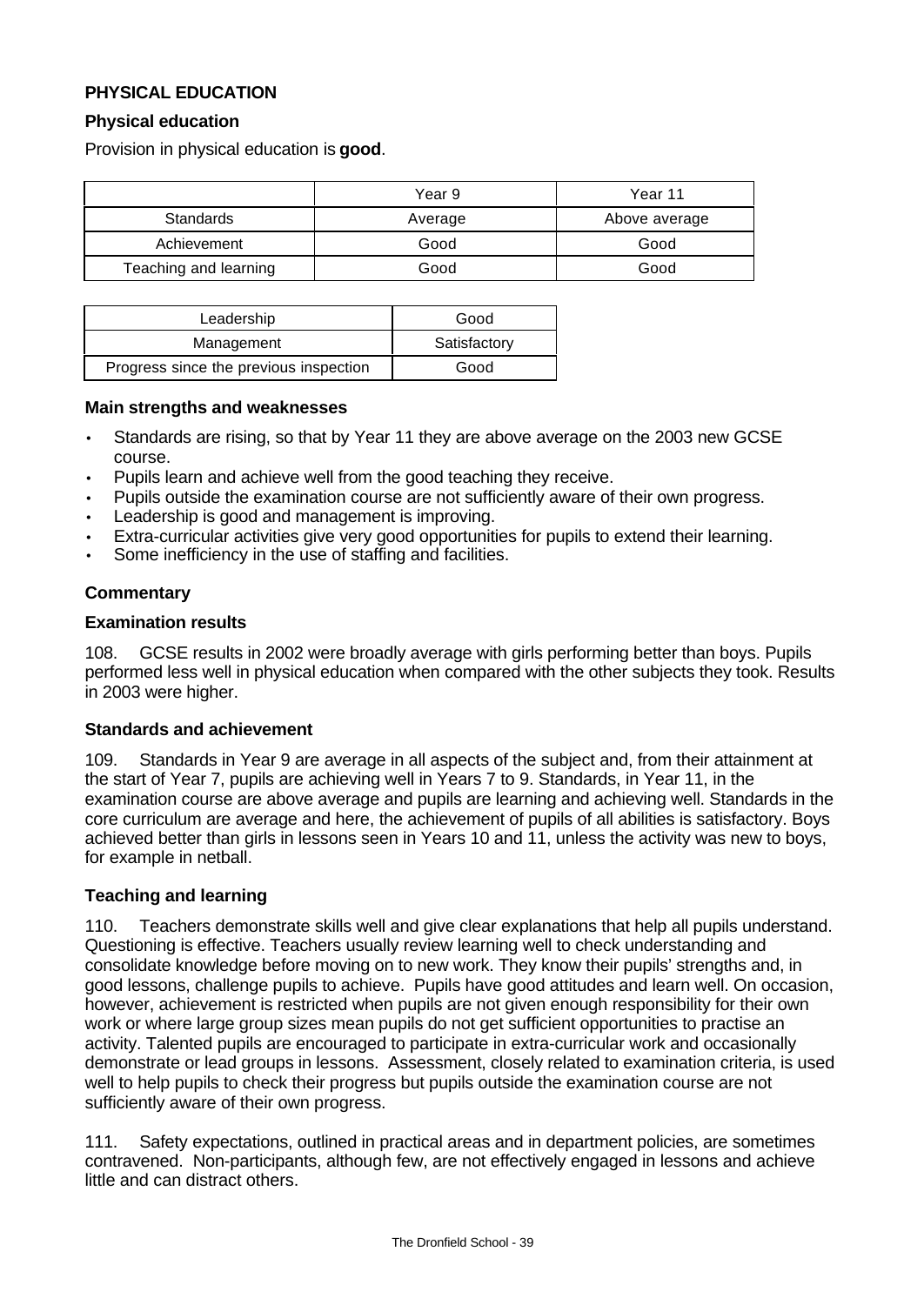# **PHYSICAL EDUCATION**

## **Physical education**

Provision in physical education is **good**.

|                       | Year 9  | Year 11       |
|-----------------------|---------|---------------|
| <b>Standards</b>      | Average | Above average |
| Achievement           | Good    | Good          |
| Teaching and learning | Good    | Good          |

| Leadership                             | Good         |
|----------------------------------------|--------------|
| Management                             | Satisfactory |
| Progress since the previous inspection | Good         |

#### **Main strengths and weaknesses**

- Standards are rising, so that by Year 11 they are above average on the 2003 new GCSE course.
- Pupils learn and achieve well from the good teaching they receive.
- Pupils outside the examination course are not sufficiently aware of their own progress.
- Leadership is good and management is improving.
- Extra-curricular activities give very good opportunities for pupils to extend their learning.
- Some inefficiency in the use of staffing and facilities.

# **Commentary**

#### **Examination results**

108. GCSE results in 2002 were broadly average with girls performing better than boys. Pupils performed less well in physical education when compared with the other subjects they took. Results in 2003 were higher.

## **Standards and achievement**

109. Standards in Year 9 are average in all aspects of the subject and, from their attainment at the start of Year 7, pupils are achieving well in Years 7 to 9. Standards, in Year 11, in the examination course are above average and pupils are learning and achieving well. Standards in the core curriculum are average and here, the achievement of pupils of all abilities is satisfactory. Boys achieved better than girls in lessons seen in Years 10 and 11, unless the activity was new to boys, for example in netball.

## **Teaching and learning**

110. Teachers demonstrate skills well and give clear explanations that help all pupils understand. Questioning is effective. Teachers usually review learning well to check understanding and consolidate knowledge before moving on to new work. They know their pupils' strengths and, in good lessons, challenge pupils to achieve. Pupils have good attitudes and learn well. On occasion, however, achievement is restricted when pupils are not given enough responsibility for their own work or where large group sizes mean pupils do not get sufficient opportunities to practise an activity. Talented pupils are encouraged to participate in extra-curricular work and occasionally demonstrate or lead groups in lessons. Assessment, closely related to examination criteria, is used well to help pupils to check their progress but pupils outside the examination course are not sufficiently aware of their own progress.

111. Safety expectations, outlined in practical areas and in department policies, are sometimes contravened. Non-participants, although few, are not effectively engaged in lessons and achieve little and can distract others.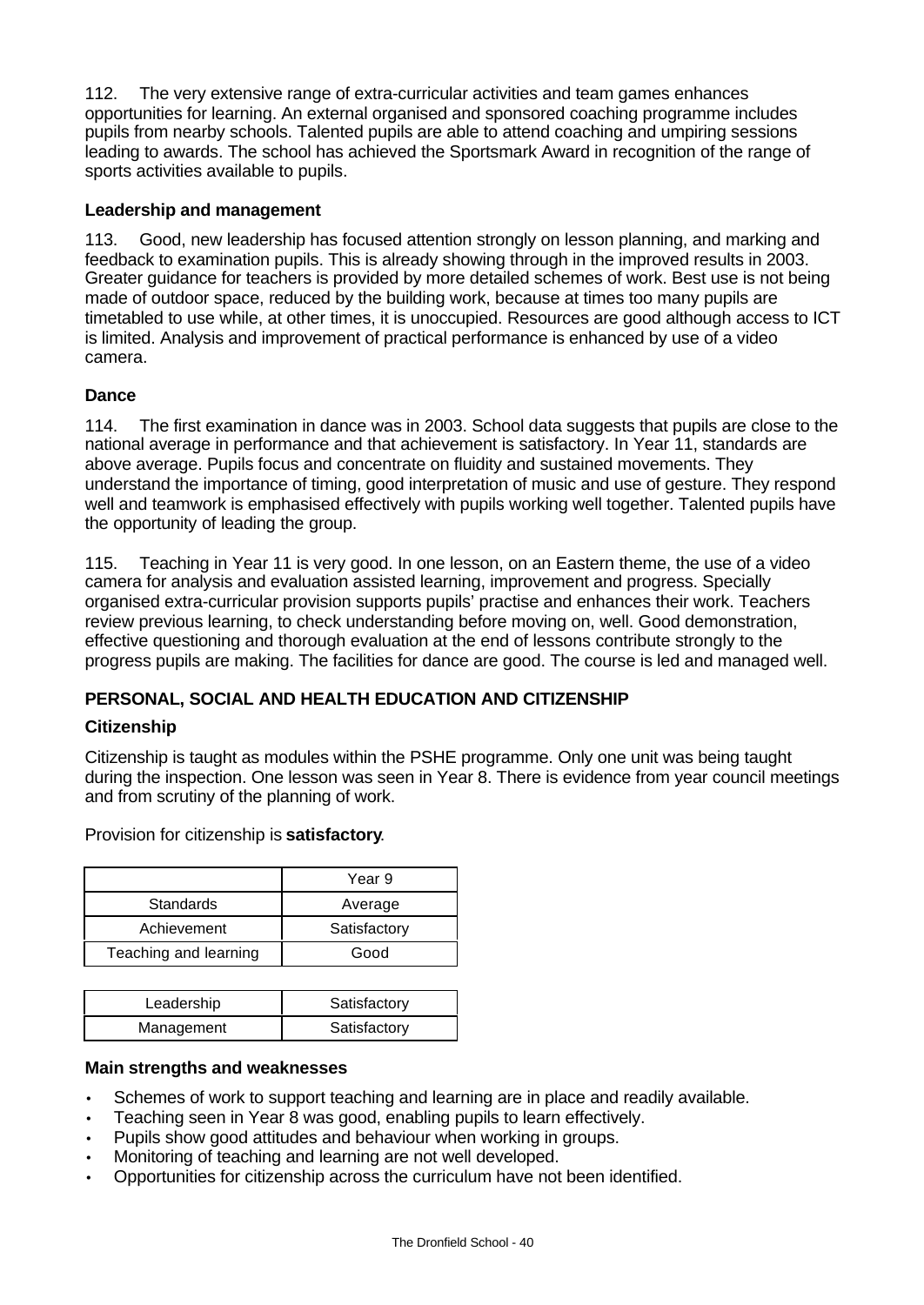112. The very extensive range of extra-curricular activities and team games enhances opportunities for learning. An external organised and sponsored coaching programme includes pupils from nearby schools. Talented pupils are able to attend coaching and umpiring sessions leading to awards. The school has achieved the Sportsmark Award in recognition of the range of sports activities available to pupils.

## **Leadership and management**

113. Good, new leadership has focused attention strongly on lesson planning, and marking and feedback to examination pupils. This is already showing through in the improved results in 2003. Greater guidance for teachers is provided by more detailed schemes of work. Best use is not being made of outdoor space, reduced by the building work, because at times too many pupils are timetabled to use while, at other times, it is unoccupied. Resources are good although access to ICT is limited. Analysis and improvement of practical performance is enhanced by use of a video camera.

# **Dance**

114. The first examination in dance was in 2003. School data suggests that pupils are close to the national average in performance and that achievement is satisfactory. In Year 11, standards are above average. Pupils focus and concentrate on fluidity and sustained movements. They understand the importance of timing, good interpretation of music and use of gesture. They respond well and teamwork is emphasised effectively with pupils working well together. Talented pupils have the opportunity of leading the group.

115. Teaching in Year 11 is very good. In one lesson, on an Eastern theme, the use of a video camera for analysis and evaluation assisted learning, improvement and progress. Specially organised extra-curricular provision supports pupils' practise and enhances their work. Teachers review previous learning, to check understanding before moving on, well. Good demonstration, effective questioning and thorough evaluation at the end of lessons contribute strongly to the progress pupils are making. The facilities for dance are good. The course is led and managed well.

# **PERSONAL, SOCIAL AND HEALTH EDUCATION AND CITIZENSHIP**

# **Citizenship**

Citizenship is taught as modules within the PSHE programme. Only one unit was being taught during the inspection. One lesson was seen in Year 8. There is evidence from year council meetings and from scrutiny of the planning of work.

|                  | Year 9       |
|------------------|--------------|
| <b>Standards</b> | Average      |
| Achievement      | Satisfactory |

Teaching and learning | Good

| Provision for citizenship is <b>satisfactory</b> . |  |  |  |
|----------------------------------------------------|--|--|--|
|                                                    |  |  |  |

| Leadership | Satisfactory |
|------------|--------------|
| Management | Satisfactory |

## **Main strengths and weaknesses**

- Schemes of work to support teaching and learning are in place and readily available.
- Teaching seen in Year 8 was good, enabling pupils to learn effectively.
- Pupils show good attitudes and behaviour when working in groups.
- Monitoring of teaching and learning are not well developed.
- Opportunities for citizenship across the curriculum have not been identified.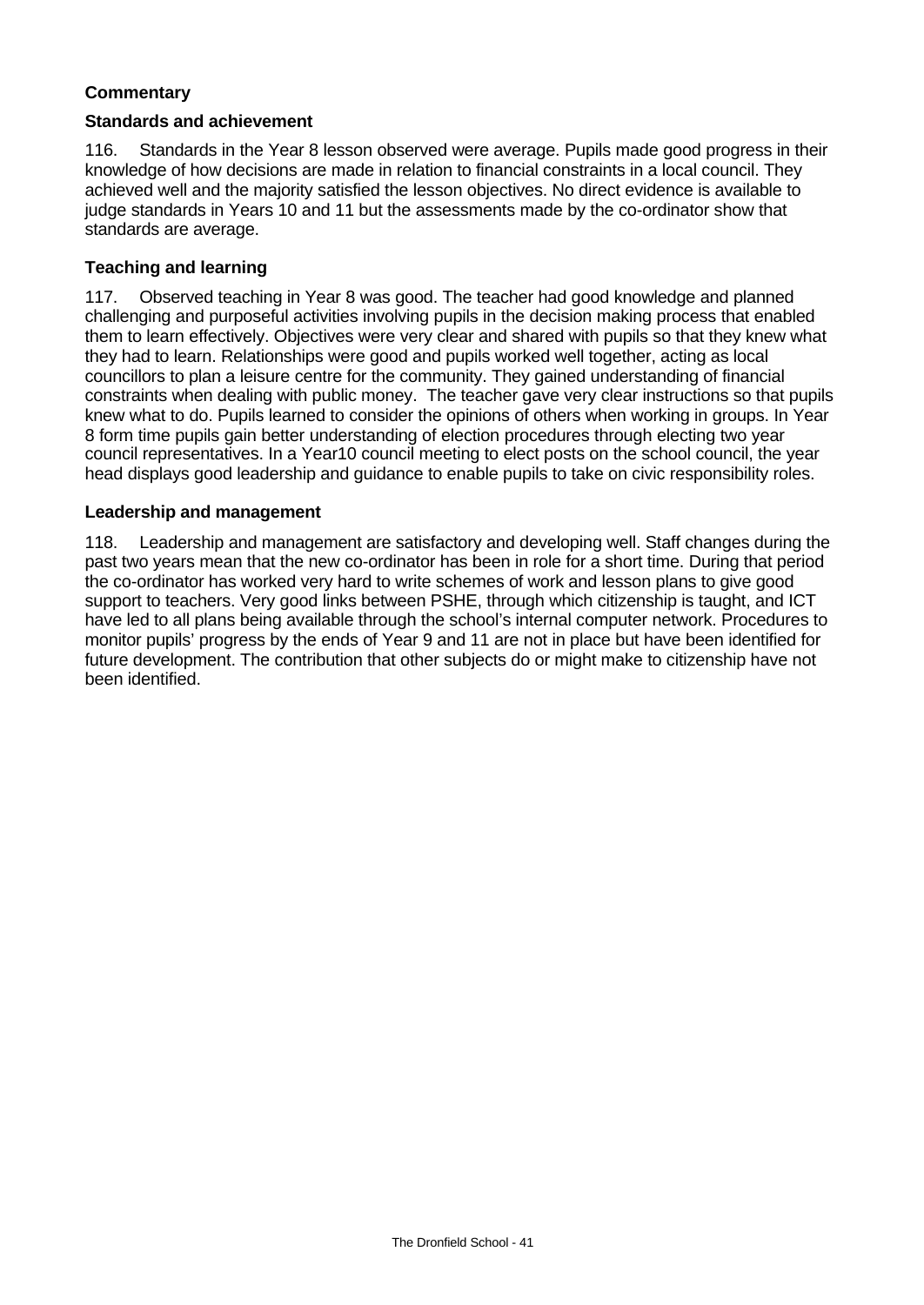# **Commentary**

#### **Standards and achievement**

116. Standards in the Year 8 lesson observed were average. Pupils made good progress in their knowledge of how decisions are made in relation to financial constraints in a local council. They achieved well and the majority satisfied the lesson objectives. No direct evidence is available to judge standards in Years 10 and 11 but the assessments made by the co-ordinator show that standards are average.

## **Teaching and learning**

117. Observed teaching in Year 8 was good. The teacher had good knowledge and planned challenging and purposeful activities involving pupils in the decision making process that enabled them to learn effectively. Objectives were very clear and shared with pupils so that they knew what they had to learn. Relationships were good and pupils worked well together, acting as local councillors to plan a leisure centre for the community. They gained understanding of financial constraints when dealing with public money. The teacher gave very clear instructions so that pupils knew what to do. Pupils learned to consider the opinions of others when working in groups. In Year 8 form time pupils gain better understanding of election procedures through electing two year council representatives. In a Year10 council meeting to elect posts on the school council, the year head displays good leadership and guidance to enable pupils to take on civic responsibility roles.

#### **Leadership and management**

118. Leadership and management are satisfactory and developing well. Staff changes during the past two years mean that the new co-ordinator has been in role for a short time. During that period the co-ordinator has worked very hard to write schemes of work and lesson plans to give good support to teachers. Very good links between PSHE, through which citizenship is taught, and ICT have led to all plans being available through the school's internal computer network. Procedures to monitor pupils' progress by the ends of Year 9 and 11 are not in place but have been identified for future development. The contribution that other subjects do or might make to citizenship have not been identified.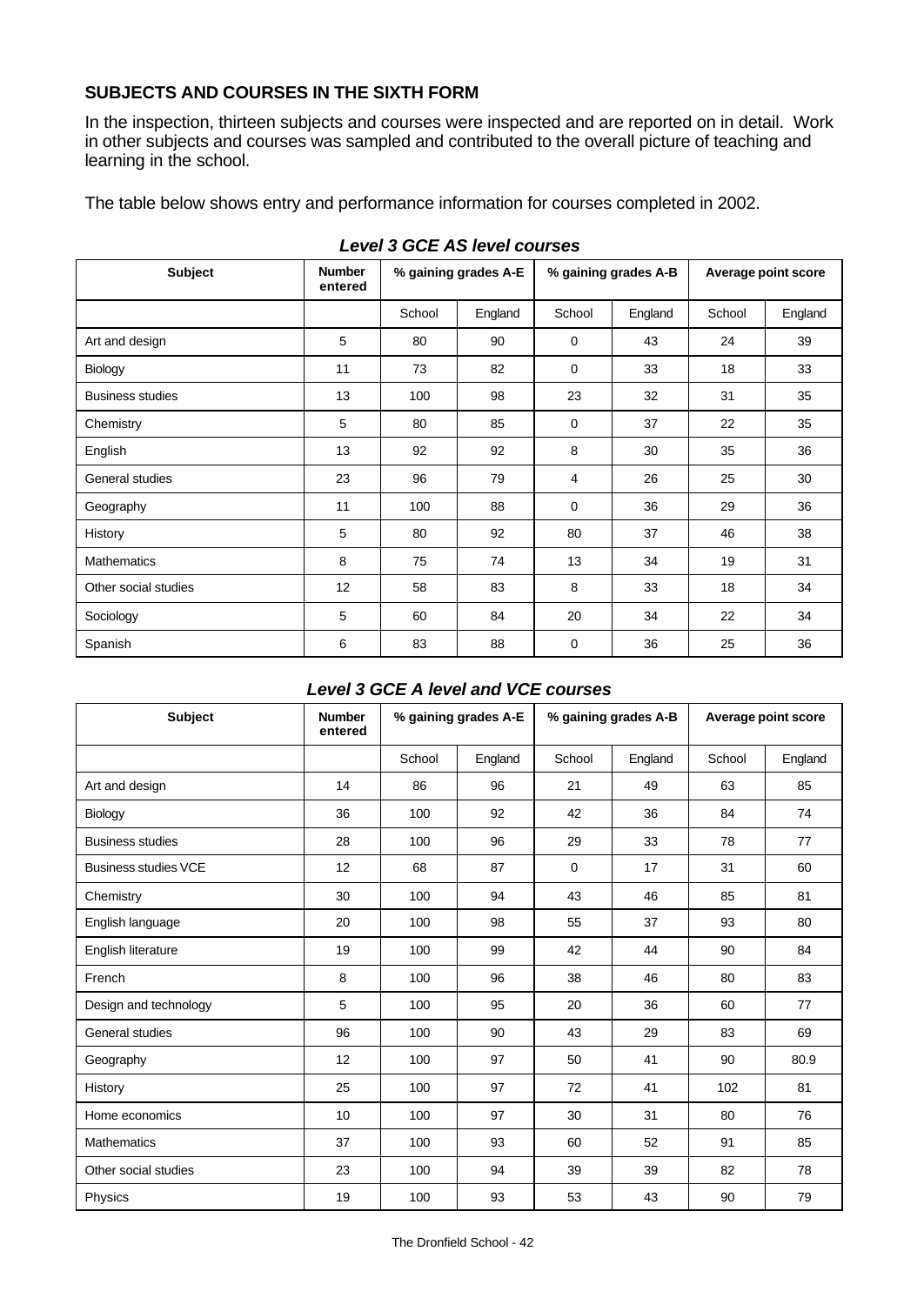# **SUBJECTS AND COURSES IN THE SIXTH FORM**

In the inspection, thirteen subjects and courses were inspected and are reported on in detail. Work in other subjects and courses was sampled and contributed to the overall picture of teaching and learning in the school.

The table below shows entry and performance information for courses completed in 2002.

| <b>Subject</b>          | <b>Number</b><br>entered | % gaining grades A-E |         | % gaining grades A-B |         | Average point score |         |
|-------------------------|--------------------------|----------------------|---------|----------------------|---------|---------------------|---------|
|                         |                          | School               | England | School               | England | School              | England |
| Art and design          | 5                        | 80                   | 90      | $\mathbf 0$          | 43      | 24                  | 39      |
| Biology                 | 11                       | 73                   | 82      | 0                    | 33      | 18                  | 33      |
| <b>Business studies</b> | 13                       | 100                  | 98      | 23                   | 32      | 31                  | 35      |
| Chemistry               | 5                        | 80                   | 85      | 0                    | 37      | 22                  | 35      |
| English                 | 13                       | 92                   | 92      | 8                    | 30      | 35                  | 36      |
| General studies         | 23                       | 96                   | 79      | 4                    | 26      | 25                  | 30      |
| Geography               | 11                       | 100                  | 88      | $\mathbf 0$          | 36      | 29                  | 36      |
| History                 | 5                        | 80                   | 92      | 80                   | 37      | 46                  | 38      |
| <b>Mathematics</b>      | 8                        | 75                   | 74      | 13                   | 34      | 19                  | 31      |
| Other social studies    | 12                       | 58                   | 83      | 8                    | 33      | 18                  | 34      |
| Sociology               | 5                        | 60                   | 84      | 20                   | 34      | 22                  | 34      |
| Spanish                 | 6                        | 83                   | 88      | $\mathbf 0$          | 36      | 25                  | 36      |

# *Level 3 GCE AS level courses*

# *Level 3 GCE A level and VCE courses*

| <b>Subject</b>              | <b>Number</b><br>entered | % gaining grades A-E |         | % gaining grades A-B |         | Average point score |         |
|-----------------------------|--------------------------|----------------------|---------|----------------------|---------|---------------------|---------|
|                             |                          | School               | England | School               | England | School              | England |
| Art and design              | 14                       | 86                   | 96      | 21                   | 49      | 63                  | 85      |
| Biology                     | 36                       | 100                  | 92      | 42                   | 36      | 84                  | 74      |
| <b>Business studies</b>     | 28                       | 100                  | 96      | 29                   | 33      | 78                  | 77      |
| <b>Business studies VCE</b> | 12                       | 68                   | 87      | $\Omega$             | 17      | 31                  | 60      |
| Chemistry                   | 30                       | 100                  | 94      | 43                   | 46      | 85                  | 81      |
| English language            | 20                       | 100                  | 98      | 55                   | 37      | 93                  | 80      |
| English literature          | 19                       | 100                  | 99      | 42                   | 44      | 90                  | 84      |
| French                      | 8                        | 100                  | 96      | 38                   | 46      | 80                  | 83      |
| Design and technology       | 5                        | 100                  | 95      | 20                   | 36      | 60                  | 77      |
| General studies             | 96                       | 100                  | 90      | 43                   | 29      | 83                  | 69      |
| Geography                   | 12                       | 100                  | 97      | 50                   | 41      | 90                  | 80.9    |
| History                     | 25                       | 100                  | 97      | 72                   | 41      | 102                 | 81      |
| Home economics              | 10                       | 100                  | 97      | 30                   | 31      | 80                  | 76      |
| <b>Mathematics</b>          | 37                       | 100                  | 93      | 60                   | 52      | 91                  | 85      |
| Other social studies        | 23                       | 100                  | 94      | 39                   | 39      | 82                  | 78      |
| Physics                     | 19                       | 100                  | 93      | 53                   | 43      | 90                  | 79      |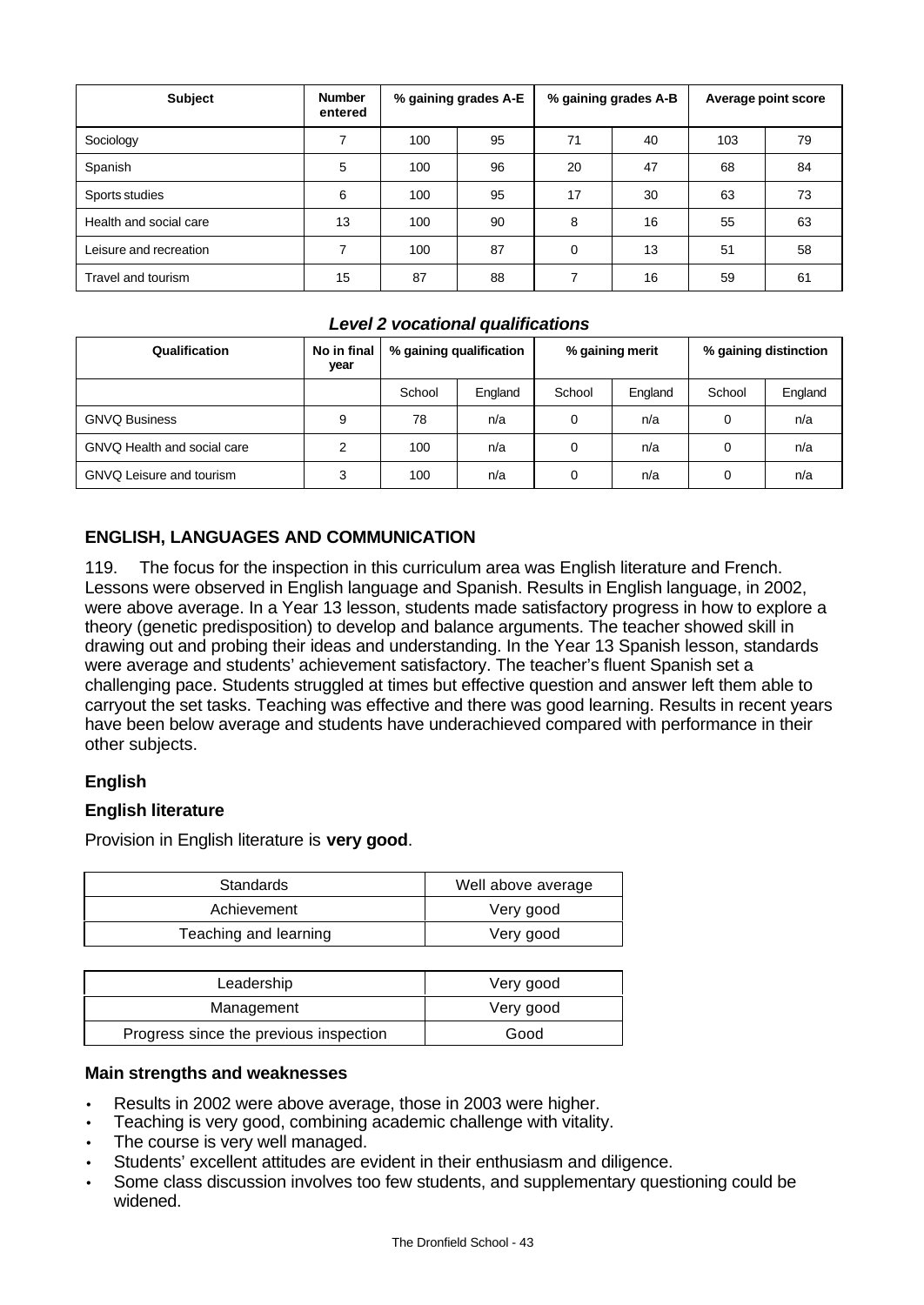| <b>Subject</b>         | <b>Number</b><br>entered | % gaining grades A-E |    | % gaining grades A-B |    | Average point score |    |
|------------------------|--------------------------|----------------------|----|----------------------|----|---------------------|----|
| Sociology              | 7                        | 100                  | 95 | 71                   | 40 | 103                 | 79 |
| Spanish                | 5                        | 100                  | 96 | 20                   | 47 | 68                  | 84 |
| Sports studies         | 6                        | 100                  | 95 | 17                   | 30 | 63                  | 73 |
| Health and social care | 13                       | 100                  | 90 | 8                    | 16 | 55                  | 63 |
| Leisure and recreation | 7                        | 100                  | 87 | $\Omega$             | 13 | 51                  | 58 |
| Travel and tourism     | 15                       | 87                   | 88 | 7                    | 16 | 59                  | 61 |

# *Level 2 vocational qualifications*

| Qualification                   | No in final<br>year | % gaining qualification |         | % gaining merit |         | % gaining distinction |         |
|---------------------------------|---------------------|-------------------------|---------|-----------------|---------|-----------------------|---------|
|                                 |                     | School                  | England | School          | England | School                | England |
| <b>GNVQ Business</b>            | 9                   | 78                      | n/a     | 0               | n/a     | 0                     | n/a     |
| GNVQ Health and social care     | 2                   | 100                     | n/a     | 0               | n/a     | 0                     | n/a     |
| <b>GNVQ Leisure and tourism</b> | 3                   | 100                     | n/a     | 0               | n/a     | 0                     | n/a     |

# **ENGLISH, LANGUAGES AND COMMUNICATION**

119. The focus for the inspection in this curriculum area was English literature and French. Lessons were observed in English language and Spanish. Results in English language, in 2002, were above average. In a Year 13 lesson, students made satisfactory progress in how to explore a theory (genetic predisposition) to develop and balance arguments. The teacher showed skill in drawing out and probing their ideas and understanding. In the Year 13 Spanish lesson, standards were average and students' achievement satisfactory. The teacher's fluent Spanish set a challenging pace. Students struggled at times but effective question and answer left them able to carryout the set tasks. Teaching was effective and there was good learning. Results in recent years have been below average and students have underachieved compared with performance in their other subjects.

# **English**

## **English literature**

Provision in English literature is **very good**.

| <b>Standards</b>      | Well above average |
|-----------------------|--------------------|
| Achievement           | Very good          |
| Teaching and learning | Very good          |

| Leadership                             | Very good |
|----------------------------------------|-----------|
| Management                             | Very good |
| Progress since the previous inspection | Good      |

#### **Main strengths and weaknesses**

- Results in 2002 were above average, those in 2003 were higher.
- Teaching is very good, combining academic challenge with vitality.
- The course is very well managed.
- Students' excellent attitudes are evident in their enthusiasm and diligence.
- Some class discussion involves too few students, and supplementary questioning could be widened.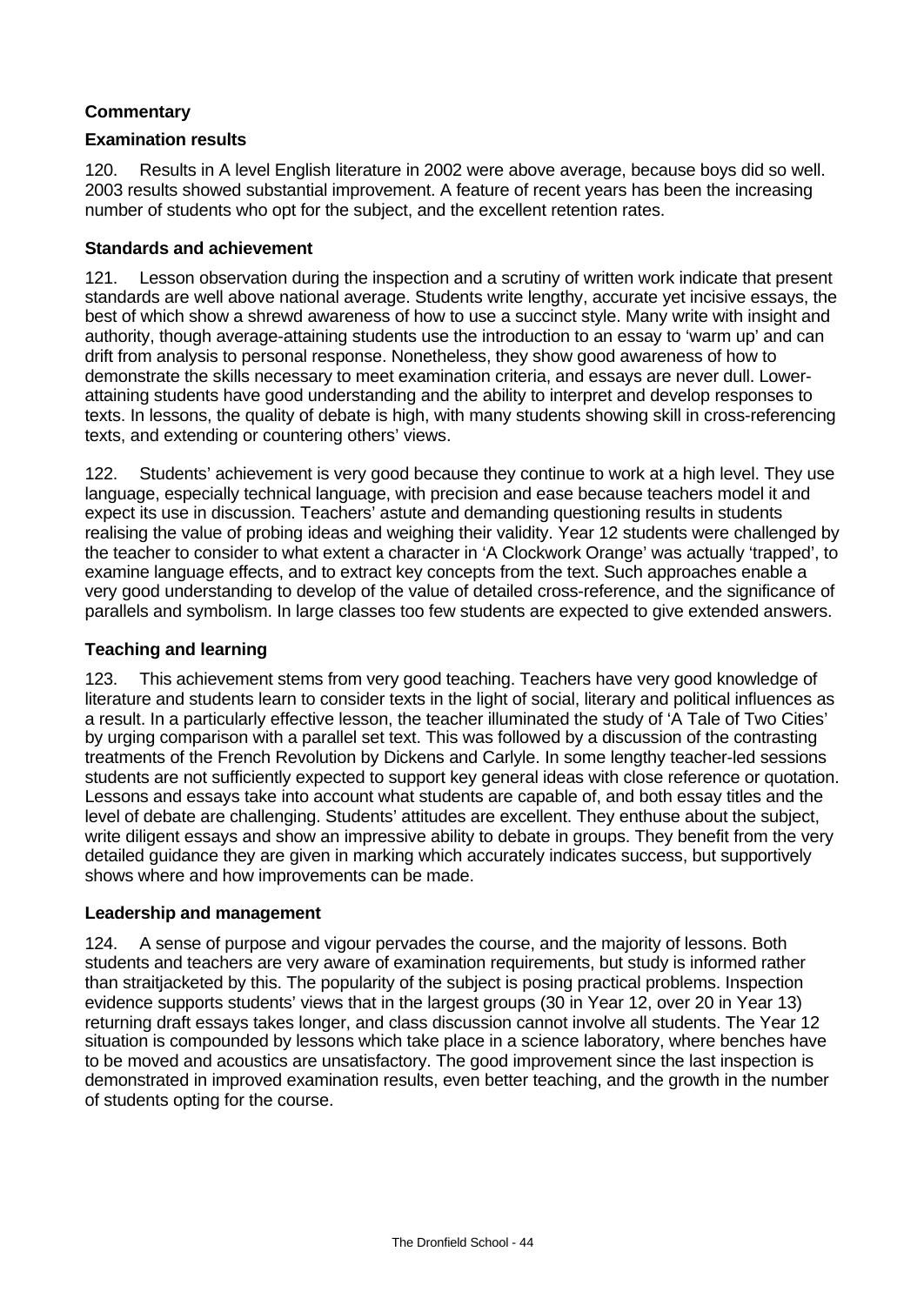# **Commentary**

# **Examination results**

120. Results in A level English literature in 2002 were above average, because boys did so well. 2003 results showed substantial improvement. A feature of recent years has been the increasing number of students who opt for the subject, and the excellent retention rates.

# **Standards and achievement**

121. Lesson observation during the inspection and a scrutiny of written work indicate that present standards are well above national average. Students write lengthy, accurate yet incisive essays, the best of which show a shrewd awareness of how to use a succinct style. Many write with insight and authority, though average-attaining students use the introduction to an essay to 'warm up' and can drift from analysis to personal response. Nonetheless, they show good awareness of how to demonstrate the skills necessary to meet examination criteria, and essays are never dull. Lowerattaining students have good understanding and the ability to interpret and develop responses to texts. In lessons, the quality of debate is high, with many students showing skill in cross-referencing texts, and extending or countering others' views.

122. Students' achievement is very good because they continue to work at a high level. They use language, especially technical language, with precision and ease because teachers model it and expect its use in discussion. Teachers' astute and demanding questioning results in students realising the value of probing ideas and weighing their validity. Year 12 students were challenged by the teacher to consider to what extent a character in 'A Clockwork Orange' was actually 'trapped', to examine language effects, and to extract key concepts from the text. Such approaches enable a very good understanding to develop of the value of detailed cross-reference, and the significance of parallels and symbolism. In large classes too few students are expected to give extended answers.

# **Teaching and learning**

123. This achievement stems from very good teaching. Teachers have very good knowledge of literature and students learn to consider texts in the light of social, literary and political influences as a result. In a particularly effective lesson, the teacher illuminated the study of 'A Tale of Two Cities' by urging comparison with a parallel set text. This was followed by a discussion of the contrasting treatments of the French Revolution by Dickens and Carlyle. In some lengthy teacher-led sessions students are not sufficiently expected to support key general ideas with close reference or quotation. Lessons and essays take into account what students are capable of, and both essay titles and the level of debate are challenging. Students' attitudes are excellent. They enthuse about the subject, write diligent essays and show an impressive ability to debate in groups. They benefit from the very detailed guidance they are given in marking which accurately indicates success, but supportively shows where and how improvements can be made.

## **Leadership and management**

124. A sense of purpose and vigour pervades the course, and the majority of lessons. Both students and teachers are very aware of examination requirements, but study is informed rather than straitjacketed by this. The popularity of the subject is posing practical problems. Inspection evidence supports students' views that in the largest groups (30 in Year 12, over 20 in Year 13) returning draft essays takes longer, and class discussion cannot involve all students. The Year 12 situation is compounded by lessons which take place in a science laboratory, where benches have to be moved and acoustics are unsatisfactory. The good improvement since the last inspection is demonstrated in improved examination results, even better teaching, and the growth in the number of students opting for the course.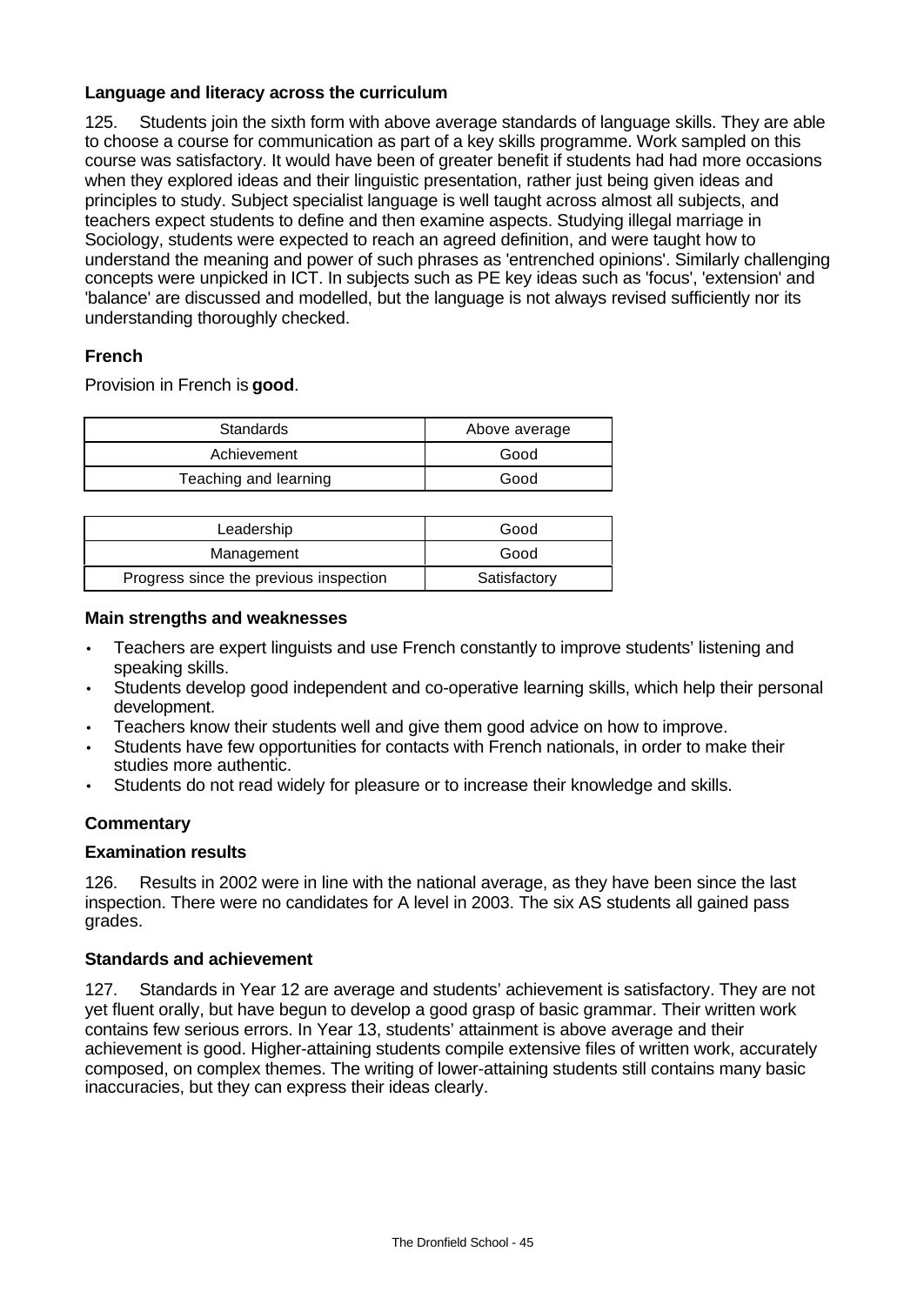# **Language and literacy across the curriculum**

125. Students join the sixth form with above average standards of language skills. They are able to choose a course for communication as part of a key skills programme. Work sampled on this course was satisfactory. It would have been of greater benefit if students had had more occasions when they explored ideas and their linguistic presentation, rather just being given ideas and principles to study. Subject specialist language is well taught across almost all subjects, and teachers expect students to define and then examine aspects. Studying illegal marriage in Sociology, students were expected to reach an agreed definition, and were taught how to understand the meaning and power of such phrases as 'entrenched opinions'. Similarly challenging concepts were unpicked in ICT. In subjects such as PE key ideas such as 'focus', 'extension' and 'balance' are discussed and modelled, but the language is not always revised sufficiently nor its understanding thoroughly checked.

# **French**

Provision in French is **good**.

| Standards             | Above average |
|-----------------------|---------------|
| Achievement           | Good          |
| Teaching and learning | Good          |

| Leadership                             | Good         |
|----------------------------------------|--------------|
| Management                             | Good         |
| Progress since the previous inspection | Satisfactory |

## **Main strengths and weaknesses**

- Teachers are expert linguists and use French constantly to improve students' listening and speaking skills.
- Students develop good independent and co-operative learning skills, which help their personal development.
- Teachers know their students well and give them good advice on how to improve.
- Students have few opportunities for contacts with French nationals, in order to make their studies more authentic.
- Students do not read widely for pleasure or to increase their knowledge and skills.

## **Commentary**

## **Examination results**

126. Results in 2002 were in line with the national average, as they have been since the last inspection. There were no candidates for A level in 2003. The six AS students all gained pass grades.

# **Standards and achievement**

127. Standards in Year 12 are average and students' achievement is satisfactory. They are not yet fluent orally, but have begun to develop a good grasp of basic grammar. Their written work contains few serious errors. In Year 13, students' attainment is above average and their achievement is good. Higher-attaining students compile extensive files of written work, accurately composed, on complex themes. The writing of lower-attaining students still contains many basic inaccuracies, but they can express their ideas clearly.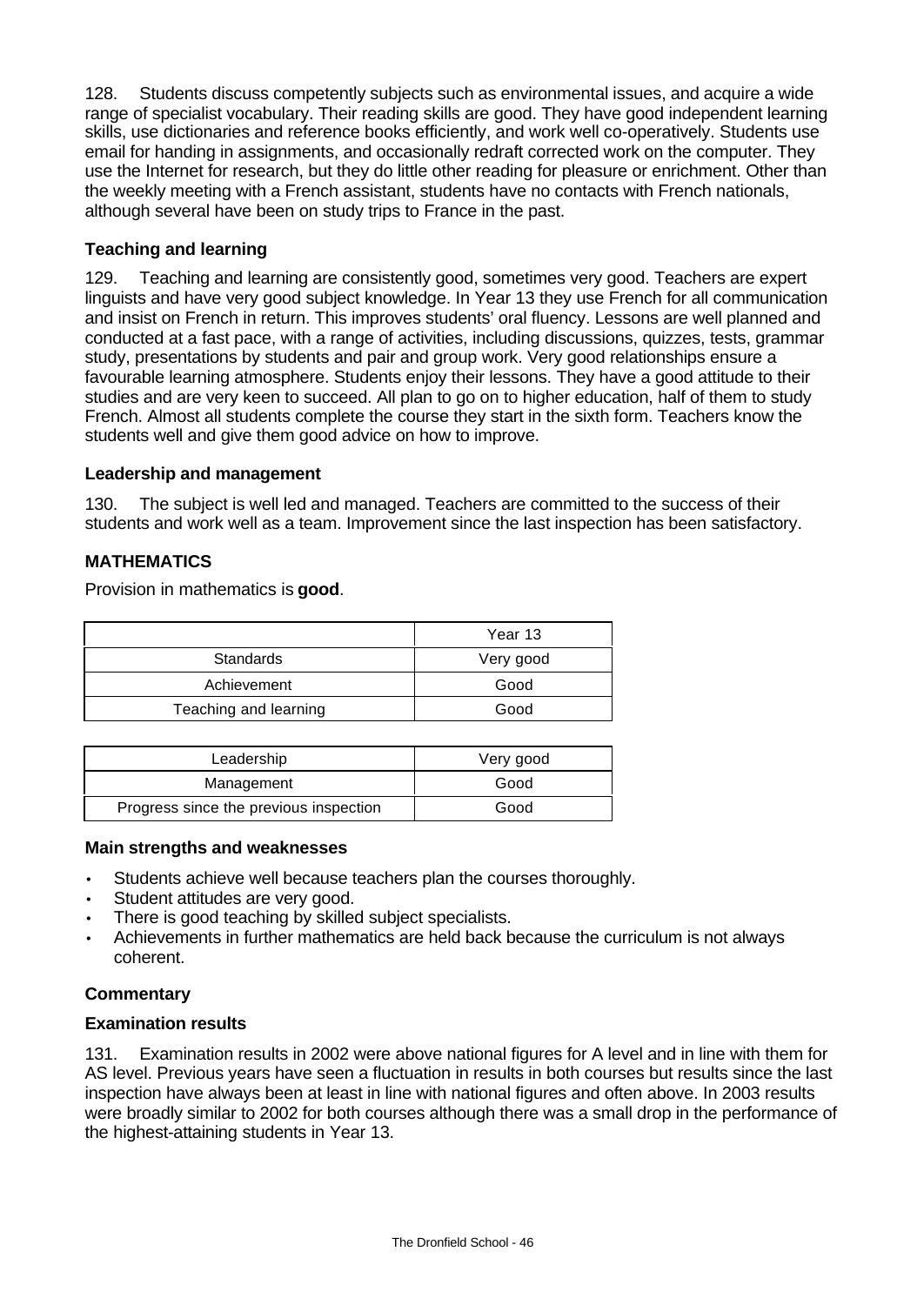128. Students discuss competently subjects such as environmental issues, and acquire a wide range of specialist vocabulary. Their reading skills are good. They have good independent learning skills, use dictionaries and reference books efficiently, and work well co-operatively. Students use email for handing in assignments, and occasionally redraft corrected work on the computer. They use the Internet for research, but they do little other reading for pleasure or enrichment. Other than the weekly meeting with a French assistant, students have no contacts with French nationals, although several have been on study trips to France in the past.

# **Teaching and learning**

129. Teaching and learning are consistently good, sometimes very good. Teachers are expert linguists and have very good subject knowledge. In Year 13 they use French for all communication and insist on French in return. This improves students' oral fluency. Lessons are well planned and conducted at a fast pace, with a range of activities, including discussions, quizzes, tests, grammar study, presentations by students and pair and group work. Very good relationships ensure a favourable learning atmosphere. Students enjoy their lessons. They have a good attitude to their studies and are very keen to succeed. All plan to go on to higher education, half of them to study French. Almost all students complete the course they start in the sixth form. Teachers know the students well and give them good advice on how to improve.

## **Leadership and management**

130. The subject is well led and managed. Teachers are committed to the success of their students and work well as a team. Improvement since the last inspection has been satisfactory.

# **MATHEMATICS**

Provision in mathematics is **good**.

|                       | Year 13   |
|-----------------------|-----------|
| <b>Standards</b>      | Very good |
| Achievement           | Good      |
| Teaching and learning | Good      |

| Leadership                             | Very good |
|----------------------------------------|-----------|
| Management                             | Good      |
| Progress since the previous inspection | Good      |

#### **Main strengths and weaknesses**

- Students achieve well because teachers plan the courses thoroughly.
- Student attitudes are very good.
- There is good teaching by skilled subject specialists.
- Achievements in further mathematics are held back because the curriculum is not always coherent.

## **Commentary**

## **Examination results**

131. Examination results in 2002 were above national figures for A level and in line with them for AS level. Previous years have seen a fluctuation in results in both courses but results since the last inspection have always been at least in line with national figures and often above. In 2003 results were broadly similar to 2002 for both courses although there was a small drop in the performance of the highest-attaining students in Year 13.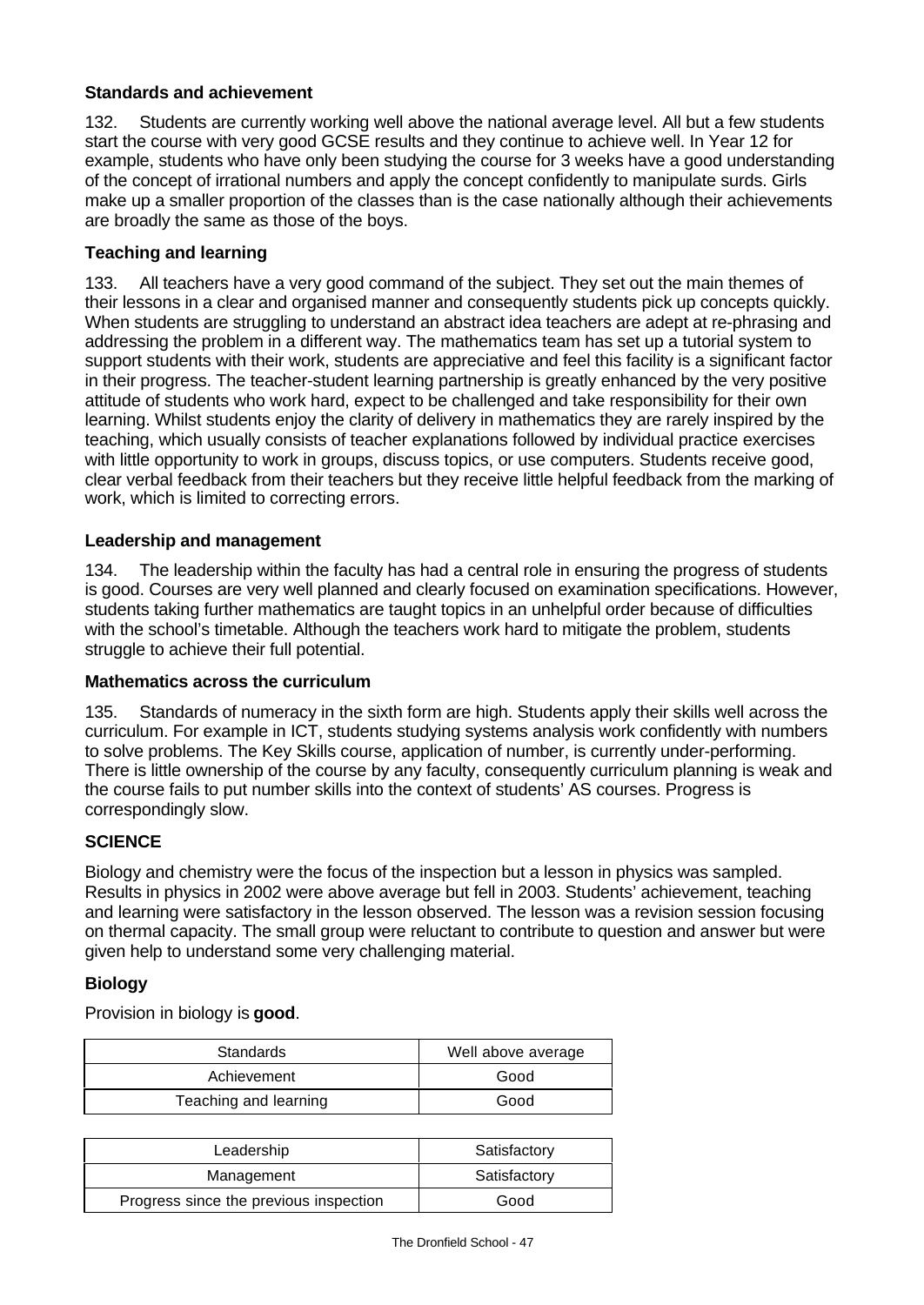# **Standards and achievement**

132. Students are currently working well above the national average level. All but a few students start the course with very good GCSE results and they continue to achieve well. In Year 12 for example, students who have only been studying the course for 3 weeks have a good understanding of the concept of irrational numbers and apply the concept confidently to manipulate surds. Girls make up a smaller proportion of the classes than is the case nationally although their achievements are broadly the same as those of the boys.

# **Teaching and learning**

133. All teachers have a very good command of the subject. They set out the main themes of their lessons in a clear and organised manner and consequently students pick up concepts quickly. When students are struggling to understand an abstract idea teachers are adept at re-phrasing and addressing the problem in a different way. The mathematics team has set up a tutorial system to support students with their work, students are appreciative and feel this facility is a significant factor in their progress. The teacher-student learning partnership is greatly enhanced by the very positive attitude of students who work hard, expect to be challenged and take responsibility for their own learning. Whilst students enjoy the clarity of delivery in mathematics they are rarely inspired by the teaching, which usually consists of teacher explanations followed by individual practice exercises with little opportunity to work in groups, discuss topics, or use computers. Students receive good, clear verbal feedback from their teachers but they receive little helpful feedback from the marking of work, which is limited to correcting errors.

## **Leadership and management**

134. The leadership within the faculty has had a central role in ensuring the progress of students is good. Courses are very well planned and clearly focused on examination specifications. However, students taking further mathematics are taught topics in an unhelpful order because of difficulties with the school's timetable. Although the teachers work hard to mitigate the problem, students struggle to achieve their full potential.

## **Mathematics across the curriculum**

135. Standards of numeracy in the sixth form are high. Students apply their skills well across the curriculum. For example in ICT, students studying systems analysis work confidently with numbers to solve problems. The Key Skills course, application of number, is currently under-performing. There is little ownership of the course by any faculty, consequently curriculum planning is weak and the course fails to put number skills into the context of students' AS courses. Progress is correspondingly slow.

## **SCIENCE**

Biology and chemistry were the focus of the inspection but a lesson in physics was sampled. Results in physics in 2002 were above average but fell in 2003. Students' achievement, teaching and learning were satisfactory in the lesson observed. The lesson was a revision session focusing on thermal capacity. The small group were reluctant to contribute to question and answer but were given help to understand some very challenging material.

## **Biology**

Provision in biology is **good**.

| Standards             | Well above average |
|-----------------------|--------------------|
| Achievement           | Good               |
| Teaching and learning | Good               |

| Leadership                             | Satisfactory |
|----------------------------------------|--------------|
| Management                             | Satisfactory |
| Progress since the previous inspection | Good         |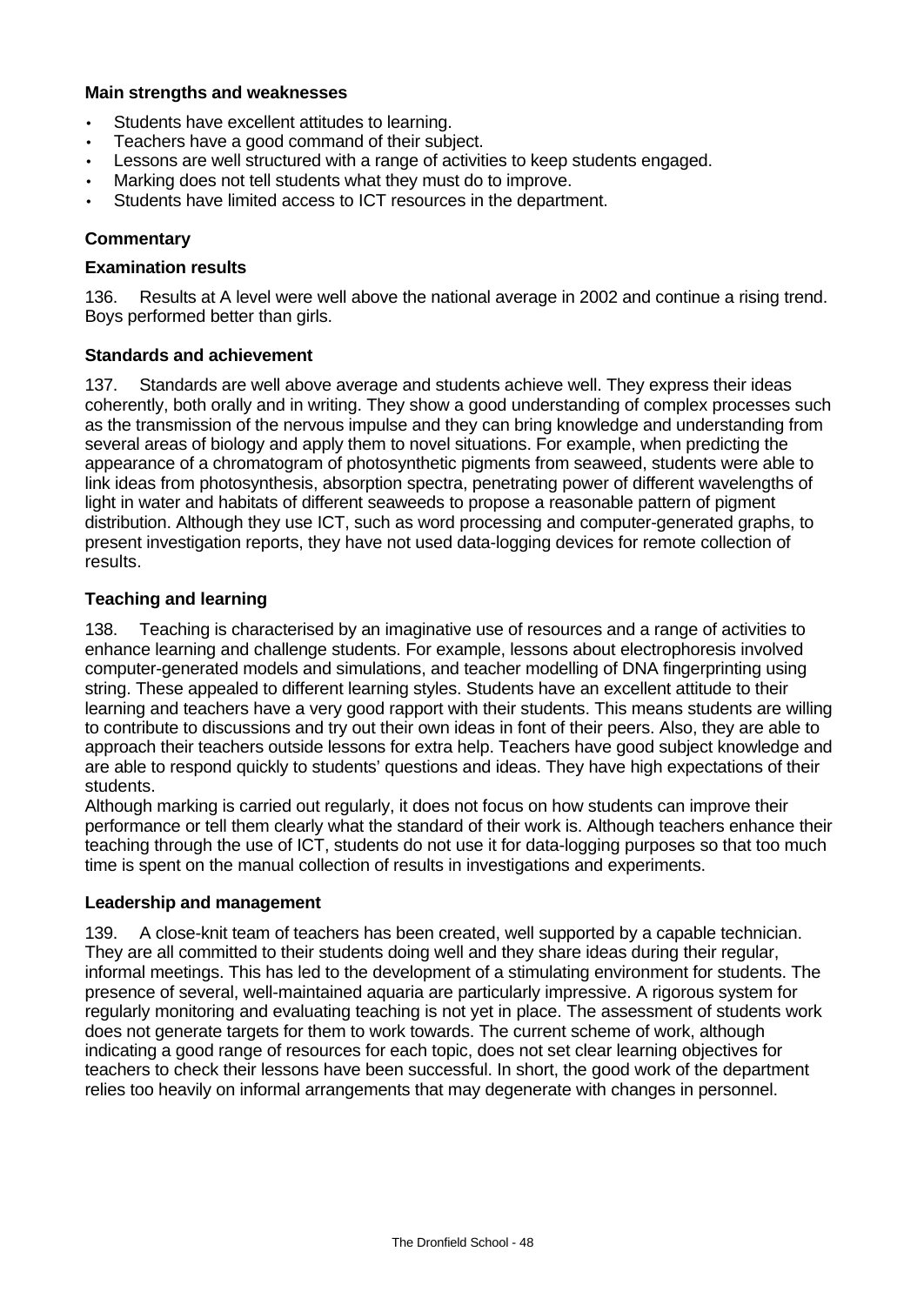### **Main strengths and weaknesses**

- Students have excellent attitudes to learning.
- Teachers have a good command of their subject.
- Lessons are well structured with a range of activities to keep students engaged.
- Marking does not tell students what they must do to improve.
- Students have limited access to ICT resources in the department.

## **Commentary**

#### **Examination results**

136. Results at A level were well above the national average in 2002 and continue a rising trend. Boys performed better than girls.

## **Standards and achievement**

137. Standards are well above average and students achieve well. They express their ideas coherently, both orally and in writing. They show a good understanding of complex processes such as the transmission of the nervous impulse and they can bring knowledge and understanding from several areas of biology and apply them to novel situations. For example, when predicting the appearance of a chromatogram of photosynthetic pigments from seaweed, students were able to link ideas from photosynthesis, absorption spectra, penetrating power of different wavelengths of light in water and habitats of different seaweeds to propose a reasonable pattern of pigment distribution. Although they use ICT, such as word processing and computer-generated graphs, to present investigation reports, they have not used data-logging devices for remote collection of results.

## **Teaching and learning**

138. Teaching is characterised by an imaginative use of resources and a range of activities to enhance learning and challenge students. For example, lessons about electrophoresis involved computer-generated models and simulations, and teacher modelling of DNA fingerprinting using string. These appealed to different learning styles. Students have an excellent attitude to their learning and teachers have a very good rapport with their students. This means students are willing to contribute to discussions and try out their own ideas in font of their peers. Also, they are able to approach their teachers outside lessons for extra help. Teachers have good subject knowledge and are able to respond quickly to students' questions and ideas. They have high expectations of their students.

Although marking is carried out regularly, it does not focus on how students can improve their performance or tell them clearly what the standard of their work is. Although teachers enhance their teaching through the use of ICT, students do not use it for data-logging purposes so that too much time is spent on the manual collection of results in investigations and experiments.

## **Leadership and management**

139. A close-knit team of teachers has been created, well supported by a capable technician. They are all committed to their students doing well and they share ideas during their regular, informal meetings. This has led to the development of a stimulating environment for students. The presence of several, well-maintained aquaria are particularly impressive. A rigorous system for regularly monitoring and evaluating teaching is not yet in place. The assessment of students work does not generate targets for them to work towards. The current scheme of work, although indicating a good range of resources for each topic, does not set clear learning objectives for teachers to check their lessons have been successful. In short, the good work of the department relies too heavily on informal arrangements that may degenerate with changes in personnel.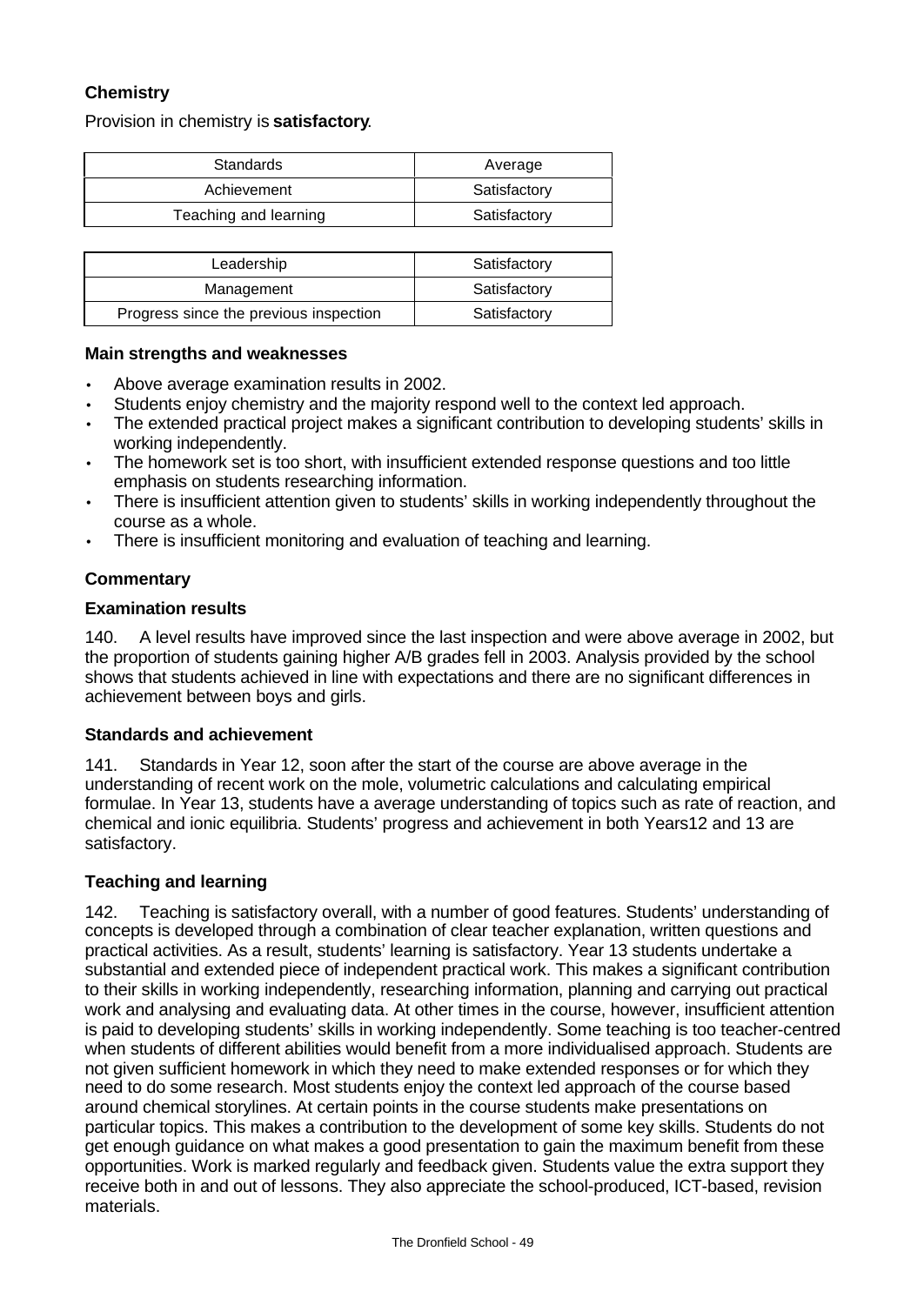# **Chemistry**

Provision in chemistry is **satisfactory**.

| Standards             | Average      |
|-----------------------|--------------|
| Achievement           | Satisfactory |
| Teaching and learning | Satisfactory |

| Leadership                             | Satisfactory |
|----------------------------------------|--------------|
| Management                             | Satisfactory |
| Progress since the previous inspection | Satisfactory |

#### **Main strengths and weaknesses**

- Above average examination results in 2002.
- Students enjoy chemistry and the majority respond well to the context led approach.
- The extended practical project makes a significant contribution to developing students' skills in working independently.
- The homework set is too short, with insufficient extended response questions and too little emphasis on students researching information.
- There is insufficient attention given to students' skills in working independently throughout the course as a whole.
- There is insufficient monitoring and evaluation of teaching and learning.

# **Commentary**

## **Examination results**

140. A level results have improved since the last inspection and were above average in 2002, but the proportion of students gaining higher A/B grades fell in 2003. Analysis provided by the school shows that students achieved in line with expectations and there are no significant differences in achievement between boys and girls.

## **Standards and achievement**

141. Standards in Year 12, soon after the start of the course are above average in the understanding of recent work on the mole, volumetric calculations and calculating empirical formulae. In Year 13, students have a average understanding of topics such as rate of reaction, and chemical and ionic equilibria. Students' progress and achievement in both Years12 and 13 are satisfactory.

## **Teaching and learning**

142. Teaching is satisfactory overall, with a number of good features. Students' understanding of concepts is developed through a combination of clear teacher explanation, written questions and practical activities. As a result, students' learning is satisfactory. Year 13 students undertake a substantial and extended piece of independent practical work. This makes a significant contribution to their skills in working independently, researching information, planning and carrying out practical work and analysing and evaluating data. At other times in the course, however, insufficient attention is paid to developing students' skills in working independently. Some teaching is too teacher-centred when students of different abilities would benefit from a more individualised approach. Students are not given sufficient homework in which they need to make extended responses or for which they need to do some research. Most students enjoy the context led approach of the course based around chemical storylines. At certain points in the course students make presentations on particular topics. This makes a contribution to the development of some key skills. Students do not get enough guidance on what makes a good presentation to gain the maximum benefit from these opportunities. Work is marked regularly and feedback given. Students value the extra support they receive both in and out of lessons. They also appreciate the school-produced, ICT-based, revision materials.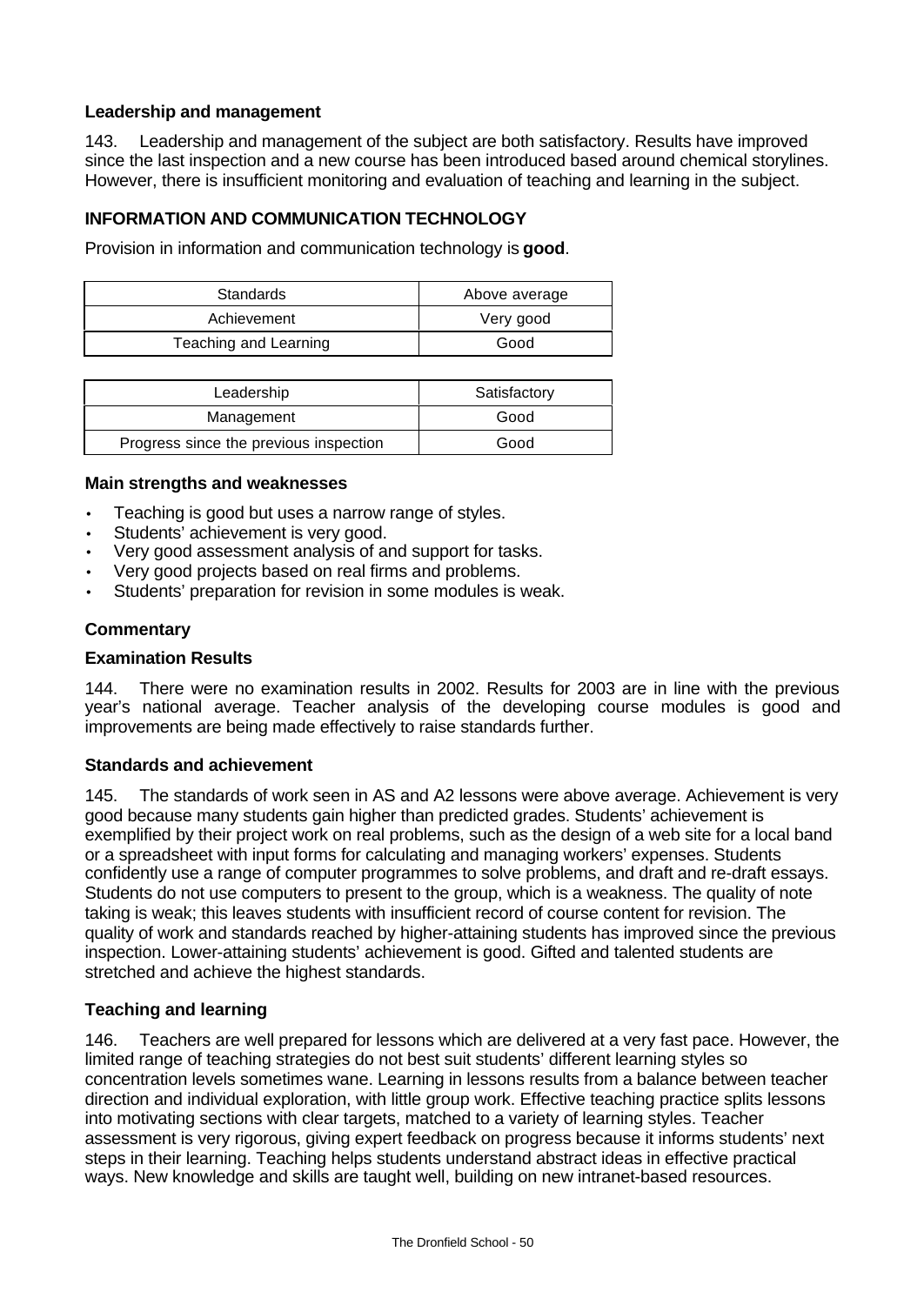# **Leadership and management**

143. Leadership and management of the subject are both satisfactory. Results have improved since the last inspection and a new course has been introduced based around chemical storylines. However, there is insufficient monitoring and evaluation of teaching and learning in the subject.

# **INFORMATION AND COMMUNICATION TECHNOLOGY**

Provision in information and communication technology is **good**.

| Standards             | Above average |
|-----------------------|---------------|
| Achievement           | Very good     |
| Teaching and Learning | Good          |

| Leadership                             | Satisfactory |
|----------------------------------------|--------------|
| Management                             | Good         |
| Progress since the previous inspection | Good         |

## **Main strengths and weaknesses**

- Teaching is good but uses a narrow range of styles.
- Students' achievement is very good.
- Very good assessment analysis of and support for tasks.
- Very good projects based on real firms and problems.
- Students' preparation for revision in some modules is weak.

# **Commentary**

## **Examination Results**

144. There were no examination results in 2002. Results for 2003 are in line with the previous year's national average. Teacher analysis of the developing course modules is good and improvements are being made effectively to raise standards further.

## **Standards and achievement**

145. The standards of work seen in AS and A2 lessons were above average. Achievement is very good because many students gain higher than predicted grades. Students' achievement is exemplified by their project work on real problems, such as the design of a web site for a local band or a spreadsheet with input forms for calculating and managing workers' expenses. Students confidently use a range of computer programmes to solve problems, and draft and re-draft essays. Students do not use computers to present to the group, which is a weakness. The quality of note taking is weak; this leaves students with insufficient record of course content for revision. The quality of work and standards reached by higher-attaining students has improved since the previous inspection. Lower-attaining students' achievement is good. Gifted and talented students are stretched and achieve the highest standards.

# **Teaching and learning**

146. Teachers are well prepared for lessons which are delivered at a very fast pace. However, the limited range of teaching strategies do not best suit students' different learning styles so concentration levels sometimes wane. Learning in lessons results from a balance between teacher direction and individual exploration, with little group work. Effective teaching practice splits lessons into motivating sections with clear targets, matched to a variety of learning styles. Teacher assessment is very rigorous, giving expert feedback on progress because it informs students' next steps in their learning. Teaching helps students understand abstract ideas in effective practical ways. New knowledge and skills are taught well, building on new intranet-based resources.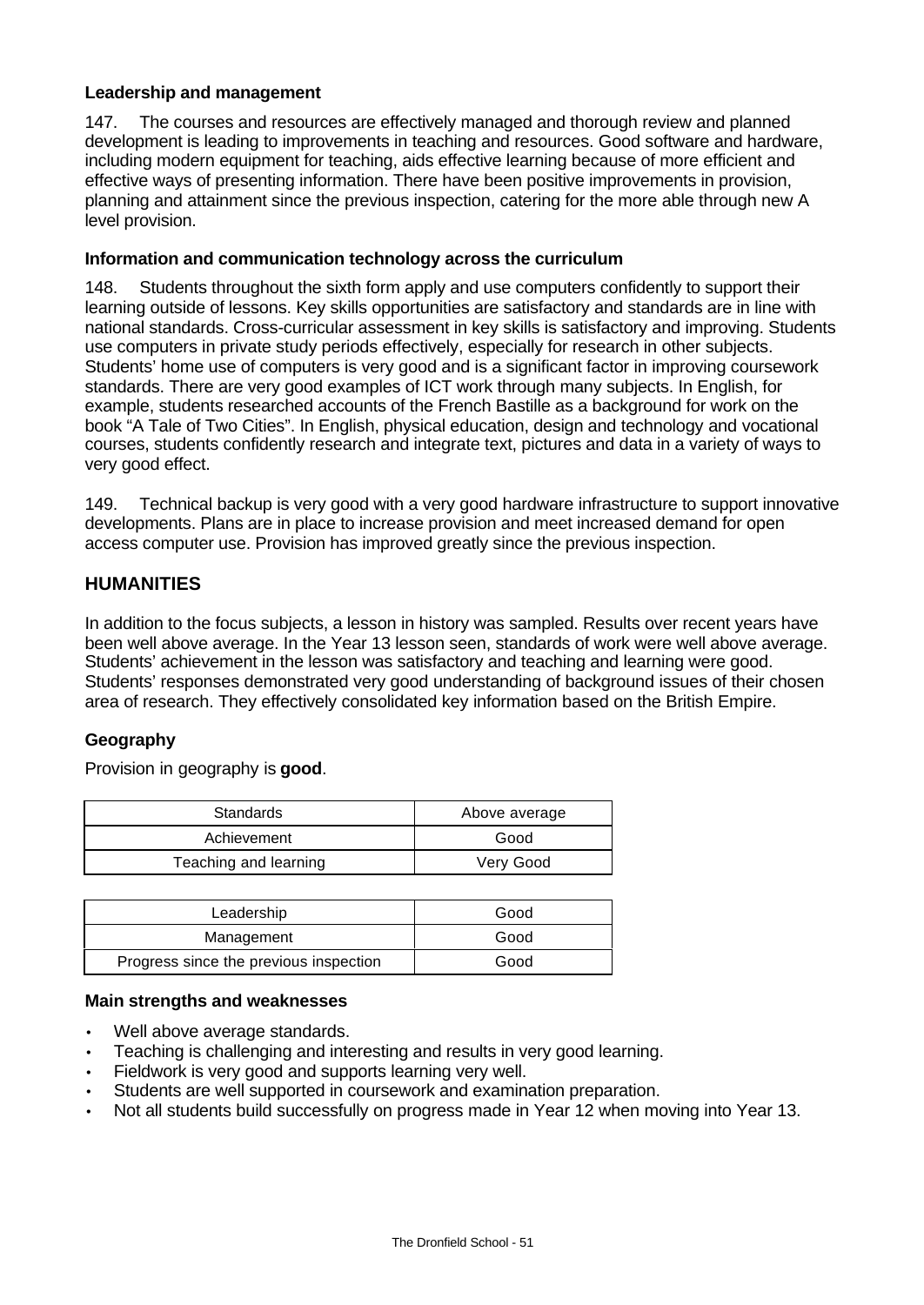## **Leadership and management**

147. The courses and resources are effectively managed and thorough review and planned development is leading to improvements in teaching and resources. Good software and hardware, including modern equipment for teaching, aids effective learning because of more efficient and effective ways of presenting information. There have been positive improvements in provision, planning and attainment since the previous inspection, catering for the more able through new A level provision.

## **Information and communication technology across the curriculum**

148. Students throughout the sixth form apply and use computers confidently to support their learning outside of lessons. Key skills opportunities are satisfactory and standards are in line with national standards. Cross-curricular assessment in key skills is satisfactory and improving. Students use computers in private study periods effectively, especially for research in other subjects. Students' home use of computers is very good and is a significant factor in improving coursework standards. There are very good examples of ICT work through many subjects. In English, for example, students researched accounts of the French Bastille as a background for work on the book "A Tale of Two Cities". In English, physical education, design and technology and vocational courses, students confidently research and integrate text, pictures and data in a variety of ways to very good effect.

149. Technical backup is very good with a very good hardware infrastructure to support innovative developments. Plans are in place to increase provision and meet increased demand for open access computer use. Provision has improved greatly since the previous inspection.

# **HUMANITIES**

In addition to the focus subjects, a lesson in history was sampled. Results over recent years have been well above average. In the Year 13 lesson seen, standards of work were well above average. Students' achievement in the lesson was satisfactory and teaching and learning were good. Students' responses demonstrated very good understanding of background issues of their chosen area of research. They effectively consolidated key information based on the British Empire.

# **Geography**

Provision in geography is **good**.

| Standards             | Above average |
|-----------------------|---------------|
| Achievement           | Good          |
| Teaching and learning | Very Good     |

| Leadership                             | Good |
|----------------------------------------|------|
| Management                             | Good |
| Progress since the previous inspection | Good |

## **Main strengths and weaknesses**

- Well above average standards.
- Teaching is challenging and interesting and results in very good learning.
- Fieldwork is very good and supports learning very well.
- Students are well supported in coursework and examination preparation.
- Not all students build successfully on progress made in Year 12 when moving into Year 13.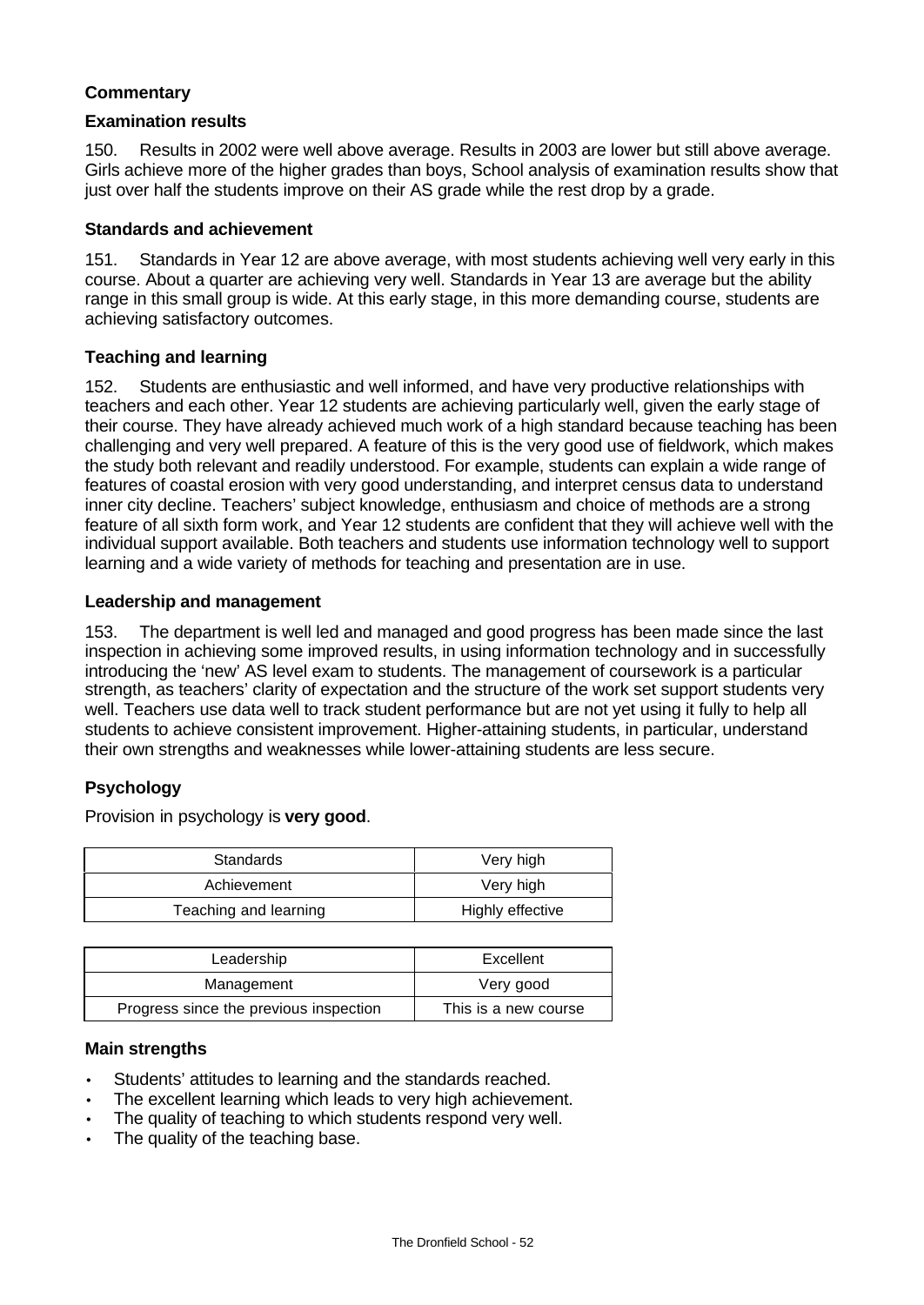# **Commentary**

#### **Examination results**

150. Results in 2002 were well above average. Results in 2003 are lower but still above average. Girls achieve more of the higher grades than boys, School analysis of examination results show that just over half the students improve on their AS grade while the rest drop by a grade.

#### **Standards and achievement**

151. Standards in Year 12 are above average, with most students achieving well very early in this course. About a quarter are achieving very well. Standards in Year 13 are average but the ability range in this small group is wide. At this early stage, in this more demanding course, students are achieving satisfactory outcomes.

## **Teaching and learning**

152. Students are enthusiastic and well informed, and have very productive relationships with teachers and each other. Year 12 students are achieving particularly well, given the early stage of their course. They have already achieved much work of a high standard because teaching has been challenging and very well prepared. A feature of this is the very good use of fieldwork, which makes the study both relevant and readily understood. For example, students can explain a wide range of features of coastal erosion with very good understanding, and interpret census data to understand inner city decline. Teachers' subject knowledge, enthusiasm and choice of methods are a strong feature of all sixth form work, and Year 12 students are confident that they will achieve well with the individual support available. Both teachers and students use information technology well to support learning and a wide variety of methods for teaching and presentation are in use.

## **Leadership and management**

153. The department is well led and managed and good progress has been made since the last inspection in achieving some improved results, in using information technology and in successfully introducing the 'new' AS level exam to students. The management of coursework is a particular strength, as teachers' clarity of expectation and the structure of the work set support students very well. Teachers use data well to track student performance but are not yet using it fully to help all students to achieve consistent improvement. Higher-attaining students, in particular, understand their own strengths and weaknesses while lower-attaining students are less secure.

## **Psychology**

Provision in psychology is **very good**.

| Standards             | Very high        |
|-----------------------|------------------|
| Achievement           | Very high        |
| Teaching and learning | Highly effective |

| Leadership                             | Excellent            |  |
|----------------------------------------|----------------------|--|
| Management                             | Very good            |  |
| Progress since the previous inspection | This is a new course |  |

#### **Main strengths**

- Students' attitudes to learning and the standards reached.
- The excellent learning which leads to very high achievement.
- The quality of teaching to which students respond very well.
- The quality of the teaching base.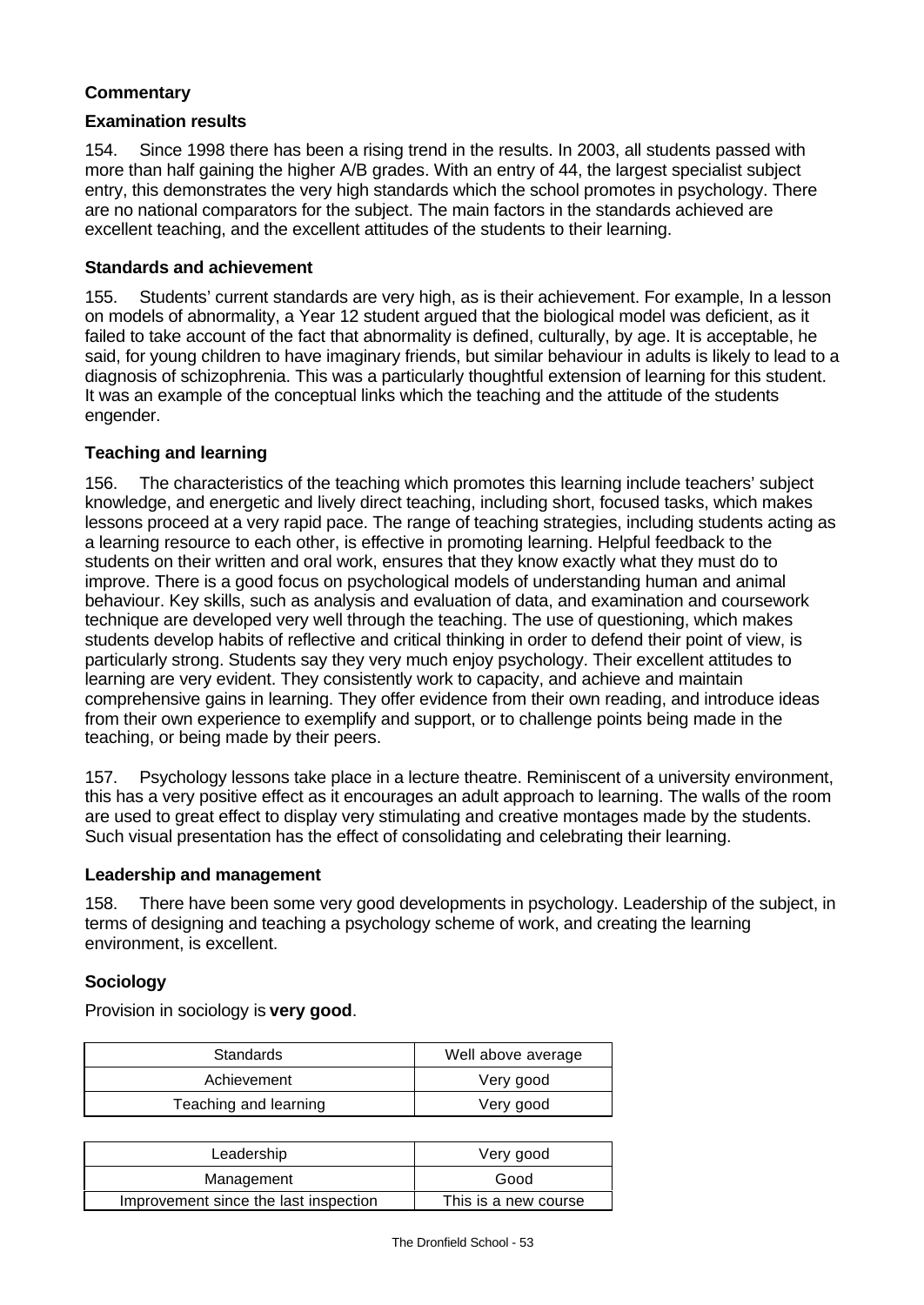# **Commentary**

#### **Examination results**

154. Since 1998 there has been a rising trend in the results. In 2003, all students passed with more than half gaining the higher A/B grades. With an entry of 44, the largest specialist subject entry, this demonstrates the very high standards which the school promotes in psychology. There are no national comparators for the subject. The main factors in the standards achieved are excellent teaching, and the excellent attitudes of the students to their learning.

#### **Standards and achievement**

155. Students' current standards are very high, as is their achievement. For example, In a lesson on models of abnormality, a Year 12 student argued that the biological model was deficient, as it failed to take account of the fact that abnormality is defined, culturally, by age. It is acceptable, he said, for young children to have imaginary friends, but similar behaviour in adults is likely to lead to a diagnosis of schizophrenia. This was a particularly thoughtful extension of learning for this student. It was an example of the conceptual links which the teaching and the attitude of the students engender.

## **Teaching and learning**

156. The characteristics of the teaching which promotes this learning include teachers' subject knowledge, and energetic and lively direct teaching, including short, focused tasks, which makes lessons proceed at a very rapid pace. The range of teaching strategies, including students acting as a learning resource to each other, is effective in promoting learning. Helpful feedback to the students on their written and oral work, ensures that they know exactly what they must do to improve. There is a good focus on psychological models of understanding human and animal behaviour. Key skills, such as analysis and evaluation of data, and examination and coursework technique are developed very well through the teaching. The use of questioning, which makes students develop habits of reflective and critical thinking in order to defend their point of view, is particularly strong. Students say they very much enjoy psychology. Their excellent attitudes to learning are very evident. They consistently work to capacity, and achieve and maintain comprehensive gains in learning. They offer evidence from their own reading, and introduce ideas from their own experience to exemplify and support, or to challenge points being made in the teaching, or being made by their peers.

157. Psychology lessons take place in a lecture theatre. Reminiscent of a university environment, this has a very positive effect as it encourages an adult approach to learning. The walls of the room are used to great effect to display very stimulating and creative montages made by the students. Such visual presentation has the effect of consolidating and celebrating their learning.

#### **Leadership and management**

158. There have been some very good developments in psychology. Leadership of the subject, in terms of designing and teaching a psychology scheme of work, and creating the learning environment, is excellent.

#### **Sociology**

Provision in sociology is **very good**.

| Standards             | Well above average |  |
|-----------------------|--------------------|--|
| Achievement           | Very good          |  |
| Teaching and learning | Very good          |  |

| Leadership                            | Very good            |  |
|---------------------------------------|----------------------|--|
| Management                            | Good                 |  |
| Improvement since the last inspection | This is a new course |  |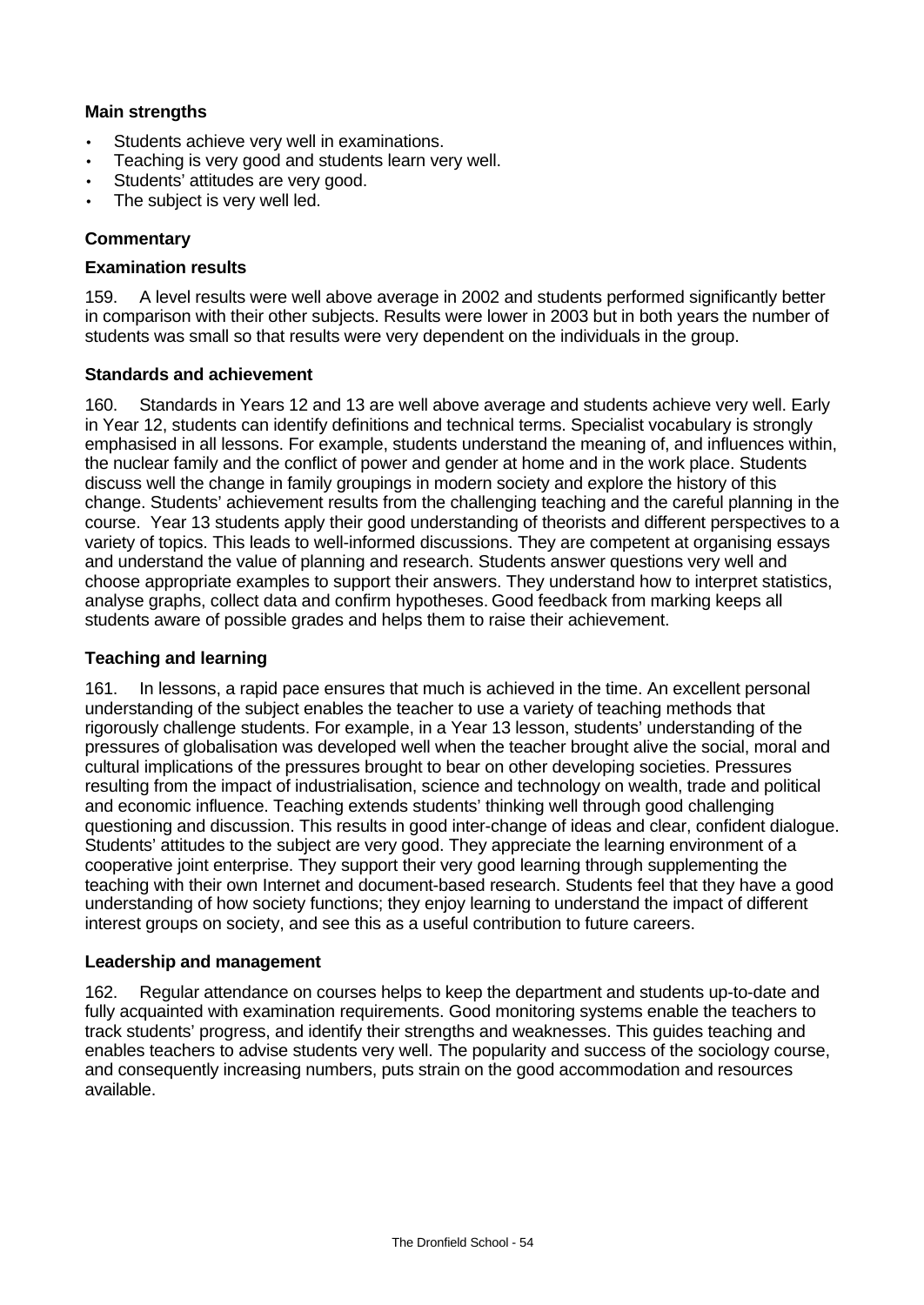# **Main strengths**

- Students achieve very well in examinations.
- Teaching is very good and students learn very well.
- Students' attitudes are very good.
- The subject is very well led.

#### **Commentary**

#### **Examination results**

159. A level results were well above average in 2002 and students performed significantly better in comparison with their other subjects. Results were lower in 2003 but in both years the number of students was small so that results were very dependent on the individuals in the group.

#### **Standards and achievement**

160. Standards in Years 12 and 13 are well above average and students achieve very well. Early in Year 12, students can identify definitions and technical terms. Specialist vocabulary is strongly emphasised in all lessons. For example, students understand the meaning of, and influences within, the nuclear family and the conflict of power and gender at home and in the work place. Students discuss well the change in family groupings in modern society and explore the history of this change. Students' achievement results from the challenging teaching and the careful planning in the course. Year 13 students apply their good understanding of theorists and different perspectives to a variety of topics. This leads to well-informed discussions. They are competent at organising essays and understand the value of planning and research. Students answer questions very well and choose appropriate examples to support their answers. They understand how to interpret statistics, analyse graphs, collect data and confirm hypotheses. Good feedback from marking keeps all students aware of possible grades and helps them to raise their achievement.

#### **Teaching and learning**

161. In lessons, a rapid pace ensures that much is achieved in the time. An excellent personal understanding of the subject enables the teacher to use a variety of teaching methods that rigorously challenge students. For example, in a Year 13 lesson, students' understanding of the pressures of globalisation was developed well when the teacher brought alive the social, moral and cultural implications of the pressures brought to bear on other developing societies. Pressures resulting from the impact of industrialisation, science and technology on wealth, trade and political and economic influence. Teaching extends students' thinking well through good challenging questioning and discussion. This results in good inter-change of ideas and clear, confident dialogue. Students' attitudes to the subject are very good. They appreciate the learning environment of a cooperative joint enterprise. They support their very good learning through supplementing the teaching with their own Internet and document-based research. Students feel that they have a good understanding of how society functions; they enjoy learning to understand the impact of different interest groups on society, and see this as a useful contribution to future careers.

#### **Leadership and management**

162. Regular attendance on courses helps to keep the department and students up-to-date and fully acquainted with examination requirements. Good monitoring systems enable the teachers to track students' progress, and identify their strengths and weaknesses. This guides teaching and enables teachers to advise students very well. The popularity and success of the sociology course, and consequently increasing numbers, puts strain on the good accommodation and resources available.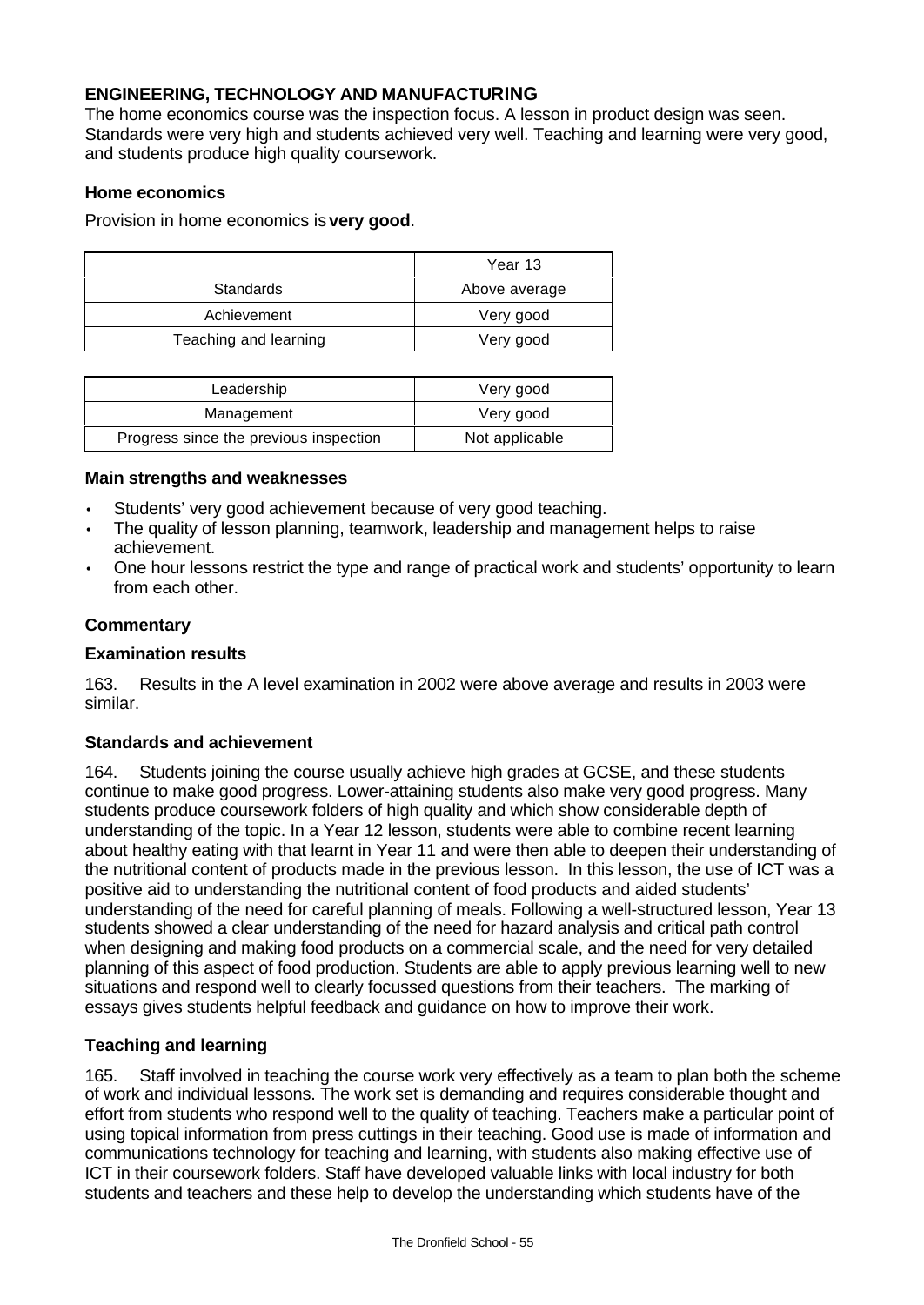# **ENGINEERING, TECHNOLOGY AND MANUFACTURING**

The home economics course was the inspection focus. A lesson in product design was seen. Standards were very high and students achieved very well. Teaching and learning were very good, and students produce high quality coursework.

#### **Home economics**

Provision in home economics is **very good**.

|                       | Year 13       |  |
|-----------------------|---------------|--|
| Standards             | Above average |  |
| Achievement           | Very good     |  |
| Teaching and learning | Very good     |  |

| Leadership                             | Very good      |  |
|----------------------------------------|----------------|--|
| Management                             | Very good      |  |
| Progress since the previous inspection | Not applicable |  |

#### **Main strengths and weaknesses**

- Students' very good achievement because of very good teaching.
- The quality of lesson planning, teamwork, leadership and management helps to raise achievement.
- One hour lessons restrict the type and range of practical work and students' opportunity to learn from each other.

#### **Commentary**

#### **Examination results**

163. Results in the A level examination in 2002 were above average and results in 2003 were similar.

## **Standards and achievement**

164. Students joining the course usually achieve high grades at GCSE, and these students continue to make good progress. Lower-attaining students also make very good progress. Many students produce coursework folders of high quality and which show considerable depth of understanding of the topic. In a Year 12 lesson, students were able to combine recent learning about healthy eating with that learnt in Year 11 and were then able to deepen their understanding of the nutritional content of products made in the previous lesson. In this lesson, the use of ICT was a positive aid to understanding the nutritional content of food products and aided students' understanding of the need for careful planning of meals. Following a well-structured lesson, Year 13 students showed a clear understanding of the need for hazard analysis and critical path control when designing and making food products on a commercial scale, and the need for very detailed planning of this aspect of food production. Students are able to apply previous learning well to new situations and respond well to clearly focussed questions from their teachers. The marking of essays gives students helpful feedback and guidance on how to improve their work.

## **Teaching and learning**

165. Staff involved in teaching the course work very effectively as a team to plan both the scheme of work and individual lessons. The work set is demanding and requires considerable thought and effort from students who respond well to the quality of teaching. Teachers make a particular point of using topical information from press cuttings in their teaching. Good use is made of information and communications technology for teaching and learning, with students also making effective use of ICT in their coursework folders. Staff have developed valuable links with local industry for both students and teachers and these help to develop the understanding which students have of the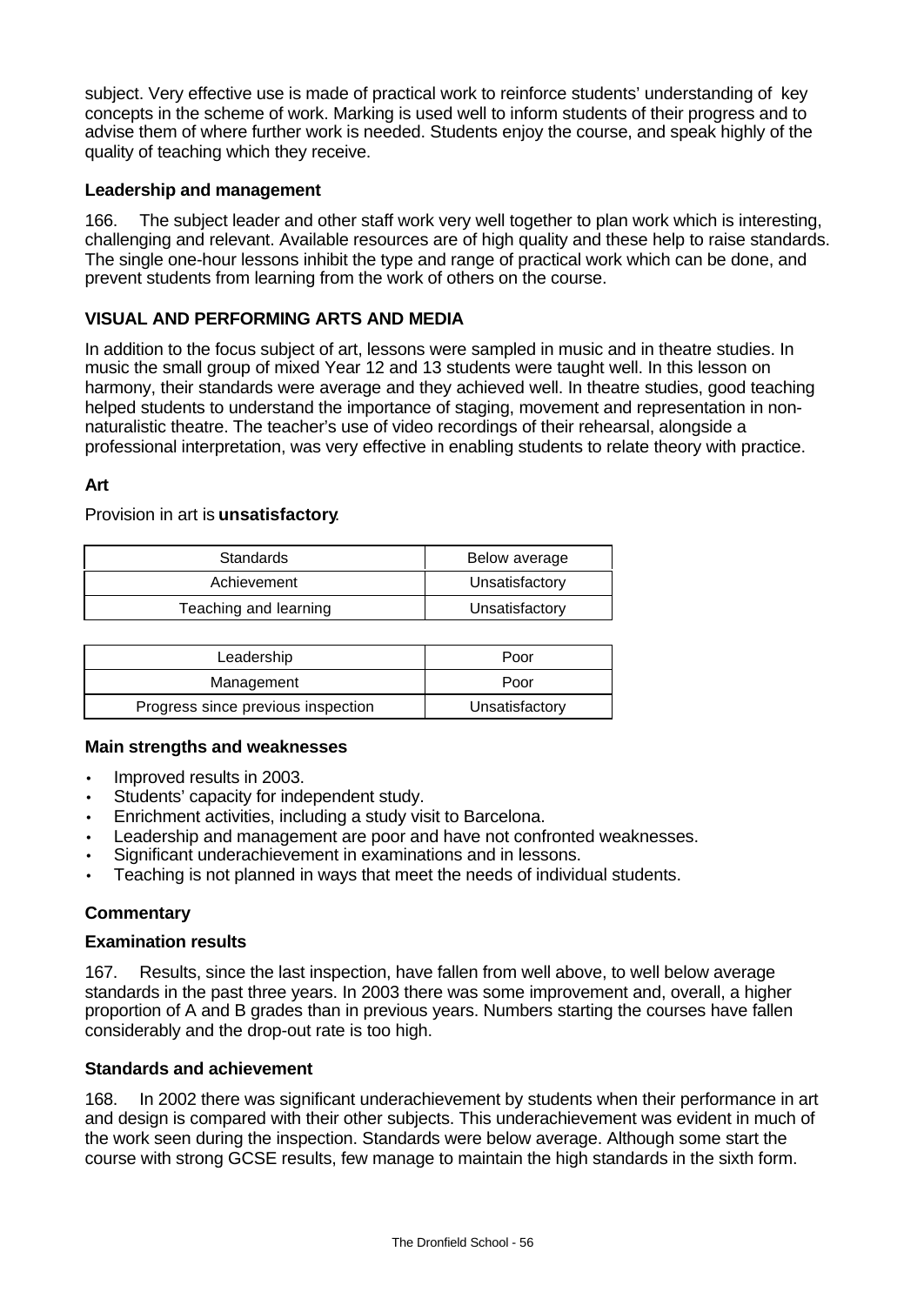subject. Very effective use is made of practical work to reinforce students' understanding of key concepts in the scheme of work. Marking is used well to inform students of their progress and to advise them of where further work is needed. Students enjoy the course, and speak highly of the quality of teaching which they receive.

## **Leadership and management**

166. The subject leader and other staff work very well together to plan work which is interesting, challenging and relevant. Available resources are of high quality and these help to raise standards. The single one-hour lessons inhibit the type and range of practical work which can be done, and prevent students from learning from the work of others on the course.

# **VISUAL AND PERFORMING ARTS AND MEDIA**

In addition to the focus subject of art, lessons were sampled in music and in theatre studies. In music the small group of mixed Year 12 and 13 students were taught well. In this lesson on harmony, their standards were average and they achieved well. In theatre studies, good teaching helped students to understand the importance of staging, movement and representation in nonnaturalistic theatre. The teacher's use of video recordings of their rehearsal, alongside a professional interpretation, was very effective in enabling students to relate theory with practice.

## **Art**

## Provision in art is **unsatisfactory**.

| <b>Standards</b>      | Below average  |  |  |
|-----------------------|----------------|--|--|
| Achievement           | Unsatisfactory |  |  |
| Teaching and learning | Unsatisfactory |  |  |

| Leadership                         | Poor           |  |
|------------------------------------|----------------|--|
| Management                         | Poor           |  |
| Progress since previous inspection | Unsatisfactory |  |

## **Main strengths and weaknesses**

- Improved results in 2003.
- Students' capacity for independent study.
- Enrichment activities, including a study visit to Barcelona.
- Leadership and management are poor and have not confronted weaknesses.
- Significant underachievement in examinations and in lessons.
- Teaching is not planned in ways that meet the needs of individual students.

## **Commentary**

#### **Examination results**

167. Results, since the last inspection, have fallen from well above, to well below average standards in the past three years. In 2003 there was some improvement and, overall, a higher proportion of A and B grades than in previous years. Numbers starting the courses have fallen considerably and the drop-out rate is too high.

## **Standards and achievement**

168. In 2002 there was significant underachievement by students when their performance in art and design is compared with their other subjects. This underachievement was evident in much of the work seen during the inspection. Standards were below average. Although some start the course with strong GCSE results, few manage to maintain the high standards in the sixth form.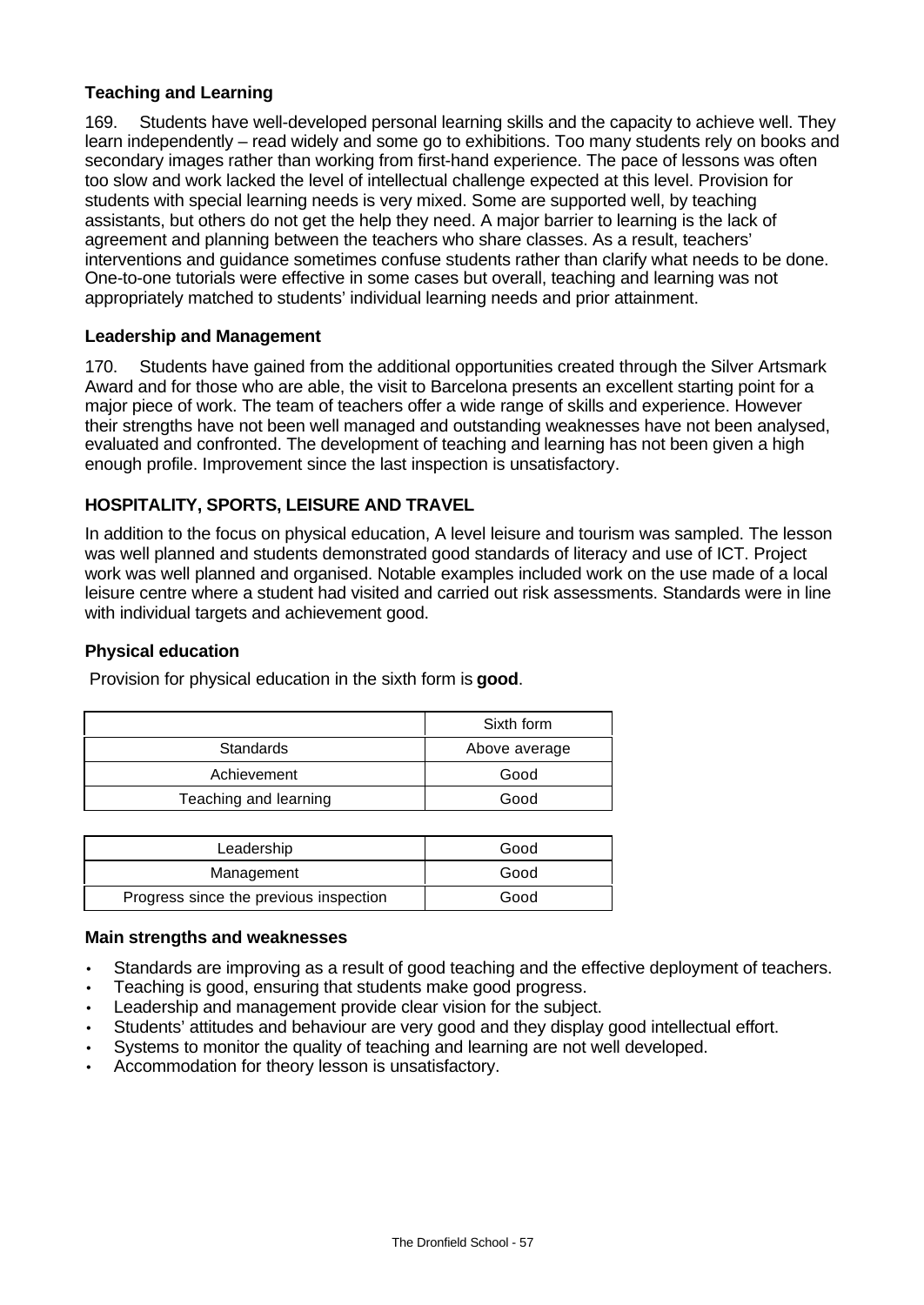# **Teaching and Learning**

169. Students have well-developed personal learning skills and the capacity to achieve well. They learn independently – read widely and some go to exhibitions. Too many students rely on books and secondary images rather than working from first-hand experience. The pace of lessons was often too slow and work lacked the level of intellectual challenge expected at this level. Provision for students with special learning needs is very mixed. Some are supported well, by teaching assistants, but others do not get the help they need. A major barrier to learning is the lack of agreement and planning between the teachers who share classes. As a result, teachers' interventions and guidance sometimes confuse students rather than clarify what needs to be done. One-to-one tutorials were effective in some cases but overall, teaching and learning was not appropriately matched to students' individual learning needs and prior attainment.

## **Leadership and Management**

170. Students have gained from the additional opportunities created through the Silver Artsmark Award and for those who are able, the visit to Barcelona presents an excellent starting point for a major piece of work. The team of teachers offer a wide range of skills and experience. However their strengths have not been well managed and outstanding weaknesses have not been analysed, evaluated and confronted. The development of teaching and learning has not been given a high enough profile. Improvement since the last inspection is unsatisfactory.

# **HOSPITALITY, SPORTS, LEISURE AND TRAVEL**

In addition to the focus on physical education, A level leisure and tourism was sampled. The lesson was well planned and students demonstrated good standards of literacy and use of ICT. Project work was well planned and organised. Notable examples included work on the use made of a local leisure centre where a student had visited and carried out risk assessments. Standards were in line with individual targets and achievement good.

#### **Physical education**

Provision for physical education in the sixth form is **good**.

|                       | Sixth form    |  |
|-----------------------|---------------|--|
| Standards             | Above average |  |
| Achievement           | Good          |  |
| Teaching and learning | Good          |  |

| Leadership                             | Good |
|----------------------------------------|------|
| Management                             | Good |
| Progress since the previous inspection | Good |

#### **Main strengths and weaknesses**

- Standards are improving as a result of good teaching and the effective deployment of teachers.
- Teaching is good, ensuring that students make good progress.
- Leadership and management provide clear vision for the subject.
- Students' attitudes and behaviour are very good and they display good intellectual effort.
- Systems to monitor the quality of teaching and learning are not well developed.
- Accommodation for theory lesson is unsatisfactory.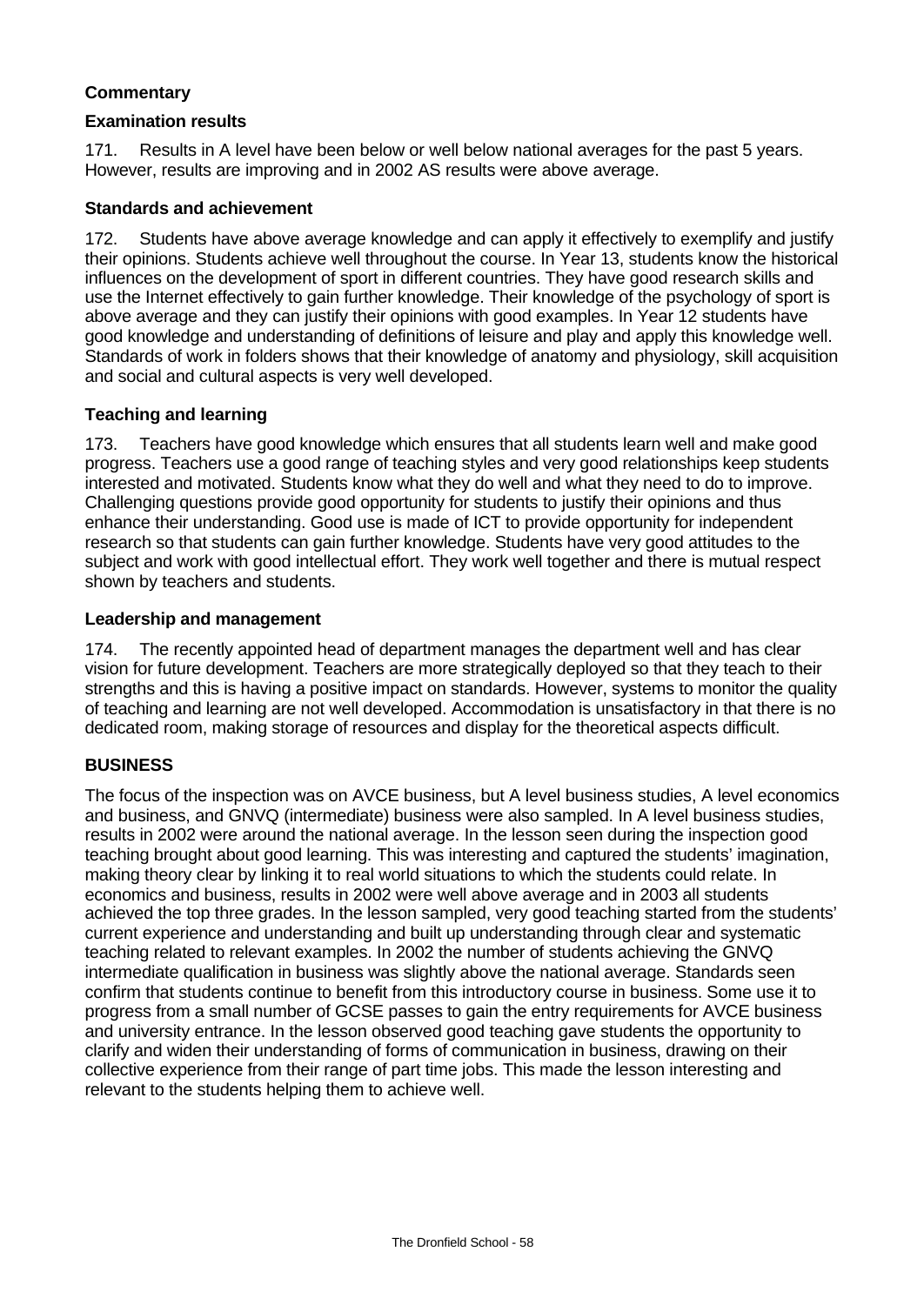# **Commentary**

#### **Examination results**

171. Results in A level have been below or well below national averages for the past 5 years. However, results are improving and in 2002 AS results were above average.

#### **Standards and achievement**

172. Students have above average knowledge and can apply it effectively to exemplify and justify their opinions. Students achieve well throughout the course. In Year 13, students know the historical influences on the development of sport in different countries. They have good research skills and use the Internet effectively to gain further knowledge. Their knowledge of the psychology of sport is above average and they can justify their opinions with good examples. In Year 12 students have good knowledge and understanding of definitions of leisure and play and apply this knowledge well. Standards of work in folders shows that their knowledge of anatomy and physiology, skill acquisition and social and cultural aspects is very well developed.

## **Teaching and learning**

173. Teachers have good knowledge which ensures that all students learn well and make good progress. Teachers use a good range of teaching styles and very good relationships keep students interested and motivated. Students know what they do well and what they need to do to improve. Challenging questions provide good opportunity for students to justify their opinions and thus enhance their understanding. Good use is made of ICT to provide opportunity for independent research so that students can gain further knowledge. Students have very good attitudes to the subject and work with good intellectual effort. They work well together and there is mutual respect shown by teachers and students.

### **Leadership and management**

174. The recently appointed head of department manages the department well and has clear vision for future development. Teachers are more strategically deployed so that they teach to their strengths and this is having a positive impact on standards. However, systems to monitor the quality of teaching and learning are not well developed. Accommodation is unsatisfactory in that there is no dedicated room, making storage of resources and display for the theoretical aspects difficult.

## **BUSINESS**

The focus of the inspection was on AVCE business, but A level business studies, A level economics and business, and GNVQ (intermediate) business were also sampled. In A level business studies, results in 2002 were around the national average. In the lesson seen during the inspection good teaching brought about good learning. This was interesting and captured the students' imagination, making theory clear by linking it to real world situations to which the students could relate. In economics and business, results in 2002 were well above average and in 2003 all students achieved the top three grades. In the lesson sampled, very good teaching started from the students' current experience and understanding and built up understanding through clear and systematic teaching related to relevant examples. In 2002 the number of students achieving the GNVQ intermediate qualification in business was slightly above the national average. Standards seen confirm that students continue to benefit from this introductory course in business. Some use it to progress from a small number of GCSE passes to gain the entry requirements for AVCE business and university entrance. In the lesson observed good teaching gave students the opportunity to clarify and widen their understanding of forms of communication in business, drawing on their collective experience from their range of part time jobs. This made the lesson interesting and relevant to the students helping them to achieve well.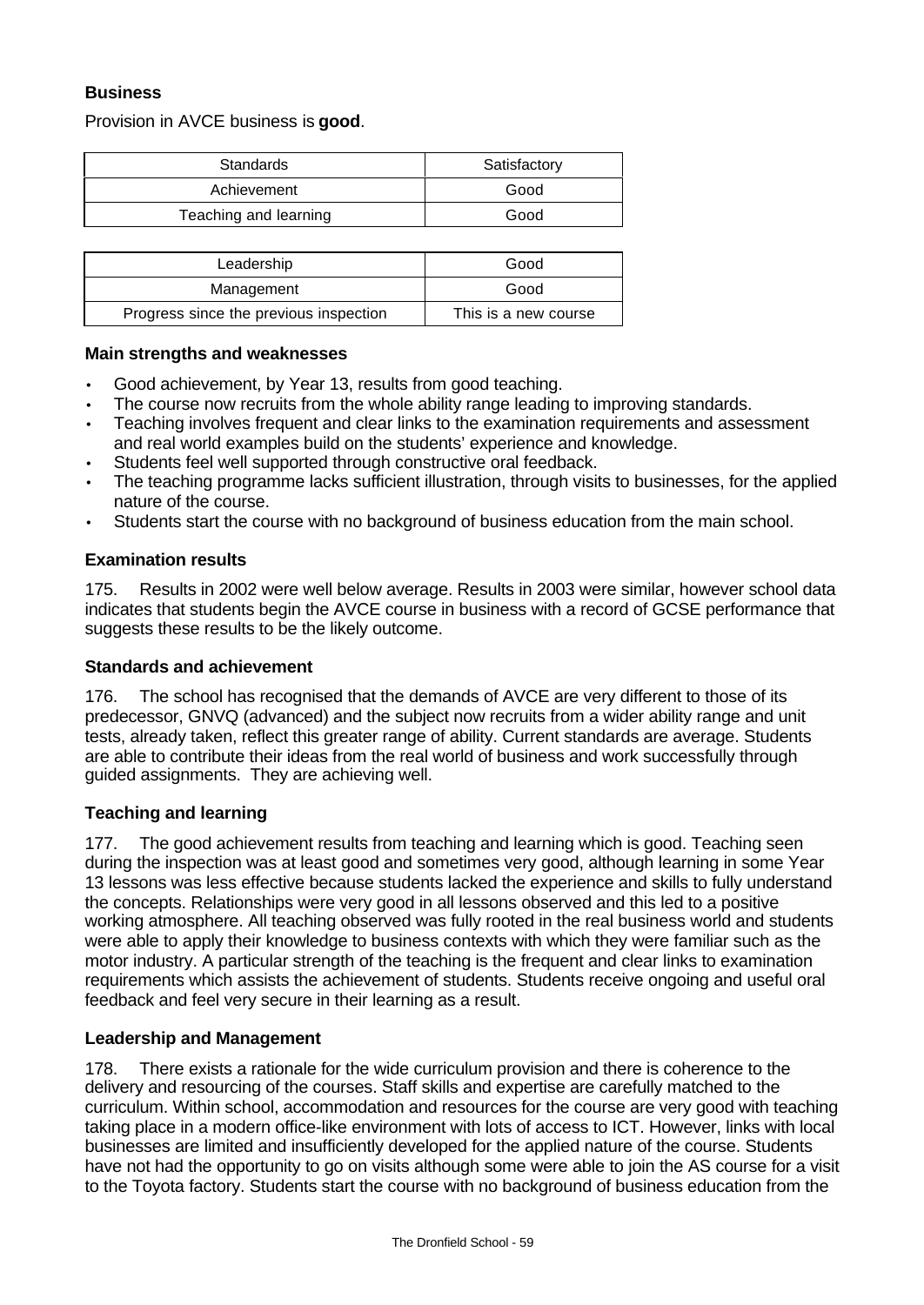# **Business**

Provision in AVCE business is **good**.

| <b>Standards</b>      | Satisfactory |  |
|-----------------------|--------------|--|
| Achievement           | Good         |  |
| Teaching and learning | Good         |  |

| Leadership                             | Good                 |  |
|----------------------------------------|----------------------|--|
| Management                             | Good                 |  |
| Progress since the previous inspection | This is a new course |  |

#### **Main strengths and weaknesses**

- Good achievement, by Year 13, results from good teaching.
- The course now recruits from the whole ability range leading to improving standards.
- Teaching involves frequent and clear links to the examination requirements and assessment and real world examples build on the students' experience and knowledge.
- Students feel well supported through constructive oral feedback.
- The teaching programme lacks sufficient illustration, through visits to businesses, for the applied nature of the course.
- Students start the course with no background of business education from the main school.

#### **Examination results**

175. Results in 2002 were well below average. Results in 2003 were similar, however school data indicates that students begin the AVCE course in business with a record of GCSE performance that suggests these results to be the likely outcome.

#### **Standards and achievement**

176. The school has recognised that the demands of AVCE are very different to those of its predecessor, GNVQ (advanced) and the subject now recruits from a wider ability range and unit tests, already taken, reflect this greater range of ability. Current standards are average. Students are able to contribute their ideas from the real world of business and work successfully through guided assignments. They are achieving well.

## **Teaching and learning**

177. The good achievement results from teaching and learning which is good. Teaching seen during the inspection was at least good and sometimes very good, although learning in some Year 13 lessons was less effective because students lacked the experience and skills to fully understand the concepts. Relationships were very good in all lessons observed and this led to a positive working atmosphere. All teaching observed was fully rooted in the real business world and students were able to apply their knowledge to business contexts with which they were familiar such as the motor industry. A particular strength of the teaching is the frequent and clear links to examination requirements which assists the achievement of students. Students receive ongoing and useful oral feedback and feel very secure in their learning as a result.

## **Leadership and Management**

178. There exists a rationale for the wide curriculum provision and there is coherence to the delivery and resourcing of the courses. Staff skills and expertise are carefully matched to the curriculum. Within school, accommodation and resources for the course are very good with teaching taking place in a modern office-like environment with lots of access to ICT. However, links with local businesses are limited and insufficiently developed for the applied nature of the course. Students have not had the opportunity to go on visits although some were able to join the AS course for a visit to the Toyota factory. Students start the course with no background of business education from the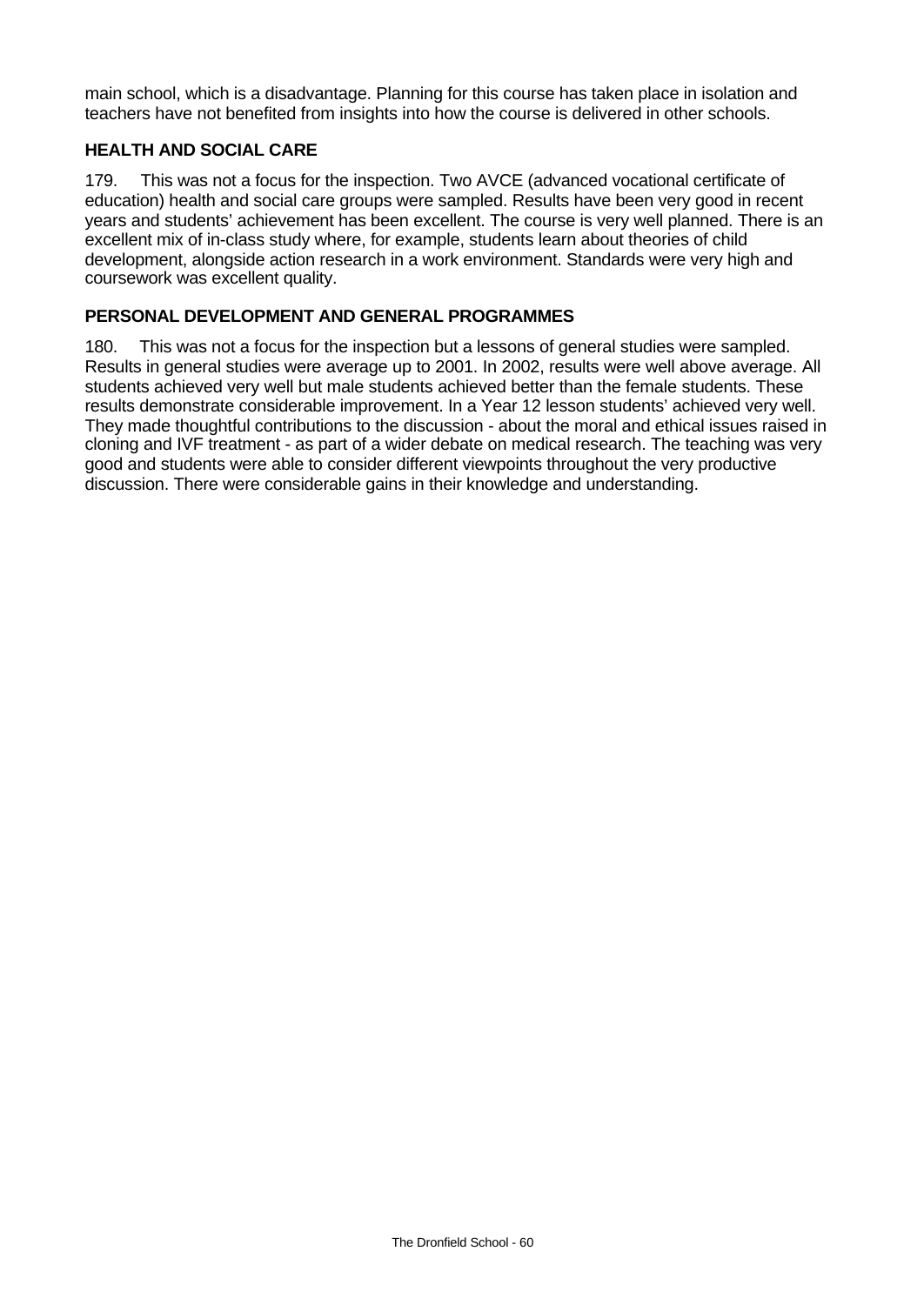main school, which is a disadvantage. Planning for this course has taken place in isolation and teachers have not benefited from insights into how the course is delivered in other schools.

# **HEALTH AND SOCIAL CARE**

179. This was not a focus for the inspection. Two AVCE (advanced vocational certificate of education) health and social care groups were sampled. Results have been very good in recent years and students' achievement has been excellent. The course is very well planned. There is an excellent mix of in-class study where, for example, students learn about theories of child development, alongside action research in a work environment. Standards were very high and coursework was excellent quality.

# **PERSONAL DEVELOPMENT AND GENERAL PROGRAMMES**

180. This was not a focus for the inspection but a lessons of general studies were sampled. Results in general studies were average up to 2001. In 2002, results were well above average. All students achieved very well but male students achieved better than the female students. These results demonstrate considerable improvement. In a Year 12 lesson students' achieved very well. They made thoughtful contributions to the discussion - about the moral and ethical issues raised in cloning and IVF treatment - as part of a wider debate on medical research. The teaching was very good and students were able to consider different viewpoints throughout the very productive discussion. There were considerable gains in their knowledge and understanding.